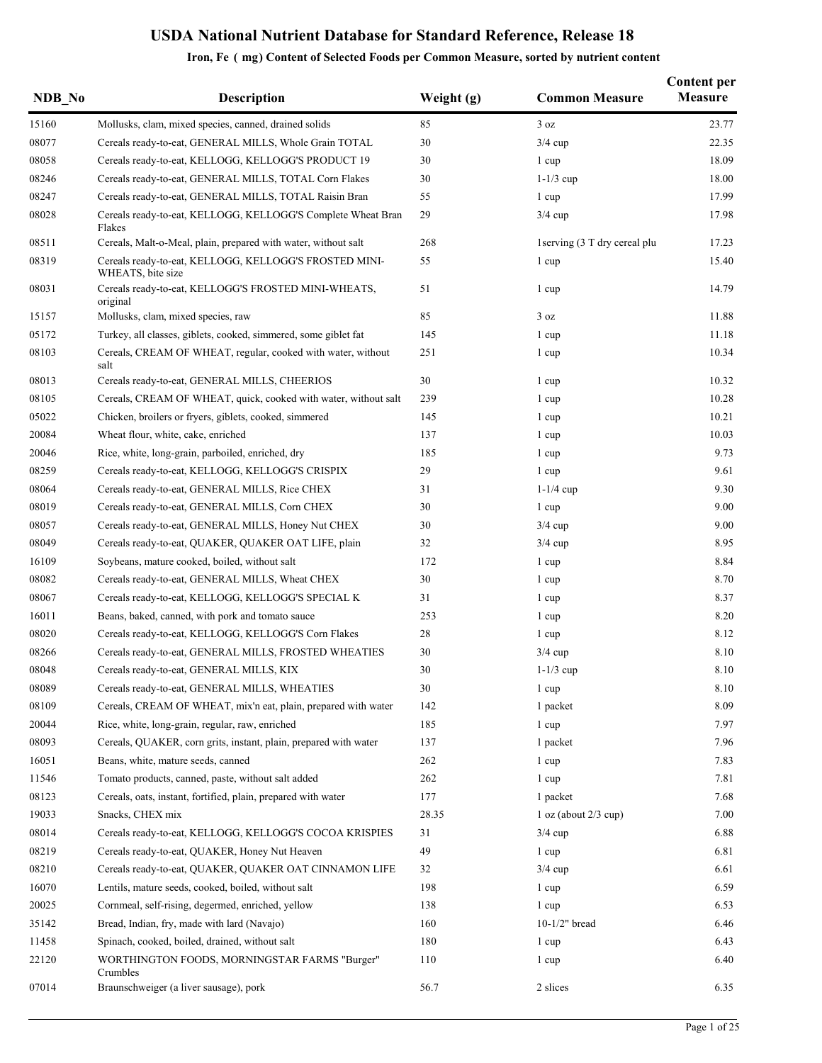| NDB No | <b>Description</b>                                                          | Weight (g) | <b>Common Measure</b>        | <b>Content per</b><br><b>Measure</b> |
|--------|-----------------------------------------------------------------------------|------------|------------------------------|--------------------------------------|
| 15160  | Mollusks, clam, mixed species, canned, drained solids                       | 85         | 3 oz                         | 23.77                                |
| 08077  | Cereals ready-to-eat, GENERAL MILLS, Whole Grain TOTAL                      | 30         | $3/4$ cup                    | 22.35                                |
| 08058  | Cereals ready-to-eat, KELLOGG, KELLOGG'S PRODUCT 19                         | 30         | 1 cup                        | 18.09                                |
| 08246  | Cereals ready-to-eat, GENERAL MILLS, TOTAL Corn Flakes                      | 30         | $1-1/3$ cup                  | 18.00                                |
| 08247  | Cereals ready-to-eat, GENERAL MILLS, TOTAL Raisin Bran                      | 55         | 1 cup                        | 17.99                                |
| 08028  | Cereals ready-to-eat, KELLOGG, KELLOGG'S Complete Wheat Bran<br>Flakes      | 29         | $3/4$ cup                    | 17.98                                |
| 08511  | Cereals, Malt-o-Meal, plain, prepared with water, without salt              | 268        | 1serving (3 T dry cereal plu | 17.23                                |
| 08319  | Cereals ready-to-eat, KELLOGG, KELLOGG'S FROSTED MINI-<br>WHEATS, bite size | 55         | 1 cup                        | 15.40                                |
| 08031  | Cereals ready-to-eat, KELLOGG'S FROSTED MINI-WHEATS,<br>original            | 51         | 1 cup                        | 14.79                                |
| 15157  | Mollusks, clam, mixed species, raw                                          | 85         | 3 oz                         | 11.88                                |
| 05172  | Turkey, all classes, giblets, cooked, simmered, some giblet fat             | 145        | 1 cup                        | 11.18                                |
| 08103  | Cereals, CREAM OF WHEAT, regular, cooked with water, without<br>salt        | 251        | 1 cup                        | 10.34                                |
| 08013  | Cereals ready-to-eat, GENERAL MILLS, CHEERIOS                               | 30         | 1 cup                        | 10.32                                |
| 08105  | Cereals, CREAM OF WHEAT, quick, cooked with water, without salt             | 239        | 1 cup                        | 10.28                                |
| 05022  | Chicken, broilers or fryers, giblets, cooked, simmered                      | 145        | 1 cup                        | 10.21                                |
| 20084  | Wheat flour, white, cake, enriched                                          | 137        | 1 cup                        | 10.03                                |
| 20046  | Rice, white, long-grain, parboiled, enriched, dry                           | 185        | 1 cup                        | 9.73                                 |
| 08259  | Cereals ready-to-eat, KELLOGG, KELLOGG'S CRISPIX                            | 29         | 1 cup                        | 9.61                                 |
| 08064  | Cereals ready-to-eat, GENERAL MILLS, Rice CHEX                              | 31         | $1-1/4$ cup                  | 9.30                                 |
| 08019  | Cereals ready-to-eat, GENERAL MILLS, Corn CHEX                              | 30         | 1 cup                        | 9.00                                 |
| 08057  | Cereals ready-to-eat, GENERAL MILLS, Honey Nut CHEX                         | 30         | $3/4$ cup                    | 9.00                                 |
| 08049  | Cereals ready-to-eat, QUAKER, QUAKER OAT LIFE, plain                        | 32         | $3/4$ cup                    | 8.95                                 |
| 16109  | Soybeans, mature cooked, boiled, without salt                               | 172        | 1 cup                        | 8.84                                 |
| 08082  | Cereals ready-to-eat, GENERAL MILLS, Wheat CHEX                             | 30         | 1 cup                        | 8.70                                 |
| 08067  | Cereals ready-to-eat, KELLOGG, KELLOGG'S SPECIAL K                          | 31         | 1 cup                        | 8.37                                 |
| 16011  | Beans, baked, canned, with pork and tomato sauce                            | 253        | 1 cup                        | 8.20                                 |
| 08020  | Cereals ready-to-eat, KELLOGG, KELLOGG'S Corn Flakes                        | 28         | 1 cup                        | 8.12                                 |
| 08266  | Cereals ready-to-eat, GENERAL MILLS, FROSTED WHEATIES                       | 30         | $3/4$ cup                    | 8.10                                 |
| 08048  | Cereals ready-to-eat, GENERAL MILLS, KIX                                    | 30         | $1-1/3$ cup                  | 8.10                                 |
| 08089  | Cereals ready-to-eat, GENERAL MILLS, WHEATIES                               | 30         | 1 cup                        | 8.10                                 |
| 08109  | Cereals, CREAM OF WHEAT, mix'n eat, plain, prepared with water              | 142        | 1 packet                     | 8.09                                 |
| 20044  | Rice, white, long-grain, regular, raw, enriched                             | 185        | 1 cup                        | 7.97                                 |
| 08093  | Cereals, QUAKER, corn grits, instant, plain, prepared with water            | 137        | 1 packet                     | 7.96                                 |
| 16051  | Beans, white, mature seeds, canned                                          | 262        | 1 cup                        | 7.83                                 |
| 11546  | Tomato products, canned, paste, without salt added                          | 262        | 1 cup                        | 7.81                                 |
| 08123  | Cereals, oats, instant, fortified, plain, prepared with water               | 177        | 1 packet                     | 7.68                                 |
| 19033  | Snacks, CHEX mix                                                            | 28.35      | 1 oz (about $2/3$ cup)       | 7.00                                 |
| 08014  | Cereals ready-to-eat, KELLOGG, KELLOGG'S COCOA KRISPIES                     | 31         | $3/4$ cup                    | 6.88                                 |
| 08219  | Cereals ready-to-eat, QUAKER, Honey Nut Heaven                              | 49         | 1 cup                        | 6.81                                 |
| 08210  | Cereals ready-to-eat, QUAKER, QUAKER OAT CINNAMON LIFE                      | 32         | $3/4$ cup                    | 6.61                                 |
| 16070  | Lentils, mature seeds, cooked, boiled, without salt                         | 198        | 1 cup                        | 6.59                                 |
| 20025  | Cornmeal, self-rising, degermed, enriched, yellow                           | 138        | 1 cup                        | 6.53                                 |
| 35142  | Bread, Indian, fry, made with lard (Navajo)                                 | 160        | $10-1/2"$ bread              | 6.46                                 |
| 11458  | Spinach, cooked, boiled, drained, without salt                              | 180        | 1 cup                        | 6.43                                 |
| 22120  | WORTHINGTON FOODS, MORNINGSTAR FARMS "Burger"<br>Crumbles                   | 110        | 1 cup                        | 6.40                                 |
| 07014  | Braunschweiger (a liver sausage), pork                                      | 56.7       | 2 slices                     | 6.35                                 |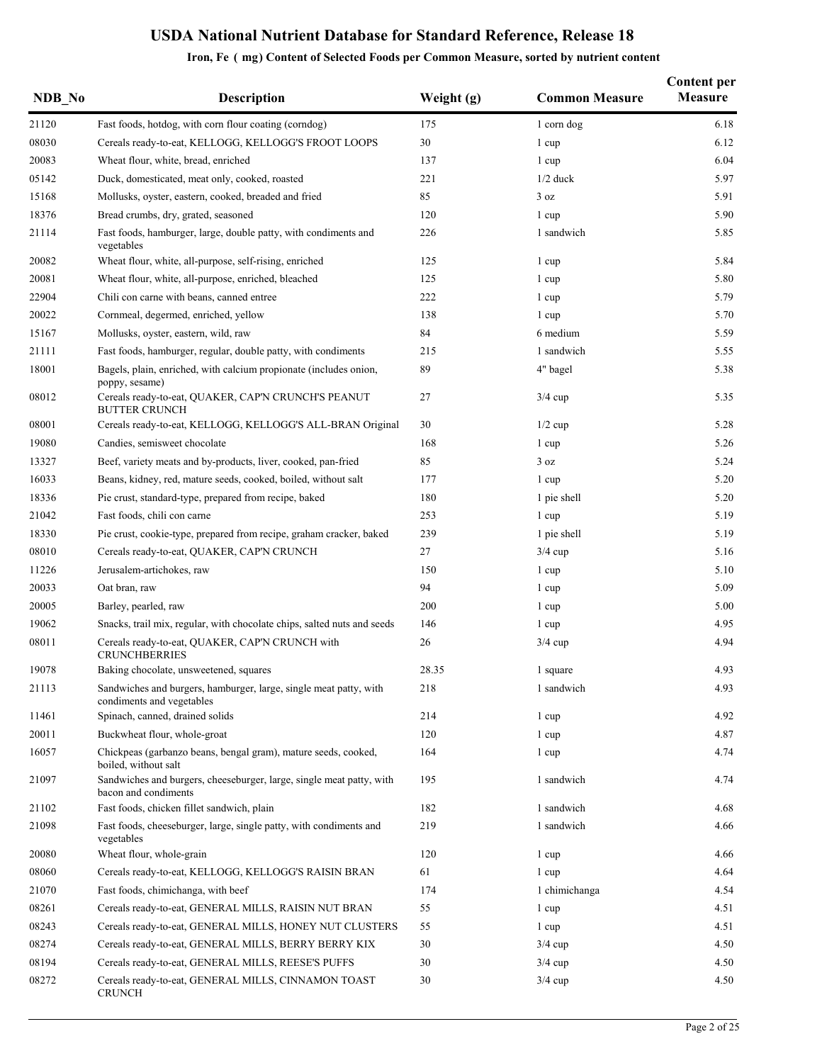| NDB No | <b>Description</b>                                                                             | Weight (g) | <b>Common Measure</b> | <b>Content per</b><br>Measure |
|--------|------------------------------------------------------------------------------------------------|------------|-----------------------|-------------------------------|
| 21120  | Fast foods, hotdog, with corn flour coating (corndog)                                          | 175        | 1 corn dog            | 6.18                          |
| 08030  | Cereals ready-to-eat, KELLOGG, KELLOGG'S FROOT LOOPS                                           | $30\,$     | 1 cup                 | 6.12                          |
| 20083  | Wheat flour, white, bread, enriched                                                            | 137        | 1 cup                 | 6.04                          |
| 05142  | Duck, domesticated, meat only, cooked, roasted                                                 | 221        | $1/2$ duck            | 5.97                          |
| 15168  | Mollusks, oyster, eastern, cooked, breaded and fried                                           | 85         | 3 oz                  | 5.91                          |
| 18376  | Bread crumbs, dry, grated, seasoned                                                            | 120        | 1 cup                 | 5.90                          |
| 21114  | Fast foods, hamburger, large, double patty, with condiments and<br>vegetables                  | 226        | 1 sandwich            | 5.85                          |
| 20082  | Wheat flour, white, all-purpose, self-rising, enriched                                         | 125        | 1 cup                 | 5.84                          |
| 20081  | Wheat flour, white, all-purpose, enriched, bleached                                            | 125        | 1 cup                 | 5.80                          |
| 22904  | Chili con carne with beans, canned entree                                                      | 222        | 1 cup                 | 5.79                          |
| 20022  | Cornmeal, degermed, enriched, yellow                                                           | 138        | 1 cup                 | 5.70                          |
| 15167  | Mollusks, oyster, eastern, wild, raw                                                           | 84         | 6 medium              | 5.59                          |
| 21111  | Fast foods, hamburger, regular, double patty, with condiments                                  | 215        | 1 sandwich            | 5.55                          |
| 18001  | Bagels, plain, enriched, with calcium propionate (includes onion,<br>poppy, sesame)            | 89         | 4" bagel              | 5.38                          |
| 08012  | Cereals ready-to-eat, QUAKER, CAP'N CRUNCH'S PEANUT<br><b>BUTTER CRUNCH</b>                    | 27         | $3/4$ cup             | 5.35                          |
| 08001  | Cereals ready-to-eat, KELLOGG, KELLOGG'S ALL-BRAN Original                                     | 30         | $1/2$ cup             | 5.28                          |
| 19080  | Candies, semisweet chocolate                                                                   | 168        | 1 cup                 | 5.26                          |
| 13327  | Beef, variety meats and by-products, liver, cooked, pan-fried                                  | 85         | 3 oz                  | 5.24                          |
| 16033  | Beans, kidney, red, mature seeds, cooked, boiled, without salt                                 | 177        | 1 cup                 | 5.20                          |
| 18336  | Pie crust, standard-type, prepared from recipe, baked                                          | 180        | 1 pie shell           | 5.20                          |
| 21042  | Fast foods, chili con carne                                                                    | 253        | 1 cup                 | 5.19                          |
| 18330  | Pie crust, cookie-type, prepared from recipe, graham cracker, baked                            | 239        | 1 pie shell           | 5.19                          |
| 08010  | Cereals ready-to-eat, QUAKER, CAP'N CRUNCH                                                     | 27         | $3/4$ cup             | 5.16                          |
| 11226  | Jerusalem-artichokes, raw                                                                      | 150        | 1 cup                 | 5.10                          |
| 20033  | Oat bran, raw                                                                                  | 94         | 1 cup                 | 5.09                          |
| 20005  | Barley, pearled, raw                                                                           | 200        | 1 cup                 | 5.00                          |
| 19062  | Snacks, trail mix, regular, with chocolate chips, salted nuts and seeds                        | 146        | 1 cup                 | 4.95                          |
| 08011  | Cereals ready-to-eat, QUAKER, CAP'N CRUNCH with<br><b>CRUNCHBERRIES</b>                        | 26         | $3/4$ cup             | 4.94                          |
| 19078  | Baking chocolate, unsweetened, squares                                                         | 28.35      | 1 square              | 4.93                          |
| 21113  | Sandwiches and burgers, hamburger, large, single meat patty, with<br>condiments and vegetables | 218        | 1 sandwich            | 4.93                          |
| 11461  | Spinach, canned, drained solids                                                                | 214        | 1 cup                 | 4.92                          |
| 20011  | Buckwheat flour, whole-groat                                                                   | 120        | 1 cup                 | 4.87                          |
| 16057  | Chickpeas (garbanzo beans, bengal gram), mature seeds, cooked,<br>boiled, without salt         | 164        | 1 cup                 | 4.74                          |
| 21097  | Sandwiches and burgers, cheeseburger, large, single meat patty, with<br>bacon and condiments   | 195        | 1 sandwich            | 4.74                          |
| 21102  | Fast foods, chicken fillet sandwich, plain                                                     | 182        | 1 sandwich            | 4.68                          |
| 21098  | Fast foods, cheeseburger, large, single patty, with condiments and<br>vegetables               | 219        | 1 sandwich            | 4.66                          |
| 20080  | Wheat flour, whole-grain                                                                       | 120        | 1 cup                 | 4.66                          |
| 08060  | Cereals ready-to-eat, KELLOGG, KELLOGG'S RAISIN BRAN                                           | 61         | 1 cup                 | 4.64                          |
| 21070  | Fast foods, chimichanga, with beef                                                             | 174        | 1 chimichanga         | 4.54                          |
| 08261  | Cereals ready-to-eat, GENERAL MILLS, RAISIN NUT BRAN                                           | 55         | 1 cup                 | 4.51                          |
| 08243  | Cereals ready-to-eat, GENERAL MILLS, HONEY NUT CLUSTERS                                        | 55         | 1 cup                 | 4.51                          |
| 08274  | Cereals ready-to-eat, GENERAL MILLS, BERRY BERRY KIX                                           | 30         | $3/4$ cup             | 4.50                          |
| 08194  | Cereals ready-to-eat, GENERAL MILLS, REESE'S PUFFS                                             | 30         | $3/4$ cup             | 4.50                          |
| 08272  | Cereals ready-to-eat, GENERAL MILLS, CINNAMON TOAST<br><b>CRUNCH</b>                           | 30         | $3/4$ cup             | 4.50                          |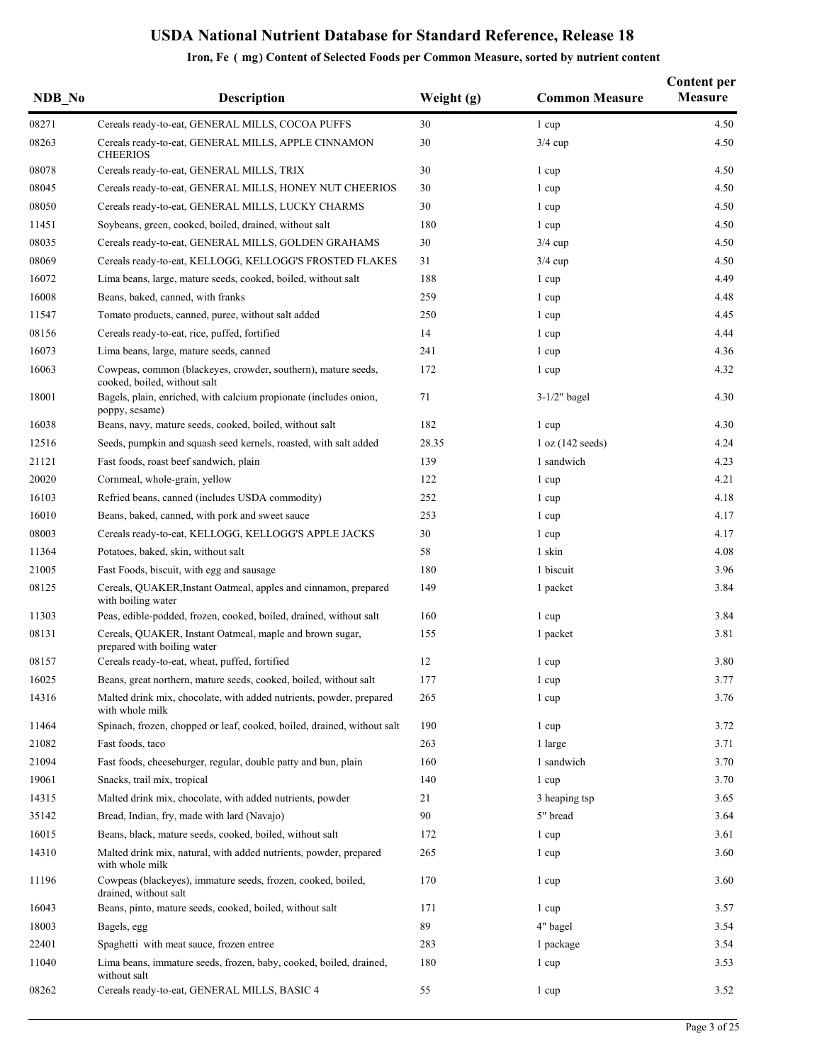| NDB No | <b>Description</b>                                                                            | Weight (g) | <b>Common Measure</b> | <b>Content per</b><br><b>Measure</b> |
|--------|-----------------------------------------------------------------------------------------------|------------|-----------------------|--------------------------------------|
| 08271  | Cereals ready-to-eat, GENERAL MILLS, COCOA PUFFS                                              | 30         | 1 cup                 | 4.50                                 |
| 08263  | Cereals ready-to-eat, GENERAL MILLS, APPLE CINNAMON<br><b>CHEERIOS</b>                        | 30         | $3/4$ cup             | 4.50                                 |
| 08078  | Cereals ready-to-eat, GENERAL MILLS, TRIX                                                     | 30         | 1 cup                 | 4.50                                 |
| 08045  | Cereals ready-to-eat, GENERAL MILLS, HONEY NUT CHEERIOS                                       | 30         | 1 cup                 | 4.50                                 |
| 08050  | Cereals ready-to-eat, GENERAL MILLS, LUCKY CHARMS                                             | 30         | 1 cup                 | 4.50                                 |
| 11451  | Soybeans, green, cooked, boiled, drained, without salt                                        | 180        | 1 cup                 | 4.50                                 |
| 08035  | Cereals ready-to-eat, GENERAL MILLS, GOLDEN GRAHAMS                                           | 30         | $3/4$ cup             | 4.50                                 |
| 08069  | Cereals ready-to-eat, KELLOGG, KELLOGG'S FROSTED FLAKES                                       | 31         | $3/4$ cup             | 4.50                                 |
| 16072  | Lima beans, large, mature seeds, cooked, boiled, without salt                                 | 188        | 1 cup                 | 4.49                                 |
| 16008  | Beans, baked, canned, with franks                                                             | 259        | 1 cup                 | 4.48                                 |
| 11547  | Tomato products, canned, puree, without salt added                                            | 250        | 1 cup                 | 4.45                                 |
| 08156  | Cereals ready-to-eat, rice, puffed, fortified                                                 | 14         | 1 cup                 | 4.44                                 |
| 16073  | Lima beans, large, mature seeds, canned                                                       | 241        | 1 cup                 | 4.36                                 |
| 16063  | Cowpeas, common (blackeyes, crowder, southern), mature seeds,<br>cooked, boiled, without salt | 172        | 1 cup                 | 4.32                                 |
| 18001  | Bagels, plain, enriched, with calcium propionate (includes onion,<br>poppy, sesame)           | 71         | $3-1/2"$ bagel        | 4.30                                 |
| 16038  | Beans, navy, mature seeds, cooked, boiled, without salt                                       | 182        | 1 cup                 | 4.30                                 |
| 12516  | Seeds, pumpkin and squash seed kernels, roasted, with salt added                              | 28.35      | 1 oz (142 seeds)      | 4.24                                 |
| 21121  | Fast foods, roast beef sandwich, plain                                                        | 139        | 1 sandwich            | 4.23                                 |
| 20020  | Cornmeal, whole-grain, yellow                                                                 | 122        | 1 cup                 | 4.21                                 |
| 16103  | Refried beans, canned (includes USDA commodity)                                               | 252        | 1 cup                 | 4.18                                 |
| 16010  | Beans, baked, canned, with pork and sweet sauce                                               | 253        | 1 cup                 | 4.17                                 |
| 08003  | Cereals ready-to-eat, KELLOGG, KELLOGG'S APPLE JACKS                                          | 30         | 1 cup                 | 4.17                                 |
| 11364  | Potatoes, baked, skin, without salt                                                           | 58         | 1 skin                | 4.08                                 |
| 21005  | Fast Foods, biscuit, with egg and sausage                                                     | 180        | 1 biscuit             | 3.96                                 |
| 08125  | Cereals, QUAKER, Instant Oatmeal, apples and cinnamon, prepared<br>with boiling water         | 149        | 1 packet              | 3.84                                 |
| 11303  | Peas, edible-podded, frozen, cooked, boiled, drained, without salt                            | 160        | 1 cup                 | 3.84                                 |
| 08131  | Cereals, QUAKER, Instant Oatmeal, maple and brown sugar,<br>prepared with boiling water       | 155        | 1 packet              | 3.81                                 |
| 08157  | Cereals ready-to-eat, wheat, puffed, fortified                                                | 12         | 1 cup                 | 3.80                                 |
| 16025  | Beans, great northern, mature seeds, cooked, boiled, without salt                             | 177        | 1 cup                 | 3.77                                 |
| 14316  | Malted drink mix, chocolate, with added nutrients, powder, prepared<br>with whole milk        | 265        | 1 cup                 | 3.76                                 |
| 11464  | Spinach, frozen, chopped or leaf, cooked, boiled, drained, without salt                       | 190        | 1 cup                 | 3.72                                 |
| 21082  | Fast foods, taco                                                                              | 263        | 1 large               | 3.71                                 |
| 21094  | Fast foods, cheeseburger, regular, double patty and bun, plain                                | 160        | 1 sandwich            | 3.70                                 |
| 19061  | Snacks, trail mix, tropical                                                                   | 140        | 1 cup                 | 3.70                                 |
| 14315  | Malted drink mix, chocolate, with added nutrients, powder                                     | 21         | 3 heaping tsp         | 3.65                                 |
| 35142  | Bread, Indian, fry, made with lard (Navajo)                                                   | 90         | 5" bread              | 3.64                                 |
| 16015  | Beans, black, mature seeds, cooked, boiled, without salt                                      | 172        | 1 cup                 | 3.61                                 |
| 14310  | Malted drink mix, natural, with added nutrients, powder, prepared<br>with whole milk          | 265        | 1 cup                 | 3.60                                 |
| 11196  | Cowpeas (blackeyes), immature seeds, frozen, cooked, boiled,<br>drained, without salt         | 170        | 1 cup                 | 3.60                                 |
| 16043  | Beans, pinto, mature seeds, cooked, boiled, without salt                                      | 171        | 1 cup                 | 3.57                                 |
| 18003  | Bagels, egg                                                                                   | 89         | 4" bagel              | 3.54                                 |
| 22401  | Spaghetti with meat sauce, frozen entree                                                      | 283        | 1 package             | 3.54                                 |
| 11040  | Lima beans, immature seeds, frozen, baby, cooked, boiled, drained,<br>without salt            | 180        | 1 cup                 | 3.53                                 |
| 08262  | Cereals ready-to-eat, GENERAL MILLS, BASIC 4                                                  | 55         | 1 cup                 | 3.52                                 |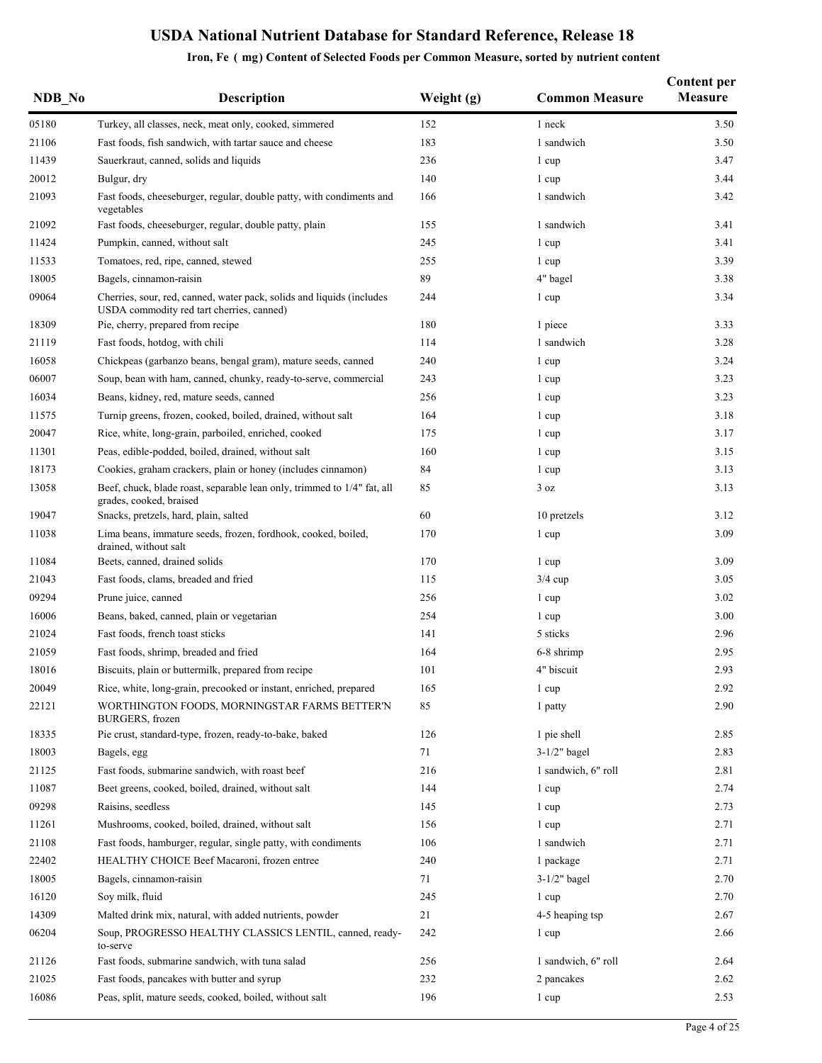| NDB No | <b>Description</b>                                                                                                 | Weight (g) | <b>Common Measure</b> | <b>Content per</b><br><b>Measure</b> |
|--------|--------------------------------------------------------------------------------------------------------------------|------------|-----------------------|--------------------------------------|
| 05180  | Turkey, all classes, neck, meat only, cooked, simmered                                                             | 152        | 1 neck                | 3.50                                 |
| 21106  | Fast foods, fish sandwich, with tartar sauce and cheese                                                            | 183        | 1 sandwich            | 3.50                                 |
| 11439  | Sauerkraut, canned, solids and liquids                                                                             | 236        | 1 cup                 | 3.47                                 |
| 20012  | Bulgur, dry                                                                                                        | 140        | 1 cup                 | 3.44                                 |
| 21093  | Fast foods, cheeseburger, regular, double patty, with condiments and<br>vegetables                                 | 166        | 1 sandwich            | 3.42                                 |
| 21092  | Fast foods, cheeseburger, regular, double patty, plain                                                             | 155        | 1 sandwich            | 3.41                                 |
| 11424  | Pumpkin, canned, without salt                                                                                      | 245        | 1 cup                 | 3.41                                 |
| 11533  | Tomatoes, red, ripe, canned, stewed                                                                                | 255        | 1 cup                 | 3.39                                 |
| 18005  | Bagels, cinnamon-raisin                                                                                            | 89         | 4" bagel              | 3.38                                 |
| 09064  | Cherries, sour, red, canned, water pack, solids and liquids (includes<br>USDA commodity red tart cherries, canned) | 244        | 1 cup                 | 3.34                                 |
| 18309  | Pie, cherry, prepared from recipe                                                                                  | 180        | 1 piece               | 3.33                                 |
| 21119  | Fast foods, hotdog, with chili                                                                                     | 114        | 1 sandwich            | 3.28                                 |
| 16058  | Chickpeas (garbanzo beans, bengal gram), mature seeds, canned                                                      | 240        | 1 cup                 | 3.24                                 |
| 06007  | Soup, bean with ham, canned, chunky, ready-to-serve, commercial                                                    | 243        | 1 cup                 | 3.23                                 |
| 16034  | Beans, kidney, red, mature seeds, canned                                                                           | 256        | 1 cup                 | 3.23                                 |
| 11575  | Turnip greens, frozen, cooked, boiled, drained, without salt                                                       | 164        | 1 cup                 | 3.18                                 |
| 20047  | Rice, white, long-grain, parboiled, enriched, cooked                                                               | 175        | 1 cup                 | 3.17                                 |
| 11301  | Peas, edible-podded, boiled, drained, without salt                                                                 | 160        | 1 cup                 | 3.15                                 |
| 18173  | Cookies, graham crackers, plain or honey (includes cinnamon)                                                       | 84         | 1 cup                 | 3.13                                 |
| 13058  | Beef, chuck, blade roast, separable lean only, trimmed to 1/4" fat, all<br>grades, cooked, braised                 | 85         | 3 oz                  | 3.13                                 |
| 19047  | Snacks, pretzels, hard, plain, salted                                                                              | 60         | 10 pretzels           | 3.12                                 |
| 11038  | Lima beans, immature seeds, frozen, fordhook, cooked, boiled,<br>drained, without salt                             | 170        | 1 cup                 | 3.09                                 |
| 11084  | Beets, canned, drained solids                                                                                      | 170        | 1 cup                 | 3.09                                 |
| 21043  | Fast foods, clams, breaded and fried                                                                               | 115        | $3/4$ cup             | 3.05                                 |
| 09294  | Prune juice, canned                                                                                                | 256        | 1 cup                 | 3.02                                 |
| 16006  | Beans, baked, canned, plain or vegetarian                                                                          | 254        | 1 cup                 | 3.00                                 |
| 21024  | Fast foods, french toast sticks                                                                                    | 141        | 5 sticks              | 2.96                                 |
| 21059  | Fast foods, shrimp, breaded and fried                                                                              | 164        | 6-8 shrimp            | 2.95                                 |
| 18016  | Biscuits, plain or buttermilk, prepared from recipe                                                                | 101        | 4" biscuit            | 2.93                                 |
| 20049  | Rice, white, long-grain, precooked or instant, enriched, prepared                                                  | 165        | 1 cup                 | 2.92                                 |
| 22121  | WORTHINGTON FOODS, MORNINGSTAR FARMS BETTER'N<br>BURGERS, frozen                                                   | 85         | 1 patty               | 2.90                                 |
| 18335  | Pie crust, standard-type, frozen, ready-to-bake, baked                                                             | 126        | 1 pie shell           | 2.85                                 |
| 18003  | Bagels, egg                                                                                                        | 71         | $3-1/2"$ bagel        | 2.83                                 |
| 21125  | Fast foods, submarine sandwich, with roast beef                                                                    | 216        | 1 sandwich, 6" roll   | 2.81                                 |
| 11087  | Beet greens, cooked, boiled, drained, without salt                                                                 | 144        | 1 cup                 | 2.74                                 |
| 09298  | Raisins, seedless                                                                                                  | 145        | 1 cup                 | 2.73                                 |
| 11261  | Mushrooms, cooked, boiled, drained, without salt                                                                   | 156        | 1 cup                 | 2.71                                 |
| 21108  | Fast foods, hamburger, regular, single patty, with condiments                                                      | 106        | 1 sandwich            | 2.71                                 |
| 22402  | HEALTHY CHOICE Beef Macaroni, frozen entree                                                                        | 240        | 1 package             | 2.71                                 |
| 18005  | Bagels, cinnamon-raisin                                                                                            | 71         | $3-1/2"$ bagel        | 2.70                                 |
| 16120  | Soy milk, fluid                                                                                                    | 245        | 1 cup                 | 2.70                                 |
| 14309  | Malted drink mix, natural, with added nutrients, powder                                                            | 21         | 4-5 heaping tsp       | 2.67                                 |
| 06204  | Soup, PROGRESSO HEALTHY CLASSICS LENTIL, canned, ready-<br>to-serve                                                | 242        | 1 cup                 | 2.66                                 |
| 21126  | Fast foods, submarine sandwich, with tuna salad                                                                    | 256        | 1 sandwich, 6" roll   | 2.64                                 |
| 21025  | Fast foods, pancakes with butter and syrup                                                                         | 232        | 2 pancakes            | 2.62                                 |
| 16086  | Peas, split, mature seeds, cooked, boiled, without salt                                                            | 196        | 1 cup                 | 2.53                                 |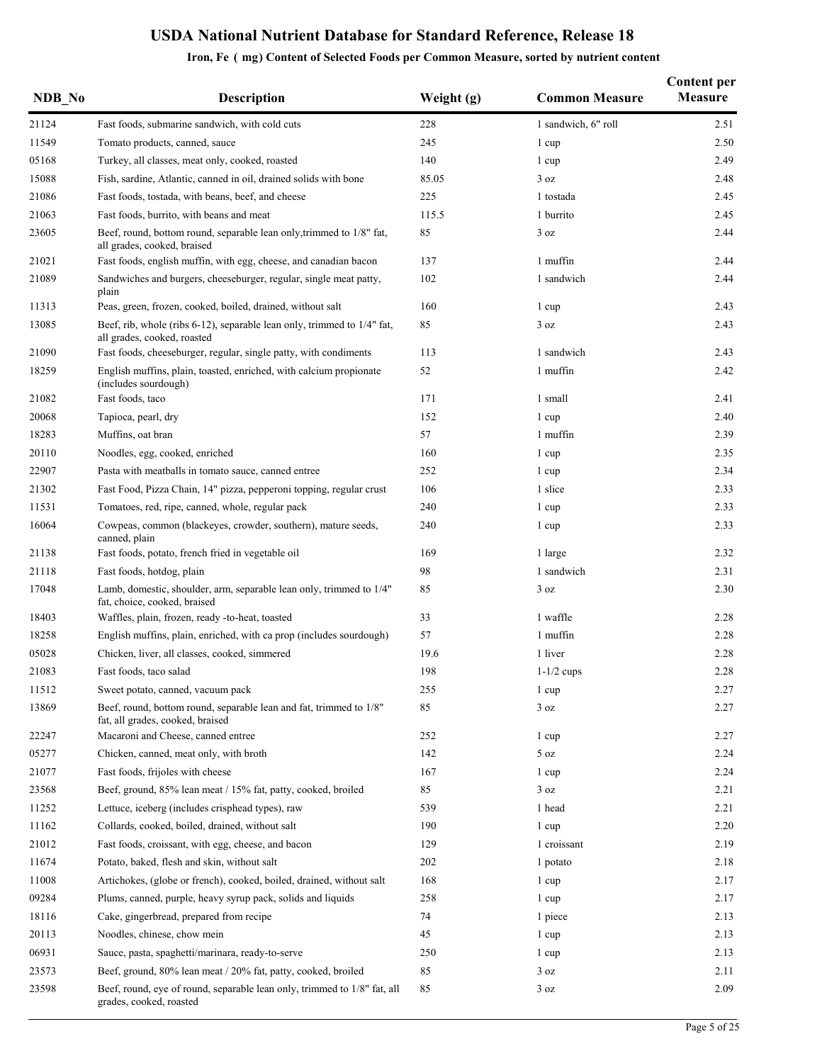| NDB No | <b>Description</b>                                                                                     | Weight (g) | <b>Common Measure</b> | <b>Content per</b><br>Measure |
|--------|--------------------------------------------------------------------------------------------------------|------------|-----------------------|-------------------------------|
| 21124  | Fast foods, submarine sandwich, with cold cuts                                                         | 228        | 1 sandwich, 6" roll   | 2.51                          |
| 11549  | Tomato products, canned, sauce                                                                         | 245        | 1 cup                 | 2.50                          |
| 05168  | Turkey, all classes, meat only, cooked, roasted                                                        | 140        | 1 cup                 | 2.49                          |
| 15088  | Fish, sardine, Atlantic, canned in oil, drained solids with bone                                       | 85.05      | 3 oz                  | 2.48                          |
| 21086  | Fast foods, tostada, with beans, beef, and cheese                                                      | 225        | 1 tostada             | 2.45                          |
| 21063  | Fast foods, burrito, with beans and meat                                                               | 115.5      | 1 burrito             | 2.45                          |
| 23605  | Beef, round, bottom round, separable lean only, trimmed to 1/8" fat,<br>all grades, cooked, braised    | 85         | 3 oz                  | 2.44                          |
| 21021  | Fast foods, english muffin, with egg, cheese, and canadian bacon                                       | 137        | 1 muffin              | 2.44                          |
| 21089  | Sandwiches and burgers, cheeseburger, regular, single meat patty,<br>plain                             | 102        | 1 sandwich            | 2.44                          |
| 11313  | Peas, green, frozen, cooked, boiled, drained, without salt                                             | 160        | 1 cup                 | 2.43                          |
| 13085  | Beef, rib, whole (ribs 6-12), separable lean only, trimmed to 1/4" fat,<br>all grades, cooked, roasted | 85         | 3 oz                  | 2.43                          |
| 21090  | Fast foods, cheeseburger, regular, single patty, with condiments                                       | 113        | 1 sandwich            | 2.43                          |
| 18259  | English muffins, plain, toasted, enriched, with calcium propionate<br>(includes sourdough)             | 52         | 1 muffin              | 2.42                          |
| 21082  | Fast foods, taco                                                                                       | 171        | 1 small               | 2.41                          |
| 20068  | Tapioca, pearl, dry                                                                                    | 152        | 1 cup                 | 2.40                          |
| 18283  | Muffins, oat bran                                                                                      | 57         | 1 muffin              | 2.39                          |
| 20110  | Noodles, egg, cooked, enriched                                                                         | 160        | 1 cup                 | 2.35                          |
| 22907  | Pasta with meatballs in tomato sauce, canned entree                                                    | 252        | 1 cup                 | 2.34                          |
| 21302  | Fast Food, Pizza Chain, 14" pizza, pepperoni topping, regular crust                                    | 106        | 1 slice               | 2.33                          |
| 11531  | Tomatoes, red, ripe, canned, whole, regular pack                                                       | 240        | 1 cup                 | 2.33                          |
| 16064  | Cowpeas, common (blackeyes, crowder, southern), mature seeds,<br>canned, plain                         | 240        | 1 cup                 | 2.33                          |
| 21138  | Fast foods, potato, french fried in vegetable oil                                                      | 169        | 1 large               | 2.32                          |
| 21118  | Fast foods, hotdog, plain                                                                              | 98         | 1 sandwich            | 2.31                          |
| 17048  | Lamb, domestic, shoulder, arm, separable lean only, trimmed to 1/4"<br>fat, choice, cooked, braised    | 85         | 3 oz                  | 2.30                          |
| 18403  | Waffles, plain, frozen, ready -to-heat, toasted                                                        | 33         | 1 waffle              | 2.28                          |
| 18258  | English muffins, plain, enriched, with ca prop (includes sourdough)                                    | 57         | 1 muffin              | 2.28                          |
| 05028  | Chicken, liver, all classes, cooked, simmered                                                          | 19.6       | 1 liver               | 2.28                          |
| 21083  | Fast foods, taco salad                                                                                 | 198        | $1-1/2$ cups          | 2.28                          |
| 11512  | Sweet potato, canned, vacuum pack                                                                      | 255        | 1 cup                 | 2.27                          |
| 13869  | Beef, round, bottom round, separable lean and fat, trimmed to 1/8"<br>fat, all grades, cooked, braised | 85         | 3 oz                  | 2.27                          |
| 22247  | Macaroni and Cheese, canned entree                                                                     | 252        | 1 cup                 | 2.27                          |
| 05277  | Chicken, canned, meat only, with broth                                                                 | 142        | 5 oz                  | 2.24                          |
| 21077  | Fast foods, frijoles with cheese                                                                       | 167        | 1 cup                 | 2.24                          |
| 23568  | Beef, ground, 85% lean meat / 15% fat, patty, cooked, broiled                                          | 85         | 3 oz                  | 2.21                          |
| 11252  | Lettuce, iceberg (includes crisphead types), raw                                                       | 539        | 1 head                | 2.21                          |
| 11162  | Collards, cooked, boiled, drained, without salt                                                        | 190        | 1 cup                 | 2.20                          |
| 21012  | Fast foods, croissant, with egg, cheese, and bacon                                                     | 129        | 1 croissant           | 2.19                          |
| 11674  | Potato, baked, flesh and skin, without salt                                                            | 202        | 1 potato              | 2.18                          |
| 11008  | Artichokes, (globe or french), cooked, boiled, drained, without salt                                   | 168        | 1 cup                 | 2.17                          |
| 09284  | Plums, canned, purple, heavy syrup pack, solids and liquids                                            | 258        | 1 cup                 | 2.17                          |
| 18116  | Cake, gingerbread, prepared from recipe                                                                | 74         | 1 piece               | 2.13                          |
| 20113  | Noodles, chinese, chow mein                                                                            | 45         | 1 cup                 | 2.13                          |
| 06931  | Sauce, pasta, spaghetti/marinara, ready-to-serve                                                       | 250        | 1 cup                 | 2.13                          |
| 23573  | Beef, ground, 80% lean meat / 20% fat, patty, cooked, broiled                                          | 85         | 3 oz                  | 2.11                          |
| 23598  | Beef, round, eye of round, separable lean only, trimmed to 1/8" fat, all<br>grades, cooked, roasted    | 85         | 3 oz                  | 2.09                          |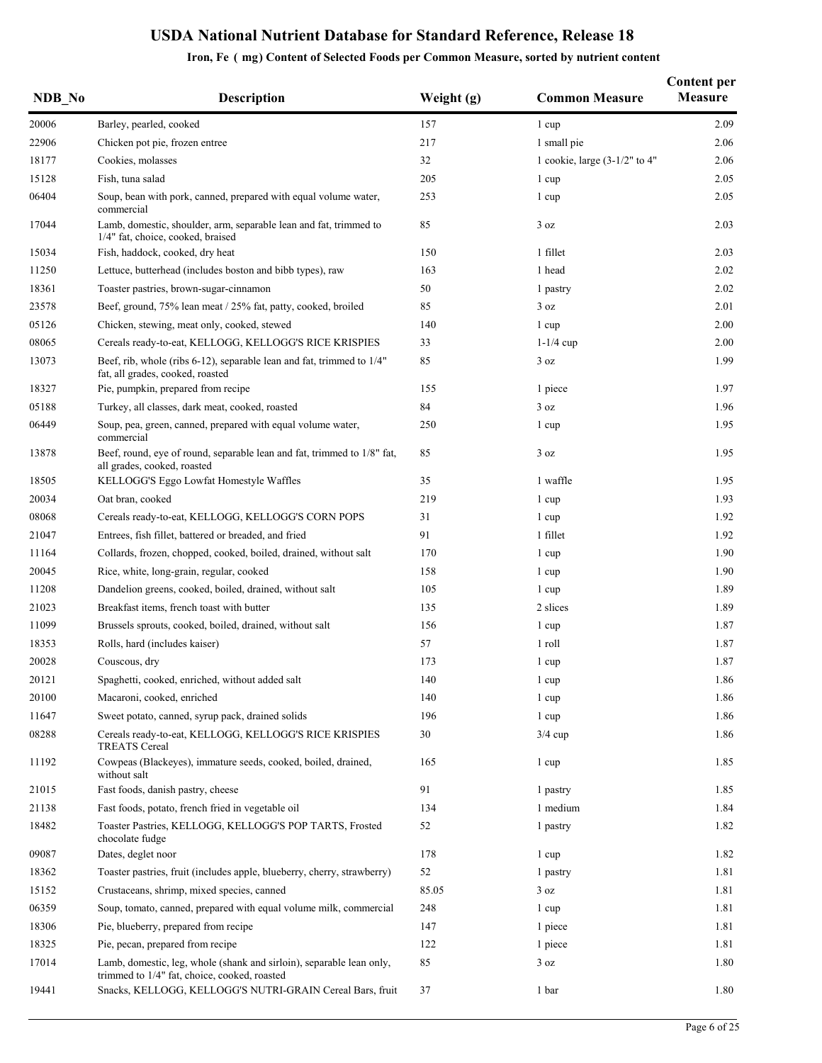| NDB No | <b>Description</b>                                                                                                   | Weight (g) | <b>Common Measure</b>           | <b>Content per</b><br><b>Measure</b> |
|--------|----------------------------------------------------------------------------------------------------------------------|------------|---------------------------------|--------------------------------------|
| 20006  | Barley, pearled, cooked                                                                                              | 157        | 1 cup                           | 2.09                                 |
| 22906  | Chicken pot pie, frozen entree                                                                                       | 217        | 1 small pie                     | 2.06                                 |
| 18177  | Cookies, molasses                                                                                                    | 32         | 1 cookie, large $(3-1/2"$ to 4" | 2.06                                 |
| 15128  | Fish, tuna salad                                                                                                     | 205        | 1 cup                           | 2.05                                 |
| 06404  | Soup, bean with pork, canned, prepared with equal volume water,<br>commercial                                        | 253        | 1 cup                           | 2.05                                 |
| 17044  | Lamb, domestic, shoulder, arm, separable lean and fat, trimmed to<br>1/4" fat, choice, cooked, braised               | 85         | 3 oz                            | 2.03                                 |
| 15034  | Fish, haddock, cooked, dry heat                                                                                      | 150        | 1 fillet                        | 2.03                                 |
| 11250  | Lettuce, butterhead (includes boston and bibb types), raw                                                            | 163        | 1 head                          | 2.02                                 |
| 18361  | Toaster pastries, brown-sugar-cinnamon                                                                               | 50         | 1 pastry                        | 2.02                                 |
| 23578  | Beef, ground, 75% lean meat / 25% fat, patty, cooked, broiled                                                        | 85         | 3 oz                            | 2.01                                 |
| 05126  | Chicken, stewing, meat only, cooked, stewed                                                                          | 140        | 1 cup                           | 2.00                                 |
| 08065  | Cereals ready-to-eat, KELLOGG, KELLOGG'S RICE KRISPIES                                                               | 33         | $1-1/4$ cup                     | 2.00                                 |
| 13073  | Beef, rib, whole (ribs 6-12), separable lean and fat, trimmed to 1/4"<br>fat, all grades, cooked, roasted            | 85         | 3 oz                            | 1.99                                 |
| 18327  | Pie, pumpkin, prepared from recipe                                                                                   | 155        | 1 piece                         | 1.97                                 |
| 05188  | Turkey, all classes, dark meat, cooked, roasted                                                                      | 84         | 3 oz                            | 1.96                                 |
| 06449  | Soup, pea, green, canned, prepared with equal volume water,<br>commercial                                            | 250        | 1 cup                           | 1.95                                 |
| 13878  | Beef, round, eye of round, separable lean and fat, trimmed to 1/8" fat,<br>all grades, cooked, roasted               | 85         | 3 oz                            | 1.95                                 |
| 18505  | KELLOGG'S Eggo Lowfat Homestyle Waffles                                                                              | 35         | 1 waffle                        | 1.95                                 |
| 20034  | Oat bran, cooked                                                                                                     | 219        | 1 cup                           | 1.93                                 |
| 08068  | Cereals ready-to-eat, KELLOGG, KELLOGG'S CORN POPS                                                                   | 31         | 1 cup                           | 1.92                                 |
| 21047  | Entrees, fish fillet, battered or breaded, and fried                                                                 | 91         | 1 fillet                        | 1.92                                 |
| 11164  | Collards, frozen, chopped, cooked, boiled, drained, without salt                                                     | 170        | 1 cup                           | 1.90                                 |
| 20045  | Rice, white, long-grain, regular, cooked                                                                             | 158        | 1 cup                           | 1.90                                 |
| 11208  | Dandelion greens, cooked, boiled, drained, without salt                                                              | 105        | 1 cup                           | 1.89                                 |
| 21023  | Breakfast items, french toast with butter                                                                            | 135        | 2 slices                        | 1.89                                 |
| 11099  | Brussels sprouts, cooked, boiled, drained, without salt                                                              | 156        | 1 cup                           | 1.87                                 |
| 18353  | Rolls, hard (includes kaiser)                                                                                        | 57         | 1 roll                          | 1.87                                 |
| 20028  | Couscous, dry                                                                                                        | 173        | 1 cup                           | 1.87                                 |
| 20121  | Spaghetti, cooked, enriched, without added salt                                                                      | 140        | 1 cup                           | 1.86                                 |
| 20100  | Macaroni, cooked, enriched                                                                                           | 140        | 1 cup                           | 1.86                                 |
| 11647  | Sweet potato, canned, syrup pack, drained solids                                                                     | 196        | 1 cup                           | 1.86                                 |
| 08288  | Cereals ready-to-eat, KELLOGG, KELLOGG'S RICE KRISPIES<br><b>TREATS Cereal</b>                                       | 30         | $3/4$ cup                       | 1.86                                 |
| 11192  | Cowpeas (Blackeyes), immature seeds, cooked, boiled, drained,<br>without salt                                        | 165        | 1 cup                           | 1.85                                 |
| 21015  | Fast foods, danish pastry, cheese                                                                                    | 91         | 1 pastry                        | 1.85                                 |
| 21138  | Fast foods, potato, french fried in vegetable oil                                                                    | 134        | 1 medium                        | 1.84                                 |
| 18482  | Toaster Pastries, KELLOGG, KELLOGG'S POP TARTS, Frosted<br>chocolate fudge                                           | 52         | 1 pastry                        | 1.82                                 |
| 09087  | Dates, deglet noor                                                                                                   | 178        | 1 cup                           | 1.82                                 |
| 18362  | Toaster pastries, fruit (includes apple, blueberry, cherry, strawberry)                                              | 52         | 1 pastry                        | 1.81                                 |
| 15152  | Crustaceans, shrimp, mixed species, canned                                                                           | 85.05      | 3 oz                            | 1.81                                 |
| 06359  | Soup, tomato, canned, prepared with equal volume milk, commercial                                                    | 248        | 1 cup                           | 1.81                                 |
| 18306  | Pie, blueberry, prepared from recipe                                                                                 | 147        | 1 piece                         | 1.81                                 |
| 18325  | Pie, pecan, prepared from recipe                                                                                     | 122        | 1 piece                         | 1.81                                 |
| 17014  | Lamb, domestic, leg, whole (shank and sirloin), separable lean only,<br>trimmed to 1/4" fat, choice, cooked, roasted | 85         | 3 oz                            | 1.80                                 |
| 19441  | Snacks, KELLOGG, KELLOGG'S NUTRI-GRAIN Cereal Bars, fruit                                                            | 37         | 1 bar                           | 1.80                                 |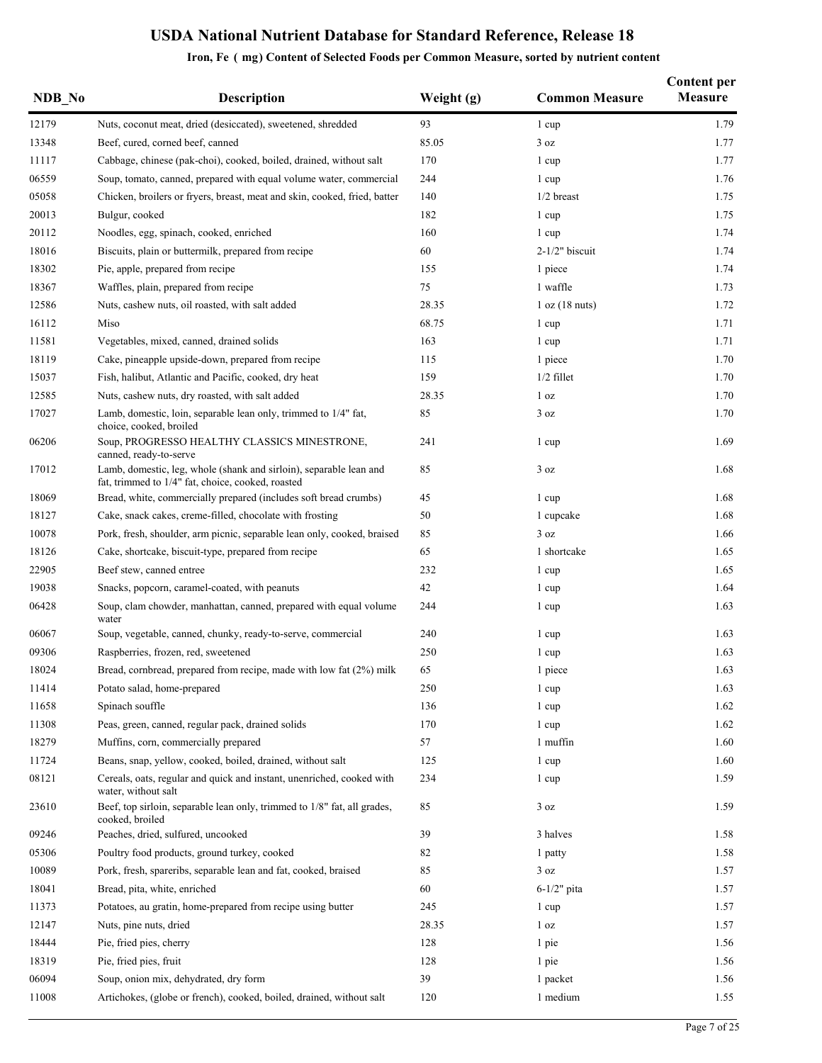| NDB No | <b>Description</b>                                                                                                      | Weight (g) | <b>Common Measure</b> | <b>Content per</b><br><b>Measure</b> |
|--------|-------------------------------------------------------------------------------------------------------------------------|------------|-----------------------|--------------------------------------|
| 12179  | Nuts, coconut meat, dried (desiccated), sweetened, shredded                                                             | 93         | 1 cup                 | 1.79                                 |
| 13348  | Beef, cured, corned beef, canned                                                                                        | 85.05      | 3 oz                  | 1.77                                 |
| 11117  | Cabbage, chinese (pak-choi), cooked, boiled, drained, without salt                                                      | 170        | 1 cup                 | 1.77                                 |
| 06559  | Soup, tomato, canned, prepared with equal volume water, commercial                                                      | 244        | 1 cup                 | 1.76                                 |
| 05058  | Chicken, broilers or fryers, breast, meat and skin, cooked, fried, batter                                               | 140        | $1/2$ breast          | 1.75                                 |
| 20013  | Bulgur, cooked                                                                                                          | 182        | 1 cup                 | 1.75                                 |
| 20112  | Noodles, egg, spinach, cooked, enriched                                                                                 | 160        | 1 cup                 | 1.74                                 |
| 18016  | Biscuits, plain or buttermilk, prepared from recipe                                                                     | 60         | $2-1/2"$ biscuit      | 1.74                                 |
| 18302  | Pie, apple, prepared from recipe                                                                                        | 155        | 1 piece               | 1.74                                 |
| 18367  | Waffles, plain, prepared from recipe                                                                                    | 75         | 1 waffle              | 1.73                                 |
| 12586  | Nuts, cashew nuts, oil roasted, with salt added                                                                         | 28.35      | 1 oz (18 nuts)        | 1.72                                 |
| 16112  | Miso                                                                                                                    | 68.75      | 1 cup                 | 1.71                                 |
| 11581  | Vegetables, mixed, canned, drained solids                                                                               | 163        | 1 cup                 | 1.71                                 |
| 18119  | Cake, pineapple upside-down, prepared from recipe                                                                       | 115        | 1 piece               | 1.70                                 |
| 15037  | Fish, halibut, Atlantic and Pacific, cooked, dry heat                                                                   | 159        | $1/2$ fillet          | 1.70                                 |
| 12585  | Nuts, cashew nuts, dry roasted, with salt added                                                                         | 28.35      | 1 <sub>oz</sub>       | 1.70                                 |
| 17027  | Lamb, domestic, loin, separable lean only, trimmed to 1/4" fat,<br>choice, cooked, broiled                              | 85         | 3 oz                  | 1.70                                 |
| 06206  | Soup, PROGRESSO HEALTHY CLASSICS MINESTRONE,<br>canned, ready-to-serve                                                  | 241        | 1 cup                 | 1.69                                 |
| 17012  | Lamb, domestic, leg, whole (shank and sirloin), separable lean and<br>fat, trimmed to 1/4" fat, choice, cooked, roasted | 85         | 3 oz                  | 1.68                                 |
| 18069  | Bread, white, commercially prepared (includes soft bread crumbs)                                                        | 45         | 1 cup                 | 1.68                                 |
| 18127  | Cake, snack cakes, creme-filled, chocolate with frosting                                                                | 50         | 1 cupcake             | 1.68                                 |
| 10078  | Pork, fresh, shoulder, arm picnic, separable lean only, cooked, braised                                                 | 85         | 3 oz                  | 1.66                                 |
| 18126  | Cake, shortcake, biscuit-type, prepared from recipe                                                                     | 65         | 1 shortcake           | 1.65                                 |
| 22905  | Beef stew, canned entree                                                                                                | 232        | 1 cup                 | 1.65                                 |
| 19038  | Snacks, popcorn, caramel-coated, with peanuts                                                                           | 42         | 1 cup                 | 1.64                                 |
| 06428  | Soup, clam chowder, manhattan, canned, prepared with equal volume<br>water                                              | 244        | 1 cup                 | 1.63                                 |
| 06067  | Soup, vegetable, canned, chunky, ready-to-serve, commercial                                                             | 240        | 1 cup                 | 1.63                                 |
| 09306  | Raspberries, frozen, red, sweetened                                                                                     | 250        | 1 cup                 | 1.63                                 |
| 18024  | Bread, cornbread, prepared from recipe, made with low fat (2%) milk                                                     | 65         | 1 piece               | 1.63                                 |
| 11414  | Potato salad, home-prepared                                                                                             | 250        | 1 cup                 | 1.63                                 |
| 11658  | Spinach souffle                                                                                                         | 136        | 1 cup                 | 1.62                                 |
| 11308  | Peas, green, canned, regular pack, drained solids                                                                       | 170        | 1 cup                 | 1.62                                 |
| 18279  | Muffins, corn, commercially prepared                                                                                    | 57         | 1 muffin              | 1.60                                 |
| 11724  | Beans, snap, yellow, cooked, boiled, drained, without salt                                                              | 125        | 1 cup                 | 1.60                                 |
| 08121  | Cereals, oats, regular and quick and instant, unenriched, cooked with<br>water, without salt                            | 234        | 1 cup                 | 1.59                                 |
| 23610  | Beef, top sirloin, separable lean only, trimmed to 1/8" fat, all grades,<br>cooked, broiled                             | 85         | 3 oz                  | 1.59                                 |
| 09246  | Peaches, dried, sulfured, uncooked                                                                                      | 39         | 3 halves              | 1.58                                 |
| 05306  | Poultry food products, ground turkey, cooked                                                                            | 82         | 1 patty               | 1.58                                 |
| 10089  | Pork, fresh, spareribs, separable lean and fat, cooked, braised                                                         | 85         | 3 oz                  | 1.57                                 |
| 18041  | Bread, pita, white, enriched                                                                                            | 60         | $6-1/2"$ pita         | 1.57                                 |
| 11373  | Potatoes, au gratin, home-prepared from recipe using butter                                                             | 245        | 1 cup                 | 1.57                                 |
| 12147  | Nuts, pine nuts, dried                                                                                                  | 28.35      | 1 <sub>oz</sub>       | 1.57                                 |
| 18444  | Pie, fried pies, cherry                                                                                                 | 128        | 1 pie                 | 1.56                                 |
| 18319  | Pie, fried pies, fruit                                                                                                  | 128        | 1 pie                 | 1.56                                 |
| 06094  | Soup, onion mix, dehydrated, dry form                                                                                   | 39         | 1 packet              | 1.56                                 |
| 11008  | Artichokes, (globe or french), cooked, boiled, drained, without salt                                                    | 120        | 1 medium              | 1.55                                 |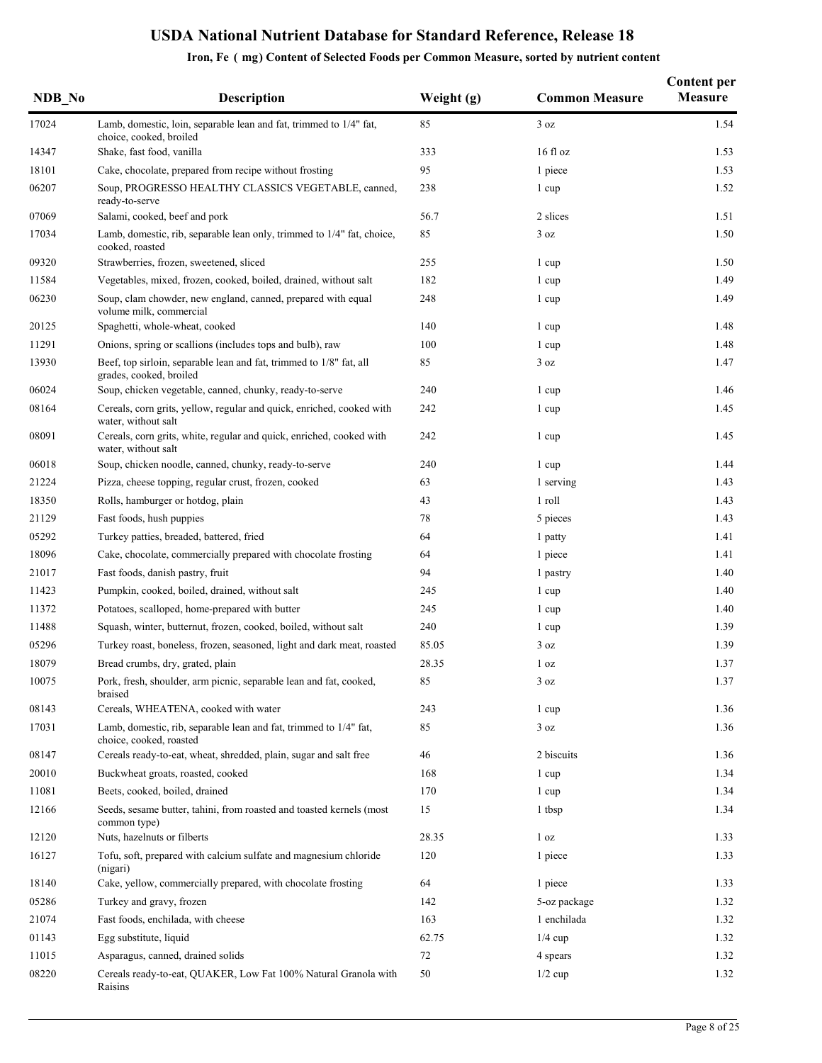| NDB No | <b>Description</b>                                                                             | Weight $(g)$ | <b>Common Measure</b> | <b>Content per</b><br><b>Measure</b> |
|--------|------------------------------------------------------------------------------------------------|--------------|-----------------------|--------------------------------------|
| 17024  | Lamb, domestic, loin, separable lean and fat, trimmed to 1/4" fat,<br>choice, cooked, broiled  | 85           | 3 oz                  | 1.54                                 |
| 14347  | Shake, fast food, vanilla                                                                      | 333          | $16f$ l oz            | 1.53                                 |
| 18101  | Cake, chocolate, prepared from recipe without frosting                                         | 95           | 1 piece               | 1.53                                 |
| 06207  | Soup, PROGRESSO HEALTHY CLASSICS VEGETABLE, canned,<br>ready-to-serve                          | 238          | 1 cup                 | 1.52                                 |
| 07069  | Salami, cooked, beef and pork                                                                  | 56.7         | 2 slices              | 1.51                                 |
| 17034  | Lamb, domestic, rib, separable lean only, trimmed to 1/4" fat, choice,<br>cooked, roasted      | 85           | 3 oz                  | 1.50                                 |
| 09320  | Strawberries, frozen, sweetened, sliced                                                        | 255          | 1 cup                 | 1.50                                 |
| 11584  | Vegetables, mixed, frozen, cooked, boiled, drained, without salt                               | 182          | 1 cup                 | 1.49                                 |
| 06230  | Soup, clam chowder, new england, canned, prepared with equal<br>volume milk, commercial        | 248          | 1 cup                 | 1.49                                 |
| 20125  | Spaghetti, whole-wheat, cooked                                                                 | 140          | 1 cup                 | 1.48                                 |
| 11291  | Onions, spring or scallions (includes tops and bulb), raw                                      | 100          | 1 cup                 | 1.48                                 |
| 13930  | Beef, top sirloin, separable lean and fat, trimmed to 1/8" fat, all<br>grades, cooked, broiled | 85           | 3 oz                  | 1.47                                 |
| 06024  | Soup, chicken vegetable, canned, chunky, ready-to-serve                                        | 240          | 1 cup                 | 1.46                                 |
| 08164  | Cereals, corn grits, yellow, regular and quick, enriched, cooked with<br>water, without salt   | 242          | 1 cup                 | 1.45                                 |
| 08091  | Cereals, corn grits, white, regular and quick, enriched, cooked with<br>water, without salt    | 242          | 1 cup                 | 1.45                                 |
| 06018  | Soup, chicken noodle, canned, chunky, ready-to-serve                                           | 240          | 1 cup                 | 1.44                                 |
| 21224  | Pizza, cheese topping, regular crust, frozen, cooked                                           | 63           | 1 serving             | 1.43                                 |
| 18350  | Rolls, hamburger or hotdog, plain                                                              | 43           | 1 roll                | 1.43                                 |
| 21129  | Fast foods, hush puppies                                                                       | 78           | 5 pieces              | 1.43                                 |
| 05292  | Turkey patties, breaded, battered, fried                                                       | 64           | 1 patty               | 1.41                                 |
| 18096  | Cake, chocolate, commercially prepared with chocolate frosting                                 | 64           | 1 piece               | 1.41                                 |
| 21017  | Fast foods, danish pastry, fruit                                                               | 94           | 1 pastry              | 1.40                                 |
| 11423  | Pumpkin, cooked, boiled, drained, without salt                                                 | 245          | 1 cup                 | 1.40                                 |
| 11372  | Potatoes, scalloped, home-prepared with butter                                                 | 245          | 1 cup                 | 1.40                                 |
| 11488  | Squash, winter, butternut, frozen, cooked, boiled, without salt                                | 240          | 1 cup                 | 1.39                                 |
| 05296  | Turkey roast, boneless, frozen, seasoned, light and dark meat, roasted                         | 85.05        | 3 oz                  | 1.39                                 |
| 18079  | Bread crumbs, dry, grated, plain                                                               | 28.35        | 1 <sub>oz</sub>       | 1.37                                 |
| 10075  | Pork, fresh, shoulder, arm picnic, separable lean and fat, cooked,<br>braised                  | 85           | 3 oz                  | 1.37                                 |
| 08143  | Cereals, WHEATENA, cooked with water                                                           | 243          | 1 cup                 | 1.36                                 |
| 17031  | Lamb, domestic, rib, separable lean and fat, trimmed to 1/4" fat,<br>choice, cooked, roasted   | 85           | 3 oz                  | 1.36                                 |
| 08147  | Cereals ready-to-eat, wheat, shredded, plain, sugar and salt free                              | 46           | 2 biscuits            | 1.36                                 |
| 20010  | Buckwheat groats, roasted, cooked                                                              | 168          | 1 cup                 | 1.34                                 |
| 11081  | Beets, cooked, boiled, drained                                                                 | 170          | 1 cup                 | 1.34                                 |
| 12166  | Seeds, sesame butter, tahini, from roasted and toasted kernels (most<br>common type)           | 15           | 1 tbsp                | 1.34                                 |
| 12120  | Nuts, hazelnuts or filberts                                                                    | 28.35        | 1 <sub>oz</sub>       | 1.33                                 |
| 16127  | Tofu, soft, prepared with calcium sulfate and magnesium chloride<br>(nigari)                   | 120          | 1 piece               | 1.33                                 |
| 18140  | Cake, yellow, commercially prepared, with chocolate frosting                                   | 64           | 1 piece               | 1.33                                 |
| 05286  | Turkey and gravy, frozen                                                                       | 142          | 5-oz package          | 1.32                                 |
| 21074  | Fast foods, enchilada, with cheese                                                             | 163          | 1 enchilada           | 1.32                                 |
| 01143  | Egg substitute, liquid                                                                         | 62.75        | $1/4$ cup             | 1.32                                 |
| 11015  | Asparagus, canned, drained solids                                                              | 72           | 4 spears              | 1.32                                 |
| 08220  | Cereals ready-to-eat, QUAKER, Low Fat 100% Natural Granola with<br>Raisins                     | 50           | $1/2$ cup             | 1.32                                 |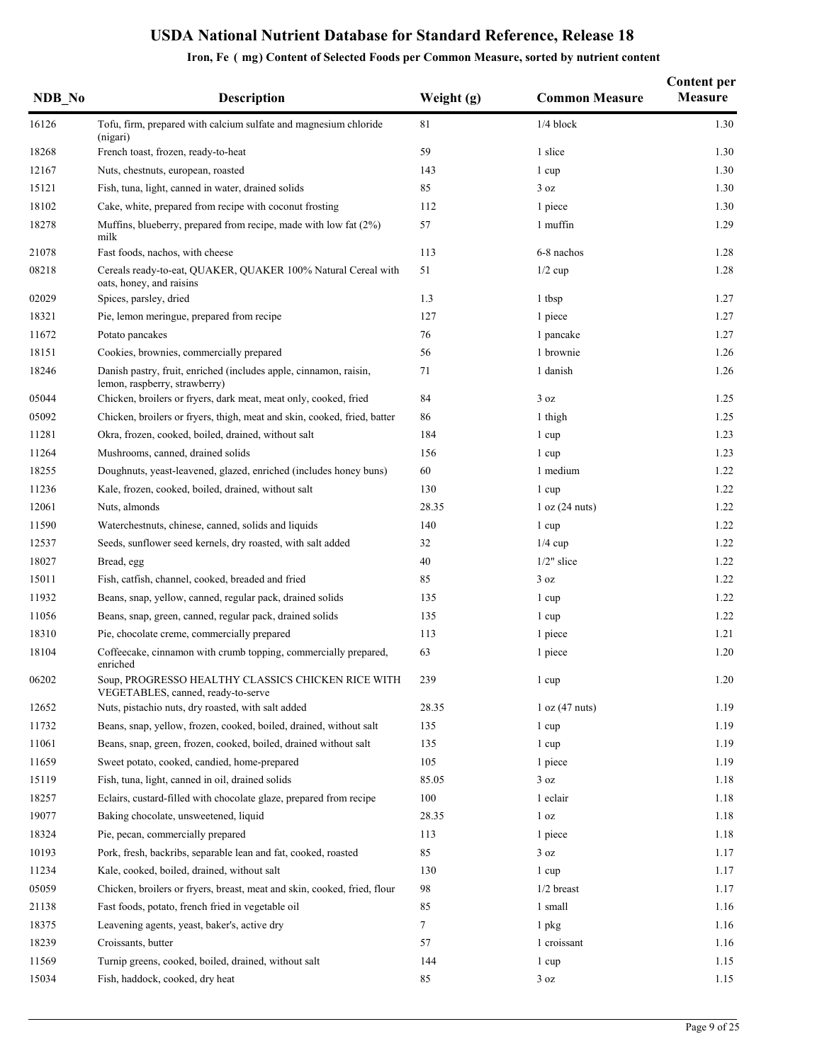| NDB No | <b>Description</b>                                                                                 | Weight (g) | <b>Common Measure</b> | <b>Content per</b><br><b>Measure</b> |
|--------|----------------------------------------------------------------------------------------------------|------------|-----------------------|--------------------------------------|
| 16126  | Tofu, firm, prepared with calcium sulfate and magnesium chloride<br>(nigari)                       | 81         | $1/4$ block           | 1.30                                 |
| 18268  | French toast, frozen, ready-to-heat                                                                | 59         | 1 slice               | 1.30                                 |
| 12167  | Nuts, chestnuts, european, roasted                                                                 | 143        | 1 cup                 | 1.30                                 |
| 15121  | Fish, tuna, light, canned in water, drained solids                                                 | 85         | 3 oz                  | 1.30                                 |
| 18102  | Cake, white, prepared from recipe with coconut frosting                                            | 112        | 1 piece               | 1.30                                 |
| 18278  | Muffins, blueberry, prepared from recipe, made with low fat (2%)<br>milk                           | 57         | 1 muffin              | 1.29                                 |
| 21078  | Fast foods, nachos, with cheese                                                                    | 113        | 6-8 nachos            | 1.28                                 |
| 08218  | Cereals ready-to-eat, QUAKER, QUAKER 100% Natural Cereal with<br>oats, honey, and raisins          | 51         | $1/2$ cup             | 1.28                                 |
| 02029  | Spices, parsley, dried                                                                             | 1.3        | 1 tbsp                | 1.27                                 |
| 18321  | Pie, lemon meringue, prepared from recipe                                                          | 127        | 1 piece               | 1.27                                 |
| 11672  | Potato pancakes                                                                                    | 76         | 1 pancake             | 1.27                                 |
| 18151  | Cookies, brownies, commercially prepared                                                           | 56         | 1 brownie             | 1.26                                 |
| 18246  | Danish pastry, fruit, enriched (includes apple, cinnamon, raisin,<br>lemon, raspberry, strawberry) | 71         | 1 danish              | 1.26                                 |
| 05044  | Chicken, broilers or fryers, dark meat, meat only, cooked, fried                                   | 84         | 3 oz                  | 1.25                                 |
| 05092  | Chicken, broilers or fryers, thigh, meat and skin, cooked, fried, batter                           | 86         | 1 thigh               | 1.25                                 |
| 11281  | Okra, frozen, cooked, boiled, drained, without salt                                                | 184        | 1 cup                 | 1.23                                 |
| 11264  | Mushrooms, canned, drained solids                                                                  | 156        | 1 cup                 | 1.23                                 |
| 18255  | Doughnuts, yeast-leavened, glazed, enriched (includes honey buns)                                  | 60         | 1 medium              | 1.22                                 |
| 11236  | Kale, frozen, cooked, boiled, drained, without salt                                                | 130        | 1 cup                 | 1.22                                 |
| 12061  | Nuts, almonds                                                                                      | 28.35      | 1 oz (24 nuts)        | 1.22                                 |
| 11590  | Waterchestnuts, chinese, canned, solids and liquids                                                | 140        | 1 cup                 | 1.22                                 |
| 12537  | Seeds, sunflower seed kernels, dry roasted, with salt added                                        | 32         | $1/4$ cup             | 1.22                                 |
| 18027  | Bread, egg                                                                                         | 40         | $1/2$ " slice         | 1.22                                 |
| 15011  | Fish, catfish, channel, cooked, breaded and fried                                                  | 85         | 3 oz                  | 1.22                                 |
| 11932  | Beans, snap, yellow, canned, regular pack, drained solids                                          | 135        | 1 cup                 | 1.22                                 |
| 11056  | Beans, snap, green, canned, regular pack, drained solids                                           | 135        | 1 cup                 | 1.22                                 |
| 18310  | Pie, chocolate creme, commercially prepared                                                        | 113        | 1 piece               | 1.21                                 |
| 18104  | Coffeecake, cinnamon with crumb topping, commercially prepared,<br>enriched                        | 63         | 1 piece               | 1.20                                 |
| 06202  | Soup, PROGRESSO HEALTHY CLASSICS CHICKEN RICE WITH<br>VEGETABLES, canned, ready-to-serve           | 239        | 1 cup                 | $1.20\,$                             |
| 12652  | Nuts, pistachio nuts, dry roasted, with salt added                                                 | 28.35      | 1 oz (47 nuts)        | 1.19                                 |
| 11732  | Beans, snap, yellow, frozen, cooked, boiled, drained, without salt                                 | 135        | 1 cup                 | 1.19                                 |
| 11061  | Beans, snap, green, frozen, cooked, boiled, drained without salt                                   | 135        | 1 cup                 | 1.19                                 |
| 11659  | Sweet potato, cooked, candied, home-prepared                                                       | 105        | 1 piece               | 1.19                                 |
| 15119  | Fish, tuna, light, canned in oil, drained solids                                                   | 85.05      | 3 oz                  | 1.18                                 |
| 18257  | Eclairs, custard-filled with chocolate glaze, prepared from recipe                                 | 100        | 1 eclair              | 1.18                                 |
| 19077  | Baking chocolate, unsweetened, liquid                                                              | 28.35      | 1 <sub>oz</sub>       | 1.18                                 |
| 18324  | Pie, pecan, commercially prepared                                                                  | 113        | 1 piece               | 1.18                                 |
| 10193  | Pork, fresh, backribs, separable lean and fat, cooked, roasted                                     | 85         | 3 oz                  | 1.17                                 |
| 11234  | Kale, cooked, boiled, drained, without salt                                                        | 130        | 1 cup                 | 1.17                                 |
| 05059  | Chicken, broilers or fryers, breast, meat and skin, cooked, fried, flour                           | 98         | $1/2$ breast          | 1.17                                 |
| 21138  | Fast foods, potato, french fried in vegetable oil                                                  | 85         | 1 small               | 1.16                                 |
| 18375  | Leavening agents, yeast, baker's, active dry                                                       | 7          | 1 pkg                 | 1.16                                 |
| 18239  | Croissants, butter                                                                                 | 57         | 1 croissant           | 1.16                                 |
| 11569  | Turnip greens, cooked, boiled, drained, without salt                                               | 144        | 1 cup                 | 1.15                                 |
| 15034  | Fish, haddock, cooked, dry heat                                                                    | 85         | 3 oz                  | 1.15                                 |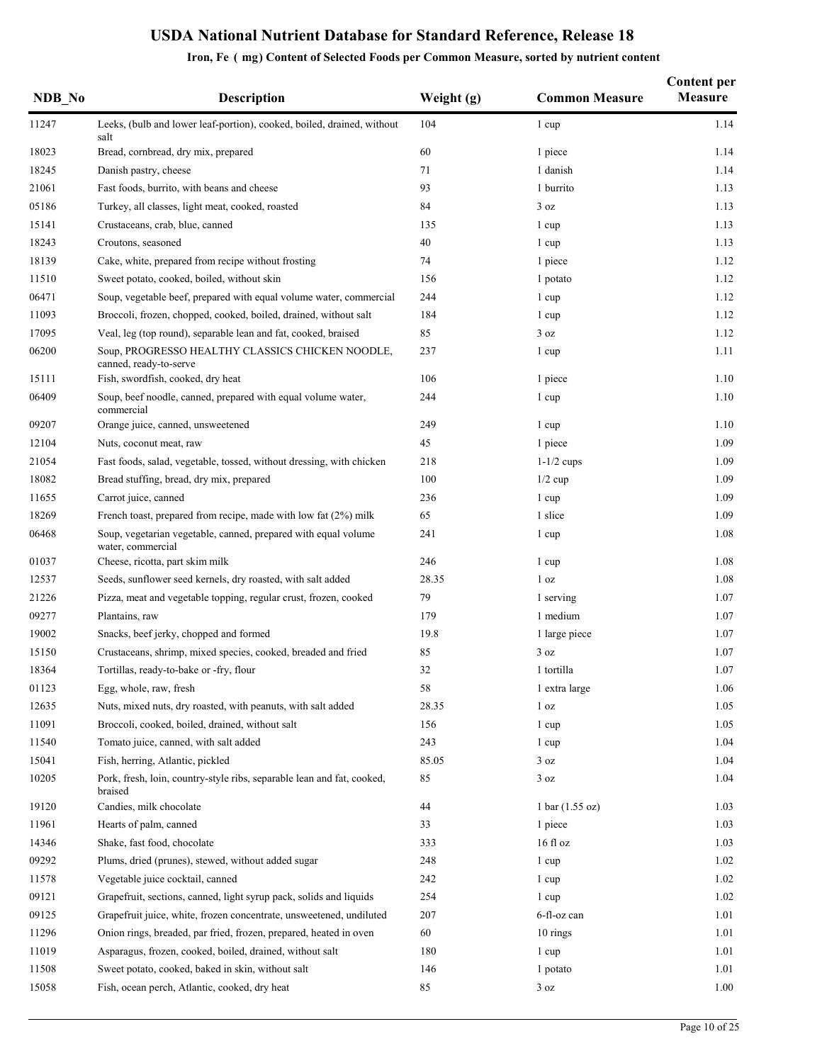| NDB No | <b>Description</b>                                                                  | Weight (g) | <b>Common Measure</b>             | <b>Content per</b><br><b>Measure</b> |
|--------|-------------------------------------------------------------------------------------|------------|-----------------------------------|--------------------------------------|
| 11247  | Leeks, (bulb and lower leaf-portion), cooked, boiled, drained, without<br>salt      | 104        | 1 cup                             | 1.14                                 |
| 18023  | Bread, cornbread, dry mix, prepared                                                 | 60         | 1 piece                           | 1.14                                 |
| 18245  | Danish pastry, cheese                                                               | 71         | 1 danish                          | 1.14                                 |
| 21061  | Fast foods, burrito, with beans and cheese                                          | 93         | 1 burrito                         | 1.13                                 |
| 05186  | Turkey, all classes, light meat, cooked, roasted                                    | 84         | 3 oz                              | 1.13                                 |
| 15141  | Crustaceans, crab, blue, canned                                                     | 135        | 1 cup                             | 1.13                                 |
| 18243  | Croutons, seasoned                                                                  | 40         | 1 cup                             | 1.13                                 |
| 18139  | Cake, white, prepared from recipe without frosting                                  | 74         | 1 piece                           | 1.12                                 |
| 11510  | Sweet potato, cooked, boiled, without skin                                          | 156        | 1 potato                          | 1.12                                 |
| 06471  | Soup, vegetable beef, prepared with equal volume water, commercial                  | 244        | 1 cup                             | 1.12                                 |
| 11093  | Broccoli, frozen, chopped, cooked, boiled, drained, without salt                    | 184        | 1 cup                             | 1.12                                 |
| 17095  | Veal, leg (top round), separable lean and fat, cooked, braised                      | 85         | 3 oz                              | 1.12                                 |
| 06200  | Soup, PROGRESSO HEALTHY CLASSICS CHICKEN NOODLE,<br>canned, ready-to-serve          | 237        | 1 cup                             | 1.11                                 |
| 15111  | Fish, swordfish, cooked, dry heat                                                   | 106        | 1 piece                           | 1.10                                 |
| 06409  | Soup, beef noodle, canned, prepared with equal volume water,<br>commercial          | 244        | 1 cup                             | 1.10                                 |
| 09207  | Orange juice, canned, unsweetened                                                   | 249        | 1 cup                             | 1.10                                 |
| 12104  | Nuts, coconut meat, raw                                                             | 45         | 1 piece                           | 1.09                                 |
| 21054  | Fast foods, salad, vegetable, tossed, without dressing, with chicken                | 218        | $1-1/2$ cups                      | 1.09                                 |
| 18082  | Bread stuffing, bread, dry mix, prepared                                            | 100        | $1/2$ cup                         | 1.09                                 |
| 11655  | Carrot juice, canned                                                                | 236        | 1 cup                             | 1.09                                 |
| 18269  | French toast, prepared from recipe, made with low fat $(2%)$ milk                   | 65         | 1 slice                           | 1.09                                 |
| 06468  | Soup, vegetarian vegetable, canned, prepared with equal volume<br>water, commercial | 241        | 1 cup                             | 1.08                                 |
| 01037  | Cheese, ricotta, part skim milk                                                     | 246        | 1 cup                             | 1.08                                 |
| 12537  | Seeds, sunflower seed kernels, dry roasted, with salt added                         | 28.35      | 1 <sub>oz</sub>                   | 1.08                                 |
| 21226  | Pizza, meat and vegetable topping, regular crust, frozen, cooked                    | 79         | 1 serving                         | 1.07                                 |
| 09277  | Plantains, raw                                                                      | 179        | 1 medium                          | 1.07                                 |
| 19002  | Snacks, beef jerky, chopped and formed                                              | 19.8       | 1 large piece                     | 1.07                                 |
| 15150  | Crustaceans, shrimp, mixed species, cooked, breaded and fried                       | 85         | 3 oz                              | 1.07                                 |
| 18364  | Tortillas, ready-to-bake or -fry, flour                                             | 32         | 1 tortilla                        | 1.07                                 |
| 01123  | Egg, whole, raw, fresh                                                              | 58         | 1 extra large                     | 1.06                                 |
| 12635  | Nuts, mixed nuts, dry roasted, with peanuts, with salt added                        | 28.35      | 1 <sub>oz</sub>                   | 1.05                                 |
| 11091  | Broccoli, cooked, boiled, drained, without salt                                     | 156        | 1 cup                             | 1.05                                 |
| 11540  | Tomato juice, canned, with salt added                                               | 243        | 1 cup                             | 1.04                                 |
| 15041  | Fish, herring, Atlantic, pickled                                                    | 85.05      | 3 oz                              | 1.04                                 |
| 10205  | Pork, fresh, loin, country-style ribs, separable lean and fat, cooked,<br>braised   | 85         | 3 oz                              | 1.04                                 |
| 19120  | Candies, milk chocolate                                                             | 44         | $1 \text{ bar} (1.55 \text{ oz})$ | 1.03                                 |
| 11961  | Hearts of palm, canned                                                              | 33         | 1 piece                           | 1.03                                 |
| 14346  | Shake, fast food, chocolate                                                         | 333        | $16f$ l oz                        | 1.03                                 |
| 09292  | Plums, dried (prunes), stewed, without added sugar                                  | 248        | 1 cup                             | 1.02                                 |
| 11578  | Vegetable juice cocktail, canned                                                    | 242        | 1 cup                             | 1.02                                 |
| 09121  | Grapefruit, sections, canned, light syrup pack, solids and liquids                  | 254        | 1 cup                             | 1.02                                 |
| 09125  | Grapefruit juice, white, frozen concentrate, unsweetened, undiluted                 | 207        | 6-fl-oz can                       | 1.01                                 |
| 11296  | Onion rings, breaded, par fried, frozen, prepared, heated in oven                   | 60         | 10 rings                          | 1.01                                 |
| 11019  | Asparagus, frozen, cooked, boiled, drained, without salt                            | 180        | 1 cup                             | 1.01                                 |
| 11508  | Sweet potato, cooked, baked in skin, without salt                                   | 146        | 1 potato                          | 1.01                                 |
| 15058  | Fish, ocean perch, Atlantic, cooked, dry heat                                       | 85         | 3 oz                              | 1.00                                 |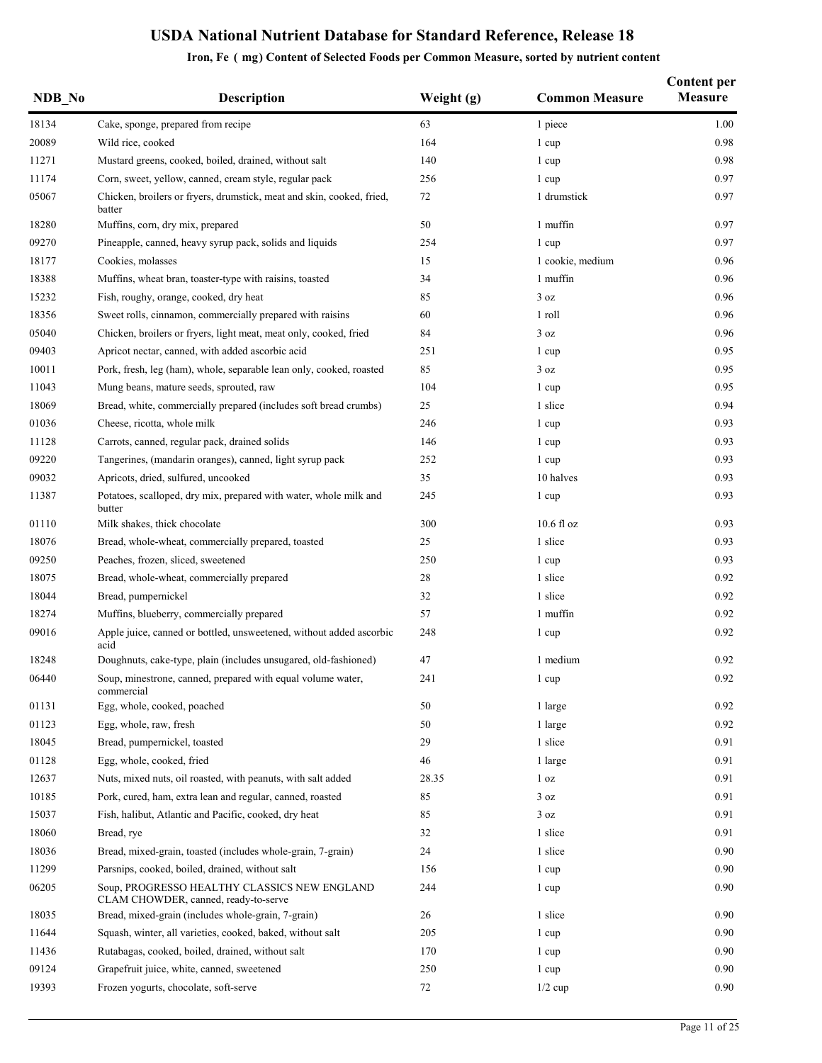| NDB No | Description                                                                          | Weight (g) | <b>Common Measure</b> | <b>Content per</b><br><b>Measure</b> |
|--------|--------------------------------------------------------------------------------------|------------|-----------------------|--------------------------------------|
| 18134  | Cake, sponge, prepared from recipe                                                   | 63         | 1 piece               | 1.00                                 |
| 20089  | Wild rice, cooked                                                                    | 164        | 1 cup                 | 0.98                                 |
| 11271  | Mustard greens, cooked, boiled, drained, without salt                                | 140        | 1 cup                 | 0.98                                 |
| 11174  | Corn, sweet, yellow, canned, cream style, regular pack                               | 256        | 1 cup                 | 0.97                                 |
| 05067  | Chicken, broilers or fryers, drumstick, meat and skin, cooked, fried,<br>batter      | 72         | 1 drumstick           | 0.97                                 |
| 18280  | Muffins, corn, dry mix, prepared                                                     | 50         | 1 muffin              | 0.97                                 |
| 09270  | Pineapple, canned, heavy syrup pack, solids and liquids                              | 254        | 1 cup                 | 0.97                                 |
| 18177  | Cookies, molasses                                                                    | 15         | 1 cookie, medium      | 0.96                                 |
| 18388  | Muffins, wheat bran, toaster-type with raisins, toasted                              | 34         | 1 muffin              | 0.96                                 |
| 15232  | Fish, roughy, orange, cooked, dry heat                                               | 85         | 3 oz                  | 0.96                                 |
| 18356  | Sweet rolls, cinnamon, commercially prepared with raisins                            | 60         | 1 roll                | 0.96                                 |
| 05040  | Chicken, broilers or fryers, light meat, meat only, cooked, fried                    | 84         | 3 oz                  | 0.96                                 |
| 09403  | Apricot nectar, canned, with added ascorbic acid                                     | 251        | 1 cup                 | 0.95                                 |
| 10011  | Pork, fresh, leg (ham), whole, separable lean only, cooked, roasted                  | 85         | 3 oz                  | 0.95                                 |
| 11043  | Mung beans, mature seeds, sprouted, raw                                              | 104        | 1 cup                 | 0.95                                 |
| 18069  | Bread, white, commercially prepared (includes soft bread crumbs)                     | 25         | 1 slice               | 0.94                                 |
| 01036  | Cheese, ricotta, whole milk                                                          | 246        | 1 cup                 | 0.93                                 |
| 11128  | Carrots, canned, regular pack, drained solids                                        | 146        | 1 cup                 | 0.93                                 |
| 09220  | Tangerines, (mandarin oranges), canned, light syrup pack                             | 252        | 1 cup                 | 0.93                                 |
| 09032  | Apricots, dried, sulfured, uncooked                                                  | 35         | 10 halves             | 0.93                                 |
| 11387  | Potatoes, scalloped, dry mix, prepared with water, whole milk and<br>butter          | 245        | 1 cup                 | 0.93                                 |
| 01110  | Milk shakes, thick chocolate                                                         | 300        | $10.6$ fl oz          | 0.93                                 |
| 18076  | Bread, whole-wheat, commercially prepared, toasted                                   | 25         | 1 slice               | 0.93                                 |
| 09250  | Peaches, frozen, sliced, sweetened                                                   | 250        | 1 cup                 | 0.93                                 |
| 18075  | Bread, whole-wheat, commercially prepared                                            | 28         | 1 slice               | 0.92                                 |
| 18044  | Bread, pumpernickel                                                                  | 32         | 1 slice               | 0.92                                 |
| 18274  | Muffins, blueberry, commercially prepared                                            | 57         | 1 muffin              | 0.92                                 |
| 09016  | Apple juice, canned or bottled, unsweetened, without added ascorbic<br>acid          | 248        | 1 cup                 | 0.92                                 |
| 18248  | Doughnuts, cake-type, plain (includes unsugared, old-fashioned)                      | 47         | 1 medium              | 0.92                                 |
| 06440  | Soup, minestrone, canned, prepared with equal volume water,<br>commercial            | 241        | 1 cup                 | $0.92\,$                             |
| 01131  | Egg, whole, cooked, poached                                                          | 50         | 1 large               | 0.92                                 |
| 01123  | Egg, whole, raw, fresh                                                               | 50         | 1 large               | 0.92                                 |
| 18045  | Bread, pumpernickel, toasted                                                         | 29         | 1 slice               | 0.91                                 |
| 01128  | Egg, whole, cooked, fried                                                            | 46         | 1 large               | 0.91                                 |
| 12637  | Nuts, mixed nuts, oil roasted, with peanuts, with salt added                         | 28.35      | 1 <sub>oz</sub>       | 0.91                                 |
| 10185  | Pork, cured, ham, extra lean and regular, canned, roasted                            | 85         | 3 oz                  | 0.91                                 |
| 15037  | Fish, halibut, Atlantic and Pacific, cooked, dry heat                                | 85         | 3 oz                  | 0.91                                 |
| 18060  | Bread, rye                                                                           | 32         | 1 slice               | 0.91                                 |
| 18036  | Bread, mixed-grain, toasted (includes whole-grain, 7-grain)                          | 24         | 1 slice               | 0.90                                 |
| 11299  | Parsnips, cooked, boiled, drained, without salt                                      | 156        | 1 cup                 | 0.90                                 |
| 06205  | Soup, PROGRESSO HEALTHY CLASSICS NEW ENGLAND<br>CLAM CHOWDER, canned, ready-to-serve | 244        | 1 cup                 | 0.90                                 |
| 18035  | Bread, mixed-grain (includes whole-grain, 7-grain)                                   | 26         | 1 slice               | 0.90                                 |
| 11644  | Squash, winter, all varieties, cooked, baked, without salt                           | 205        | 1 cup                 | 0.90                                 |
| 11436  | Rutabagas, cooked, boiled, drained, without salt                                     | 170        | 1 cup                 | 0.90                                 |
| 09124  | Grapefruit juice, white, canned, sweetened                                           | 250        | 1 cup                 | 0.90                                 |
| 19393  | Frozen yogurts, chocolate, soft-serve                                                | 72         | $1/2$ cup             | 0.90                                 |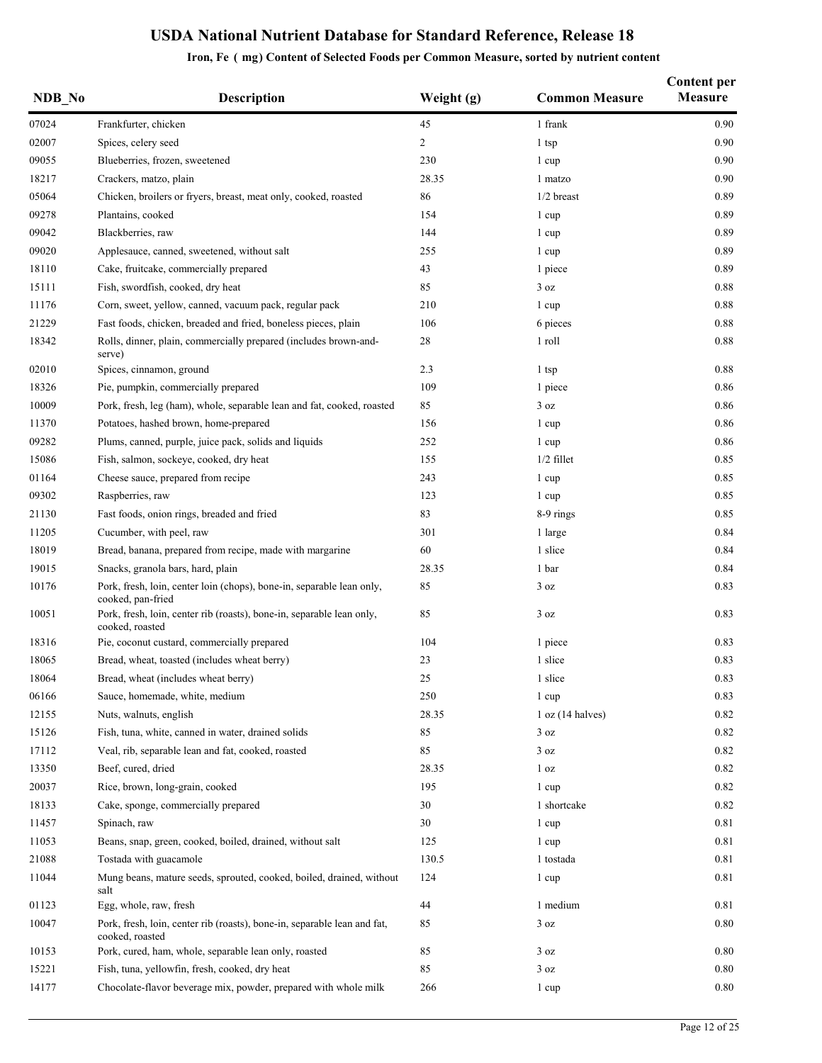| NDB No | <b>Description</b>                                                                          | Weight (g)     | <b>Common Measure</b> | <b>Content per</b><br><b>Measure</b> |
|--------|---------------------------------------------------------------------------------------------|----------------|-----------------------|--------------------------------------|
| 07024  | Frankfurter, chicken                                                                        | 45             | 1 frank               | 0.90                                 |
| 02007  | Spices, celery seed                                                                         | $\overline{c}$ | 1 tsp                 | 0.90                                 |
| 09055  | Blueberries, frozen, sweetened                                                              | 230            | 1 cup                 | 0.90                                 |
| 18217  | Crackers, matzo, plain                                                                      | 28.35          | 1 matzo               | 0.90                                 |
| 05064  | Chicken, broilers or fryers, breast, meat only, cooked, roasted                             | 86             | $1/2$ breast          | 0.89                                 |
| 09278  | Plantains, cooked                                                                           | 154            | 1 cup                 | 0.89                                 |
| 09042  | Blackberries, raw                                                                           | 144            | 1 cup                 | 0.89                                 |
| 09020  | Applesauce, canned, sweetened, without salt                                                 | 255            | 1 cup                 | 0.89                                 |
| 18110  | Cake, fruitcake, commercially prepared                                                      | 43             | 1 piece               | 0.89                                 |
| 15111  | Fish, swordfish, cooked, dry heat                                                           | 85             | 3 oz                  | 0.88                                 |
| 11176  | Corn, sweet, yellow, canned, vacuum pack, regular pack                                      | 210            | 1 cup                 | 0.88                                 |
| 21229  | Fast foods, chicken, breaded and fried, boneless pieces, plain                              | 106            | 6 pieces              | 0.88                                 |
| 18342  | Rolls, dinner, plain, commercially prepared (includes brown-and-<br>serve)                  | 28             | 1 roll                | 0.88                                 |
| 02010  | Spices, cinnamon, ground                                                                    | 2.3            | 1 tsp                 | 0.88                                 |
| 18326  | Pie, pumpkin, commercially prepared                                                         | 109            | 1 piece               | 0.86                                 |
| 10009  | Pork, fresh, leg (ham), whole, separable lean and fat, cooked, roasted                      | 85             | 3 oz                  | 0.86                                 |
| 11370  | Potatoes, hashed brown, home-prepared                                                       | 156            | 1 cup                 | 0.86                                 |
| 09282  | Plums, canned, purple, juice pack, solids and liquids                                       | 252            | 1 cup                 | 0.86                                 |
| 15086  | Fish, salmon, sockeye, cooked, dry heat                                                     | 155            | $1/2$ fillet          | 0.85                                 |
| 01164  | Cheese sauce, prepared from recipe                                                          | 243            | 1 cup                 | 0.85                                 |
| 09302  | Raspberries, raw                                                                            | 123            | 1 cup                 | 0.85                                 |
| 21130  | Fast foods, onion rings, breaded and fried                                                  | 83             | 8-9 rings             | 0.85                                 |
| 11205  | Cucumber, with peel, raw                                                                    | 301            | 1 large               | 0.84                                 |
| 18019  | Bread, banana, prepared from recipe, made with margarine                                    | 60             | 1 slice               | 0.84                                 |
| 19015  | Snacks, granola bars, hard, plain                                                           | 28.35          | 1 bar                 | 0.84                                 |
| 10176  | Pork, fresh, loin, center loin (chops), bone-in, separable lean only,<br>cooked, pan-fried  | 85             | 3 oz                  | 0.83                                 |
| 10051  | Pork, fresh, loin, center rib (roasts), bone-in, separable lean only,<br>cooked, roasted    | 85             | 3 oz                  | 0.83                                 |
| 18316  | Pie, coconut custard, commercially prepared                                                 | 104            | 1 piece               | 0.83                                 |
| 18065  | Bread, wheat, toasted (includes wheat berry)                                                | 23             | 1 slice               | 0.83                                 |
| 18064  | Bread, wheat (includes wheat berry)                                                         | 25             | 1 slice               | 0.83                                 |
| 06166  | Sauce, homemade, white, medium                                                              | 250            | 1 cup                 | 0.83                                 |
| 12155  | Nuts, walnuts, english                                                                      | 28.35          | 1 oz (14 halves)      | 0.82                                 |
| 15126  | Fish, tuna, white, canned in water, drained solids                                          | 85             | 3 oz                  | 0.82                                 |
| 17112  | Veal, rib, separable lean and fat, cooked, roasted                                          | 85             | 3 oz                  | 0.82                                 |
| 13350  | Beef, cured, dried                                                                          | 28.35          | 1 <sub>oz</sub>       | 0.82                                 |
| 20037  | Rice, brown, long-grain, cooked                                                             | 195            | 1 cup                 | 0.82                                 |
| 18133  | Cake, sponge, commercially prepared                                                         | 30             | 1 shortcake           | 0.82                                 |
| 11457  | Spinach, raw                                                                                | 30             | 1 cup                 | 0.81                                 |
| 11053  | Beans, snap, green, cooked, boiled, drained, without salt                                   | 125            | 1 cup                 | 0.81                                 |
| 21088  | Tostada with guacamole                                                                      | 130.5          | 1 tostada             | 0.81                                 |
| 11044  | Mung beans, mature seeds, sprouted, cooked, boiled, drained, without<br>salt                | 124            | 1 cup                 | 0.81                                 |
| 01123  | Egg, whole, raw, fresh                                                                      | 44             | 1 medium              | 0.81                                 |
| 10047  | Pork, fresh, loin, center rib (roasts), bone-in, separable lean and fat,<br>cooked, roasted | 85             | 3 oz                  | 0.80                                 |
| 10153  | Pork, cured, ham, whole, separable lean only, roasted                                       | 85             | 3 oz                  | 0.80                                 |
| 15221  | Fish, tuna, yellowfin, fresh, cooked, dry heat                                              | 85             | 3 oz                  | 0.80                                 |
| 14177  | Chocolate-flavor beverage mix, powder, prepared with whole milk                             | 266            | 1 cup                 | $0.80\,$                             |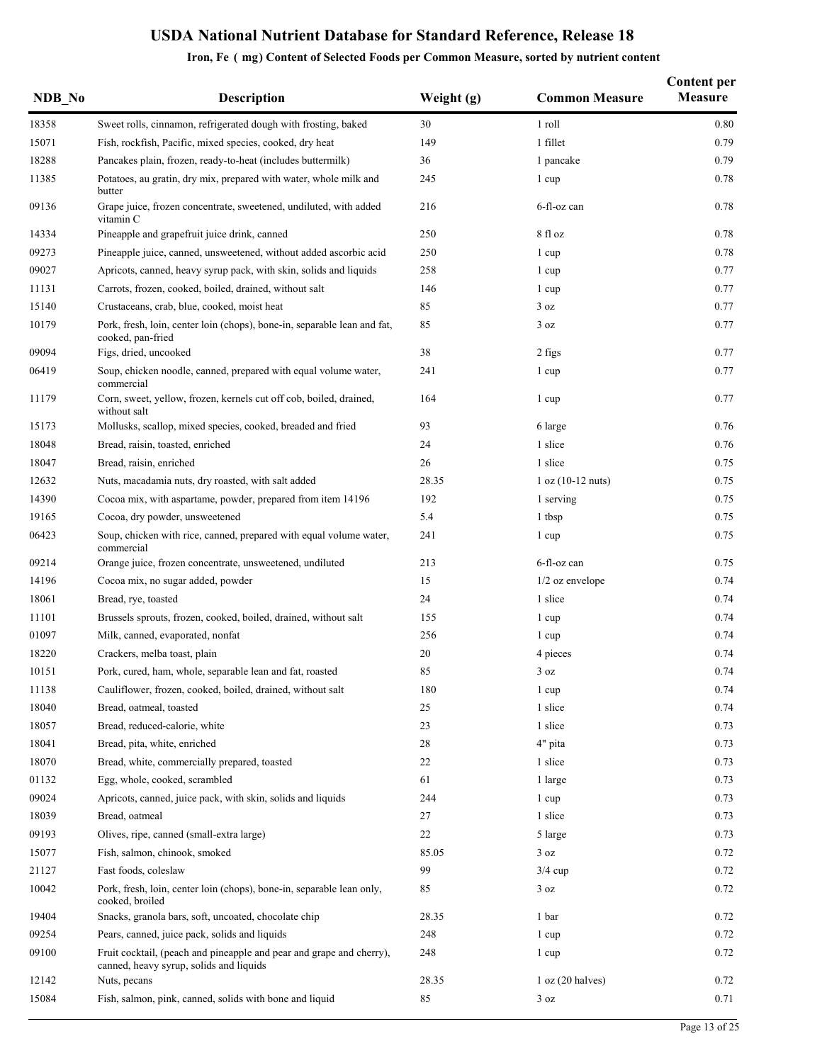| NDB No | <b>Description</b>                                                                                              | Weight (g) | <b>Common Measure</b> | <b>Content per</b><br><b>Measure</b> |
|--------|-----------------------------------------------------------------------------------------------------------------|------------|-----------------------|--------------------------------------|
| 18358  | Sweet rolls, cinnamon, refrigerated dough with frosting, baked                                                  | 30         | 1 roll                | 0.80                                 |
| 15071  | Fish, rockfish, Pacific, mixed species, cooked, dry heat                                                        | 149        | 1 fillet              | 0.79                                 |
| 18288  | Pancakes plain, frozen, ready-to-heat (includes buttermilk)                                                     | 36         | 1 pancake             | 0.79                                 |
| 11385  | Potatoes, au gratin, dry mix, prepared with water, whole milk and<br>butter                                     | 245        | 1 cup                 | 0.78                                 |
| 09136  | Grape juice, frozen concentrate, sweetened, undiluted, with added<br>vitamin C                                  | 216        | 6-fl-oz can           | 0.78                                 |
| 14334  | Pineapple and grapefruit juice drink, canned                                                                    | 250        | 8 fl oz               | 0.78                                 |
| 09273  | Pineapple juice, canned, unsweetened, without added ascorbic acid                                               | 250        | 1 cup                 | 0.78                                 |
| 09027  | Apricots, canned, heavy syrup pack, with skin, solids and liquids                                               | 258        | 1 cup                 | 0.77                                 |
| 11131  | Carrots, frozen, cooked, boiled, drained, without salt                                                          | 146        | 1 cup                 | 0.77                                 |
| 15140  | Crustaceans, crab, blue, cooked, moist heat                                                                     | 85         | 3 oz                  | 0.77                                 |
| 10179  | Pork, fresh, loin, center loin (chops), bone-in, separable lean and fat,<br>cooked, pan-fried                   | 85         | 3 oz                  | 0.77                                 |
| 09094  | Figs, dried, uncooked                                                                                           | 38         | 2 figs                | 0.77                                 |
| 06419  | Soup, chicken noodle, canned, prepared with equal volume water,<br>commercial                                   | 241        | 1 cup                 | 0.77                                 |
| 11179  | Corn, sweet, yellow, frozen, kernels cut off cob, boiled, drained,<br>without salt                              | 164        | 1 cup                 | 0.77                                 |
| 15173  | Mollusks, scallop, mixed species, cooked, breaded and fried                                                     | 93         | 6 large               | 0.76                                 |
| 18048  | Bread, raisin, toasted, enriched                                                                                | 24         | 1 slice               | 0.76                                 |
| 18047  | Bread, raisin, enriched                                                                                         | 26         | 1 slice               | 0.75                                 |
| 12632  | Nuts, macadamia nuts, dry roasted, with salt added                                                              | 28.35      | $1 oz (10-12 nuts)$   | 0.75                                 |
| 14390  | Cocoa mix, with aspartame, powder, prepared from item 14196                                                     | 192        | 1 serving             | 0.75                                 |
| 19165  | Cocoa, dry powder, unsweetened                                                                                  | 5.4        | 1 tbsp                | 0.75                                 |
| 06423  | Soup, chicken with rice, canned, prepared with equal volume water,<br>commercial                                | 241        | 1 cup                 | 0.75                                 |
| 09214  | Orange juice, frozen concentrate, unsweetened, undiluted                                                        | 213        | 6-fl-oz can           | 0.75                                 |
| 14196  | Cocoa mix, no sugar added, powder                                                                               | 15         | $1/2$ oz envelope     | 0.74                                 |
| 18061  | Bread, rve, toasted                                                                                             | 24         | 1 slice               | 0.74                                 |
| 11101  | Brussels sprouts, frozen, cooked, boiled, drained, without salt                                                 | 155        | 1 cup                 | 0.74                                 |
| 01097  | Milk, canned, evaporated, nonfat                                                                                | 256        | 1 cup                 | 0.74                                 |
| 18220  | Crackers, melba toast, plain                                                                                    | 20         | 4 pieces              | 0.74                                 |
| 10151  | Pork, cured, ham, whole, separable lean and fat, roasted                                                        | 85         | $3\ \text{oz}$        | 0.74                                 |
| 11138  | Cauliflower, frozen, cooked, boiled, drained, without salt                                                      | 180        | 1 cup                 | 0.74                                 |
| 18040  | Bread, oatmeal, toasted                                                                                         | 25         | 1 slice               | 0.74                                 |
| 18057  | Bread, reduced-calorie, white                                                                                   | 23         | 1 slice               | 0.73                                 |
| 18041  | Bread, pita, white, enriched                                                                                    | 28         | 4" pita               | 0.73                                 |
| 18070  | Bread, white, commercially prepared, toasted                                                                    | 22         | 1 slice               | 0.73                                 |
| 01132  | Egg, whole, cooked, scrambled                                                                                   | 61         | 1 large               | 0.73                                 |
| 09024  | Apricots, canned, juice pack, with skin, solids and liquids                                                     | 244        | 1 cup                 | 0.73                                 |
| 18039  | Bread, oatmeal                                                                                                  | 27         | 1 slice               | 0.73                                 |
| 09193  | Olives, ripe, canned (small-extra large)                                                                        | 22         | 5 large               | 0.73                                 |
| 15077  | Fish, salmon, chinook, smoked                                                                                   | 85.05      | 3 oz                  | 0.72                                 |
| 21127  | Fast foods, coleslaw                                                                                            | 99         | $3/4$ cup             | 0.72                                 |
| 10042  | Pork, fresh, loin, center loin (chops), bone-in, separable lean only,<br>cooked, broiled                        | 85         | 3 oz                  | 0.72                                 |
| 19404  | Snacks, granola bars, soft, uncoated, chocolate chip                                                            | 28.35      | 1 bar                 | 0.72                                 |
| 09254  | Pears, canned, juice pack, solids and liquids                                                                   | 248        | 1 cup                 | 0.72                                 |
| 09100  | Fruit cocktail, (peach and pineapple and pear and grape and cherry),<br>canned, heavy syrup, solids and liquids | 248        | 1 cup                 | 0.72                                 |
| 12142  | Nuts, pecans                                                                                                    | 28.35      | 1 oz (20 halves)      | 0.72                                 |
| 15084  | Fish, salmon, pink, canned, solids with bone and liquid                                                         | 85         | 3 oz                  | 0.71                                 |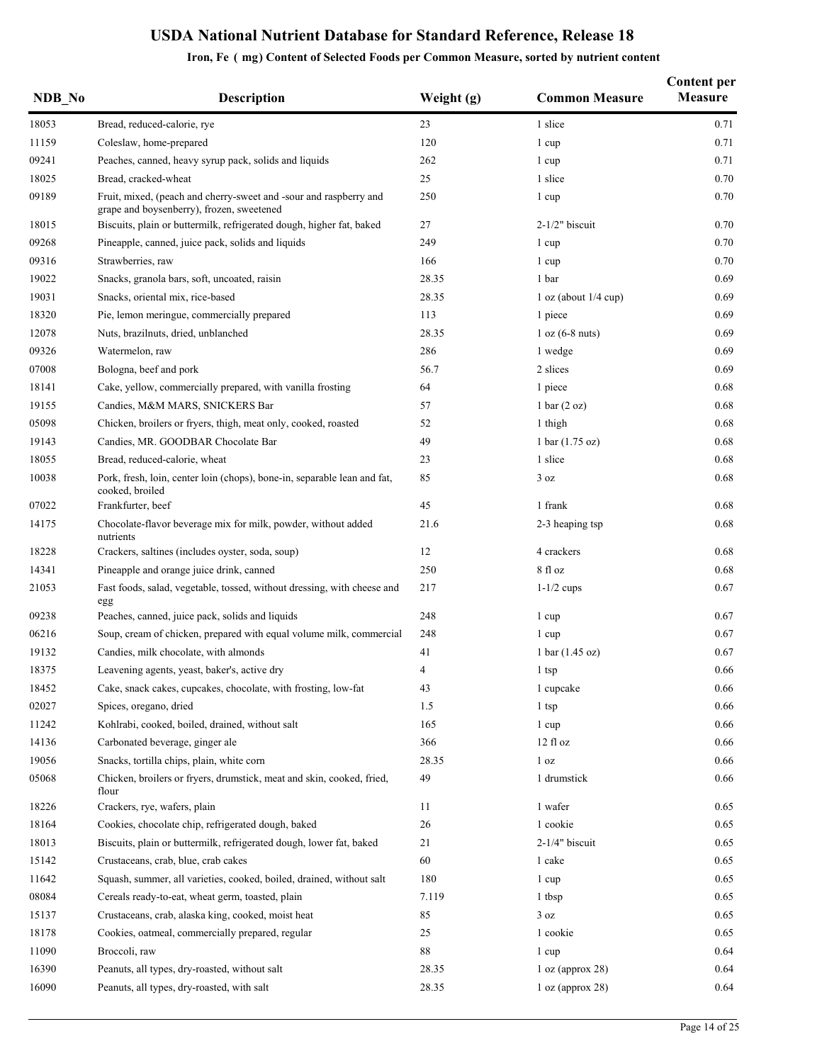| NDB No | <b>Description</b>                                                                                             | Weight (g) | <b>Common Measure</b>             | Content per<br><b>Measure</b> |
|--------|----------------------------------------------------------------------------------------------------------------|------------|-----------------------------------|-------------------------------|
| 18053  | Bread, reduced-calorie, rye                                                                                    | 23         | 1 slice                           | 0.71                          |
| 11159  | Coleslaw, home-prepared                                                                                        | 120        | 1 cup                             | 0.71                          |
| 09241  | Peaches, canned, heavy syrup pack, solids and liquids                                                          | 262        | 1 cup                             | 0.71                          |
| 18025  | Bread, cracked-wheat                                                                                           | 25         | 1 slice                           | 0.70                          |
| 09189  | Fruit, mixed, (peach and cherry-sweet and -sour and raspberry and<br>grape and boysenberry), frozen, sweetened | 250        | 1 cup                             | 0.70                          |
| 18015  | Biscuits, plain or buttermilk, refrigerated dough, higher fat, baked                                           | 27         | $2-1/2"$ biscuit                  | 0.70                          |
| 09268  | Pineapple, canned, juice pack, solids and liquids                                                              | 249        | 1 cup                             | 0.70                          |
| 09316  | Strawberries, raw                                                                                              | 166        | 1 cup                             | 0.70                          |
| 19022  | Snacks, granola bars, soft, uncoated, raisin                                                                   | 28.35      | 1 bar                             | 0.69                          |
| 19031  | Snacks, oriental mix, rice-based                                                                               | 28.35      | $1$ oz (about $1/4$ cup)          | 0.69                          |
| 18320  | Pie, lemon meringue, commercially prepared                                                                     | 113        | 1 piece                           | 0.69                          |
| 12078  | Nuts, brazilnuts, dried, unblanched                                                                            | 28.35      | $1 oz (6-8 nuts)$                 | 0.69                          |
| 09326  | Watermelon, raw                                                                                                | 286        | 1 wedge                           | 0.69                          |
| 07008  | Bologna, beef and pork                                                                                         | 56.7       | 2 slices                          | 0.69                          |
| 18141  | Cake, yellow, commercially prepared, with vanilla frosting                                                     | 64         | 1 piece                           | 0.68                          |
| 19155  | Candies, M&M MARS, SNICKERS Bar                                                                                | 57         | 1 bar $(2 oz)$                    | 0.68                          |
| 05098  | Chicken, broilers or fryers, thigh, meat only, cooked, roasted                                                 | 52         | 1 thigh                           | 0.68                          |
| 19143  | Candies, MR. GOODBAR Chocolate Bar                                                                             | 49         | 1 bar $(1.75 \text{ oz})$         | 0.68                          |
| 18055  | Bread, reduced-calorie, wheat                                                                                  | 23         | 1 slice                           | 0.68                          |
| 10038  | Pork, fresh, loin, center loin (chops), bone-in, separable lean and fat,<br>cooked, broiled                    | 85         | 3 oz                              | 0.68                          |
| 07022  | Frankfurter, beef                                                                                              | 45         | 1 frank                           | 0.68                          |
| 14175  | Chocolate-flavor beverage mix for milk, powder, without added<br>nutrients                                     | 21.6       | 2-3 heaping tsp                   | 0.68                          |
| 18228  | Crackers, saltines (includes oyster, soda, soup)                                                               | 12         | 4 crackers                        | 0.68                          |
| 14341  | Pineapple and orange juice drink, canned                                                                       | 250        | 8 fl oz                           | 0.68                          |
| 21053  | Fast foods, salad, vegetable, tossed, without dressing, with cheese and<br>egg                                 | 217        | $1-1/2$ cups                      | 0.67                          |
| 09238  | Peaches, canned, juice pack, solids and liquids                                                                | 248        | 1 cup                             | 0.67                          |
| 06216  | Soup, cream of chicken, prepared with equal volume milk, commercial                                            | 248        | 1 cup                             | 0.67                          |
| 19132  | Candies, milk chocolate, with almonds                                                                          | 41         | $1 \text{ bar} (1.45 \text{ oz})$ | 0.67                          |
| 18375  | Leavening agents, yeast, baker's, active dry                                                                   | 4          | 1 tsp                             | 0.66                          |
| 18452  | Cake, snack cakes, cupcakes, chocolate, with frosting, low-fat                                                 | 43         | 1 cupcake                         | 0.66                          |
| 02027  | Spices, oregano, dried                                                                                         | 1.5        | 1 tsp                             | 0.66                          |
| 11242  | Kohlrabi, cooked, boiled, drained, without salt                                                                | 165        | 1 cup                             | 0.66                          |
| 14136  | Carbonated beverage, ginger ale                                                                                | 366        | 12 fl oz                          | 0.66                          |
| 19056  | Snacks, tortilla chips, plain, white corn                                                                      | 28.35      | 1 <sub>oz</sub>                   | 0.66                          |
| 05068  | Chicken, broilers or fryers, drumstick, meat and skin, cooked, fried,<br>flour                                 | 49         | 1 drumstick                       | 0.66                          |
| 18226  | Crackers, rye, wafers, plain                                                                                   | 11         | 1 wafer                           | 0.65                          |
| 18164  | Cookies, chocolate chip, refrigerated dough, baked                                                             | 26         | 1 cookie                          | 0.65                          |
| 18013  | Biscuits, plain or buttermilk, refrigerated dough, lower fat, baked                                            | 21         | $2-1/4"$ biscuit                  | 0.65                          |
| 15142  | Crustaceans, crab, blue, crab cakes                                                                            | 60         | 1 cake                            | 0.65                          |
| 11642  | Squash, summer, all varieties, cooked, boiled, drained, without salt                                           | 180        | 1 cup                             | 0.65                          |
| 08084  | Cereals ready-to-eat, wheat germ, toasted, plain                                                               | 7.119      | 1 tbsp                            | 0.65                          |
| 15137  | Crustaceans, crab, alaska king, cooked, moist heat                                                             | 85         | 3 oz                              | 0.65                          |
| 18178  | Cookies, oatmeal, commercially prepared, regular                                                               | 25         | 1 cookie                          | 0.65                          |
| 11090  | Broccoli, raw                                                                                                  | 88         | 1 cup                             | 0.64                          |
| 16390  | Peanuts, all types, dry-roasted, without salt                                                                  | 28.35      | 1 oz (approx 28)                  | 0.64                          |
| 16090  | Peanuts, all types, dry-roasted, with salt                                                                     | 28.35      | 1 oz (approx 28)                  | 0.64                          |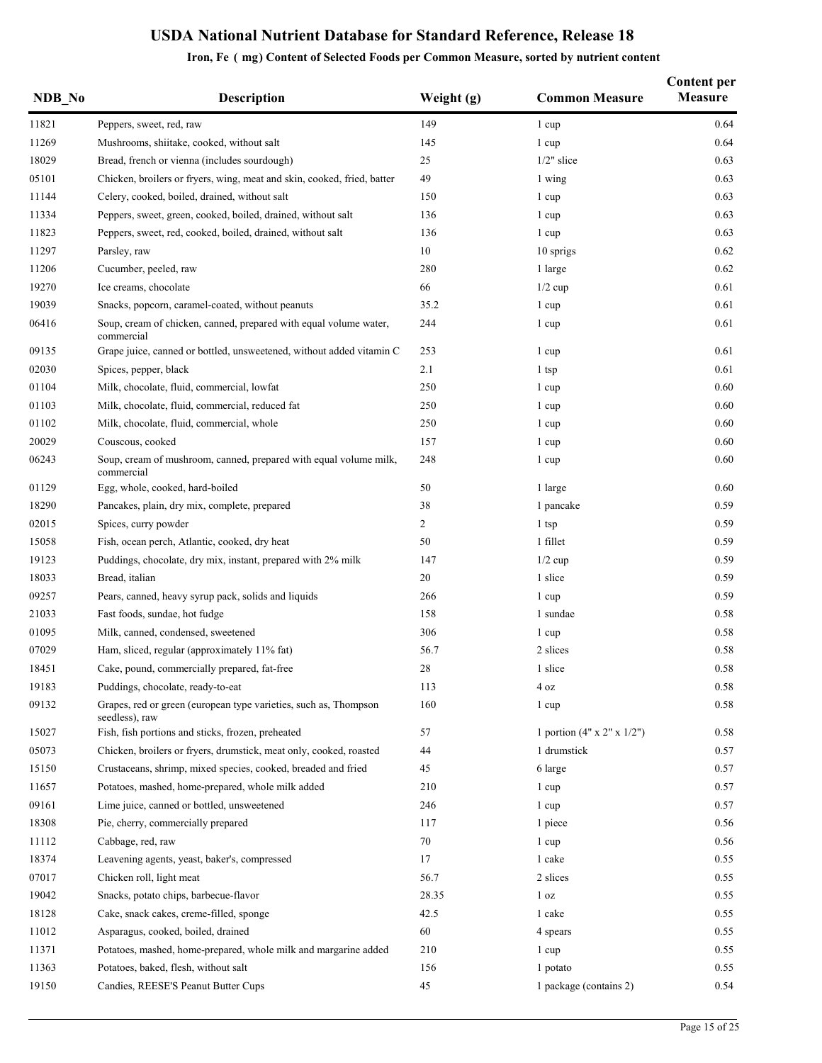### **NDB** No **Description Weight (g) Common Measure Content per Measure** 11821 Peppers, sweet, red, raw 149 1 cup 149 1 cup 16.64 11269 Mushrooms, shiitake, cooked, without salt 145 145 1 cup 145 1 cup 145 1 cup 16.64 18029 Bread, french or vienna (includes sourdough) 25 1/2" slice 0.63 0.63 05101 Chicken, broilers or fryers, wing, meat and skin, cooked, fried, batter 49 1 wing 1 wing 0.63 11144 Celery, cooked, boiled, drained, without salt 150 1 cup 1 cup 0.63 11334 Peppers, sweet, green, cooked, boiled, drained, without salt 136 1 cup 1 cup 0.63 11823 Peppers, sweet, red, cooked, boiled, drained, without salt 136 1 cup 1 cup 1 cup 0.63 11297 Parsley, raw 20062 Parsley, raw 20062 Parsley, raw 30 Au 2007 Parsley, raw 30 Au 2007 Parsley, raw 30 Au 2007 Parsley, raw 30 Au 2007 Parsley, raw 30 Au 2007 Parsley, raw 30 Au 2007 Parsley, raw 30 Au 2007 Parsley, r 11206 Cucumber, peeled, raw 11206 1 large 0.62 19270 Ice creams, chocolate 66 1/2 cup 0.61 19039 Snacks, popcorn, caramel-coated, without peanuts 35.2 1 cup 1 cup 35.2 1 cup 06416 Soup, cream of chicken, canned, prepared with equal volume water, commercial 244 1 cup 0.61 09135 Grape juice, canned or bottled, unsweetened, without added vitamin C 253 1 cup 0.61 02030 Spices, pepper, black 2.1 1 tsp 0.61 01104 Milk, chocolate, fluid, commercial, lowfat 250 1 cup 250 1 cup 0.60 01103 Milk, chocolate, fluid, commercial, reduced fat 250 1 cup 0.60 01102 Milk, chocolate, fluid, commercial, whole 250 1 cup 0.60 20029 Couscous, cooked 157 1 cup 0.60 06243 Soup, cream of mushroom, canned, prepared with equal volume milk, commercial 248 1 cup 0.60 01129 Egg, whole, cooked, hard-boiled 50 50 1 large 0.60 50 1 large 0.60 18290 Pancakes, plain, dry mix, complete, prepared 38 1 pancake 0.59 02015 Spices, curry powder 2 1 tsp 0.59 15058 Fish, ocean perch, Atlantic, cooked, dry heat 50 50 1 fillet 15058 Fish, ocean perch, Atlantic, cooked, dry heat 19123 Puddings, chocolate, dry mix, instant, prepared with 2% milk 147 1/2 cup 0.59 18033 Bread, italian 0.59 09257 Pears, canned, heavy syrup pack, solids and liquids 266 1 cup 2012 1 cup 0.59 21033 Fast foods, sundae, hot fudge 158 1 sundae 0.58 01095 Milk, canned, condensed, sweetened 306 1 cup 0.58 07029 Ham, sliced, regular (approximately 11% fat) 56.7 2 slices 0.58 3 2 slices 0.58 18451 Cake, pound, commercially prepared, fat-free 28 1 slice 1 slice 0.58 19183 Puddings, chocolate, ready-to-eat 113 4 oz 0.58 09132 Grapes, red or green (european type varieties, such as, Thompson seedless), raw 160 1 cup 0.58 15027 Fish, fish portions and sticks, frozen, preheated 57 1 portion (4" x 2" x 1/2") 0.58 05073 Chicken, broilers or fryers, drumstick, meat only, cooked, roasted 44 1 drumstick 1 drumstick 0.57 15150 Crustaceans, shrimp, mixed species, cooked, breaded and fried 45 6 large 6 large 0.57 11657 Potatoes, mashed, home-prepared, whole milk added 210 1 cup 1 cup 0.57 09161 Lime juice, canned or bottled, unsweetened 246 246 1 cup 0.57 18308 Pie, cherry, commercially prepared 117 17 1 piece 1 piece 0.56 11112 Cabbage, red, raw 0.56 18374 Leavening agents, yeast, baker's, compressed 17 1 cake 18374 1 cake 0.55 07017 Chicken roll, light meat 65.7 2 slices 0.55 19042 Snacks, potato chips, barbecue-flavor 28.35 1 oz 0.55 0.55 18128 Cake, snack cakes, creme-filled, sponge  $42.5$  1 cake  $0.55$ 11012 Asparagus, cooked, boiled, drained 60 4 spears 0.55 11371 Potatoes, mashed, home-prepared, whole milk and margarine added 210 1 cup 1 cup 0.55 11363 Potatoes, baked, flesh, without salt 156 1 potato 1 potato 1 potato 0.55 19150 Candies, REESE'S Peanut Butter Cups 45 1 package (contains 2) 0.54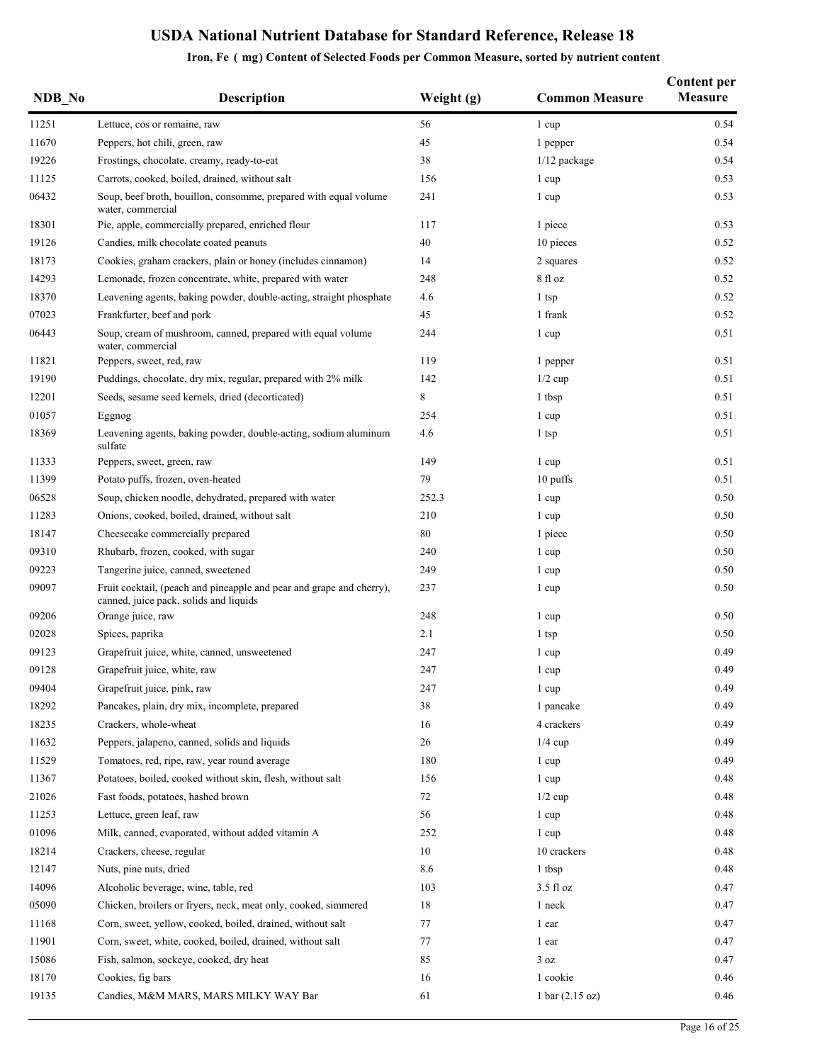| NDB No | <b>Description</b>                                                                                             | Weight (g) | <b>Common Measure</b> | <b>Content per</b><br><b>Measure</b> |
|--------|----------------------------------------------------------------------------------------------------------------|------------|-----------------------|--------------------------------------|
| 11251  | Lettuce, cos or romaine, raw                                                                                   | 56         | 1 cup                 | 0.54                                 |
| 11670  | Peppers, hot chili, green, raw                                                                                 | 45         | 1 pepper              | 0.54                                 |
| 19226  | Frostings, chocolate, creamy, ready-to-eat                                                                     | 38         | $1/12$ package        | 0.54                                 |
| 11125  | Carrots, cooked, boiled, drained, without salt                                                                 | 156        | 1 cup                 | 0.53                                 |
| 06432  | Soup, beef broth, bouillon, consomme, prepared with equal volume<br>water, commercial                          | 241        | 1 cup                 | 0.53                                 |
| 18301  | Pie, apple, commercially prepared, enriched flour                                                              | 117        | 1 piece               | 0.53                                 |
| 19126  | Candies, milk chocolate coated peanuts                                                                         | 40         | 10 pieces             | 0.52                                 |
| 18173  | Cookies, graham crackers, plain or honey (includes cinnamon)                                                   | 14         | 2 squares             | 0.52                                 |
| 14293  | Lemonade, frozen concentrate, white, prepared with water                                                       | 248        | 8 fl oz               | 0.52                                 |
| 18370  | Leavening agents, baking powder, double-acting, straight phosphate                                             | 4.6        | 1 tsp                 | 0.52                                 |
| 07023  | Frankfurter, beef and pork                                                                                     | 45         | 1 frank               | 0.52                                 |
| 06443  | Soup, cream of mushroom, canned, prepared with equal volume<br>water, commercial                               | 244        | 1 cup                 | 0.51                                 |
| 11821  | Peppers, sweet, red, raw                                                                                       | 119        | 1 pepper              | 0.51                                 |
| 19190  | Puddings, chocolate, dry mix, regular, prepared with 2% milk                                                   | 142        | $1/2$ cup             | 0.51                                 |
| 12201  | Seeds, sesame seed kernels, dried (decorticated)                                                               | 8          | 1 tbsp                | 0.51                                 |
| 01057  | Eggnog                                                                                                         | 254        | 1 cup                 | 0.51                                 |
| 18369  | Leavening agents, baking powder, double-acting, sodium aluminum<br>sulfate                                     | 4.6        | 1 tsp                 | 0.51                                 |
| 11333  | Peppers, sweet, green, raw                                                                                     | 149        | 1 cup                 | 0.51                                 |
| 11399  | Potato puffs, frozen, oven-heated                                                                              | 79         | 10 puffs              | 0.51                                 |
| 06528  | Soup, chicken noodle, dehydrated, prepared with water                                                          | 252.3      | 1 cup                 | 0.50                                 |
| 11283  | Onions, cooked, boiled, drained, without salt                                                                  | 210        | 1 cup                 | 0.50                                 |
| 18147  | Cheesecake commercially prepared                                                                               | 80         | 1 piece               | 0.50                                 |
| 09310  | Rhubarb, frozen, cooked, with sugar                                                                            | 240        | 1 cup                 | 0.50                                 |
| 09223  | Tangerine juice, canned, sweetened                                                                             | 249        | 1 cup                 | 0.50                                 |
| 09097  | Fruit cocktail, (peach and pineapple and pear and grape and cherry),<br>canned, juice pack, solids and liquids | 237        | 1 cup                 | 0.50                                 |
| 09206  | Orange juice, raw                                                                                              | 248        | 1 cup                 | 0.50                                 |
| 02028  | Spices, paprika                                                                                                | 2.1        | 1 tsp                 | 0.50                                 |
| 09123  | Grapefruit juice, white, canned, unsweetened                                                                   | 247        | 1 cup                 | 0.49                                 |
| 09128  | Grapefruit juice, white, raw                                                                                   | 247        | 1 cup                 | 0.49                                 |
| 09404  | Grapefruit juice, pink, raw                                                                                    | 247        | 1 cup                 | 0.49                                 |
| 18292  | Pancakes, plain, dry mix, incomplete, prepared                                                                 | 38         | 1 pancake             | 0.49                                 |
| 18235  | Crackers, whole-wheat                                                                                          | 16         | 4 crackers            | 0.49                                 |
| 11632  | Peppers, jalapeno, canned, solids and liquids                                                                  | 26         | $1/4$ cup             | 0.49                                 |
| 11529  | Tomatoes, red, ripe, raw, year round average                                                                   | 180        | 1 cup                 | 0.49                                 |
| 11367  | Potatoes, boiled, cooked without skin, flesh, without salt                                                     | 156        | 1 cup                 | 0.48                                 |
| 21026  | Fast foods, potatoes, hashed brown                                                                             | 72         | $1/2$ cup             | 0.48                                 |
| 11253  | Lettuce, green leaf, raw                                                                                       | 56         | 1 cup                 | 0.48                                 |
| 01096  | Milk, canned, evaporated, without added vitamin A                                                              | 252        | 1 cup                 | 0.48                                 |
| 18214  | Crackers, cheese, regular                                                                                      | 10         | 10 crackers           | 0.48                                 |
| 12147  | Nuts, pine nuts, dried                                                                                         | 8.6        | 1 tbsp                | 0.48                                 |
| 14096  | Alcoholic beverage, wine, table, red                                                                           | 103        | $3.5$ fl oz           | 0.47                                 |
| 05090  | Chicken, broilers or fryers, neck, meat only, cooked, simmered                                                 | 18         | 1 neck                | 0.47                                 |
| 11168  | Corn, sweet, yellow, cooked, boiled, drained, without salt                                                     | 77         | 1 ear                 | 0.47                                 |
| 11901  | Corn, sweet, white, cooked, boiled, drained, without salt                                                      | 77         | 1 ear                 | 0.47                                 |
| 15086  | Fish, salmon, sockeye, cooked, dry heat                                                                        | 85         | 3 oz                  | 0.47                                 |
| 18170  | Cookies, fig bars                                                                                              | 16         | 1 cookie              | 0.46                                 |
| 19135  | Candies, M&M MARS, MARS MILKY WAY Bar                                                                          | 61         | 1 bar (2.15 oz)       | 0.46                                 |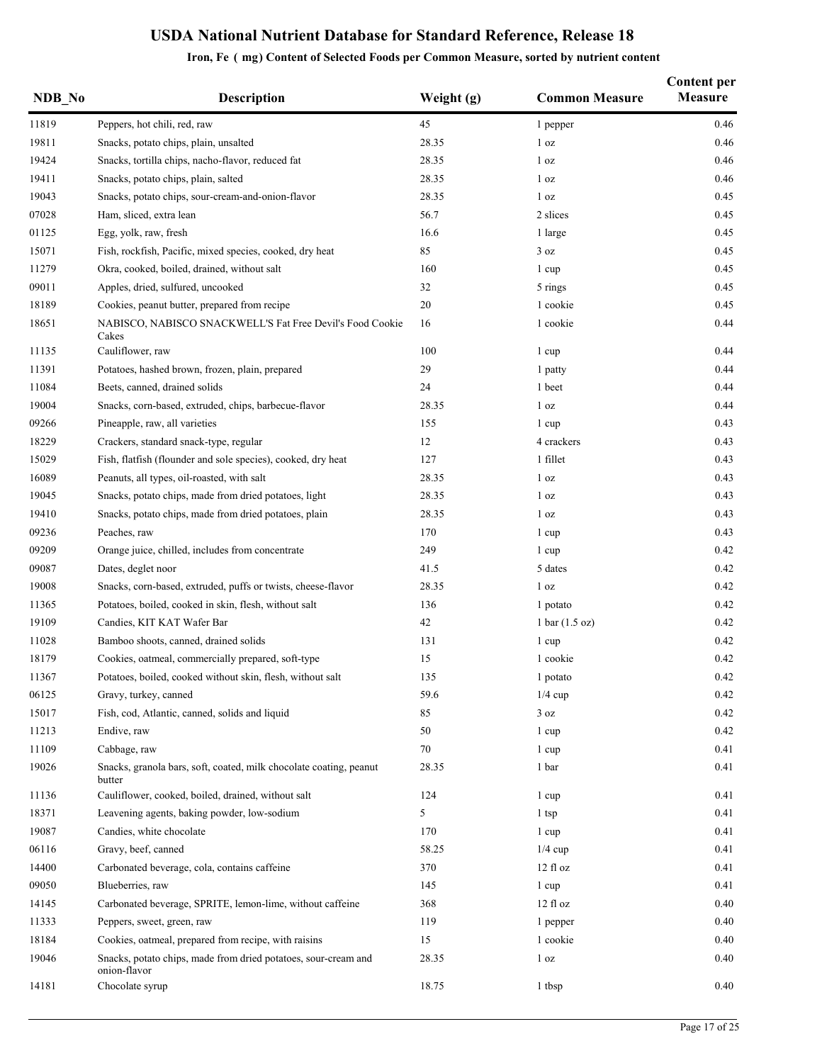| NDB_No | <b>Description</b>                                                             | Weight (g) | <b>Common Measure</b>            | <b>Content per</b><br><b>Measure</b> |
|--------|--------------------------------------------------------------------------------|------------|----------------------------------|--------------------------------------|
| 11819  | Peppers, hot chili, red, raw                                                   | 45         | 1 pepper                         | 0.46                                 |
| 19811  | Snacks, potato chips, plain, unsalted                                          | 28.35      | 1 <sub>oz</sub>                  | 0.46                                 |
| 19424  | Snacks, tortilla chips, nacho-flavor, reduced fat                              | 28.35      | 1 <sub>oz</sub>                  | 0.46                                 |
| 19411  | Snacks, potato chips, plain, salted                                            | 28.35      | 1 <sub>oz</sub>                  | 0.46                                 |
| 19043  | Snacks, potato chips, sour-cream-and-onion-flavor                              | 28.35      | 1 <sub>oz</sub>                  | 0.45                                 |
| 07028  | Ham, sliced, extra lean                                                        | 56.7       | 2 slices                         | 0.45                                 |
| 01125  | Egg, yolk, raw, fresh                                                          | 16.6       | 1 large                          | 0.45                                 |
| 15071  | Fish, rockfish, Pacific, mixed species, cooked, dry heat                       | 85         | 3 oz                             | 0.45                                 |
| 11279  | Okra, cooked, boiled, drained, without salt                                    | 160        | 1 cup                            | 0.45                                 |
| 09011  | Apples, dried, sulfured, uncooked                                              | 32         | 5 rings                          | 0.45                                 |
| 18189  | Cookies, peanut butter, prepared from recipe                                   | 20         | 1 cookie                         | 0.45                                 |
| 18651  | NABISCO, NABISCO SNACKWELL'S Fat Free Devil's Food Cookie<br>Cakes             | 16         | 1 cookie                         | 0.44                                 |
| 11135  | Cauliflower, raw                                                               | 100        | 1 cup                            | 0.44                                 |
| 11391  | Potatoes, hashed brown, frozen, plain, prepared                                | 29         | 1 patty                          | 0.44                                 |
| 11084  | Beets, canned, drained solids                                                  | 24         | 1 beet                           | 0.44                                 |
| 19004  | Snacks, corn-based, extruded, chips, barbecue-flavor                           | 28.35      | 1 <sub>oz</sub>                  | 0.44                                 |
| 09266  | Pineapple, raw, all varieties                                                  | 155        | 1 cup                            | 0.43                                 |
| 18229  | Crackers, standard snack-type, regular                                         | 12         | 4 crackers                       | 0.43                                 |
| 15029  | Fish, flatfish (flounder and sole species), cooked, dry heat                   | 127        | 1 fillet                         | 0.43                                 |
| 16089  | Peanuts, all types, oil-roasted, with salt                                     | 28.35      | 1 <sub>oz</sub>                  | 0.43                                 |
| 19045  | Snacks, potato chips, made from dried potatoes, light                          | 28.35      | 1 <sub>oz</sub>                  | 0.43                                 |
| 19410  | Snacks, potato chips, made from dried potatoes, plain                          | 28.35      | 1 <sub>oz</sub>                  | 0.43                                 |
| 09236  | Peaches, raw                                                                   | 170        | 1 cup                            | 0.43                                 |
| 09209  | Orange juice, chilled, includes from concentrate                               | 249        | 1 cup                            | 0.42                                 |
| 09087  | Dates, deglet noor                                                             | 41.5       | 5 dates                          | 0.42                                 |
| 19008  | Snacks, corn-based, extruded, puffs or twists, cheese-flavor                   | 28.35      | 1 <sub>oz</sub>                  | 0.42                                 |
| 11365  | Potatoes, boiled, cooked in skin, flesh, without salt                          | 136        | 1 potato                         | 0.42                                 |
| 19109  | Candies, KIT KAT Wafer Bar                                                     | 42         | $1 \text{ bar} (1.5 \text{ oz})$ | 0.42                                 |
| 11028  | Bamboo shoots, canned, drained solids                                          | 131        | 1 cup                            | 0.42                                 |
| 18179  | Cookies, oatmeal, commercially prepared, soft-type                             | 15         | 1 cookie                         | 0.42                                 |
| 11367  | Potatoes, boiled, cooked without skin, flesh, without salt                     | 135        | 1 potato                         | 0.42                                 |
| 06125  | Gravy, turkey, canned                                                          | 59.6       | $1/4$ cup                        | 0.42                                 |
| 15017  | Fish, cod, Atlantic, canned, solids and liquid                                 | 85         | 3 oz                             | 0.42                                 |
| 11213  | Endive, raw                                                                    | 50         | 1 cup                            | 0.42                                 |
| 11109  | Cabbage, raw                                                                   | 70         | 1 cup                            | 0.41                                 |
| 19026  | Snacks, granola bars, soft, coated, milk chocolate coating, peanut<br>butter   | 28.35      | 1 bar                            | 0.41                                 |
| 11136  | Cauliflower, cooked, boiled, drained, without salt                             | 124        | 1 cup                            | 0.41                                 |
| 18371  | Leavening agents, baking powder, low-sodium                                    | 5          | 1 tsp                            | 0.41                                 |
| 19087  | Candies, white chocolate                                                       | 170        | 1 cup                            | 0.41                                 |
| 06116  | Gravy, beef, canned                                                            | 58.25      | $1/4$ cup                        | 0.41                                 |
| 14400  | Carbonated beverage, cola, contains caffeine                                   | 370        | 12 fl oz                         | 0.41                                 |
| 09050  | Blueberries, raw                                                               | 145        | 1 cup                            | 0.41                                 |
| 14145  | Carbonated beverage, SPRITE, lemon-lime, without caffeine                      | 368        | $12$ fl $oz$                     | 0.40                                 |
| 11333  | Peppers, sweet, green, raw                                                     | 119        | 1 pepper                         | 0.40                                 |
| 18184  | Cookies, oatmeal, prepared from recipe, with raisins                           | 15         | 1 cookie                         | 0.40                                 |
| 19046  | Snacks, potato chips, made from dried potatoes, sour-cream and<br>onion-flavor | 28.35      | 1 <sub>oz</sub>                  | 0.40                                 |
| 14181  | Chocolate syrup                                                                | 18.75      | 1 tbsp                           | 0.40                                 |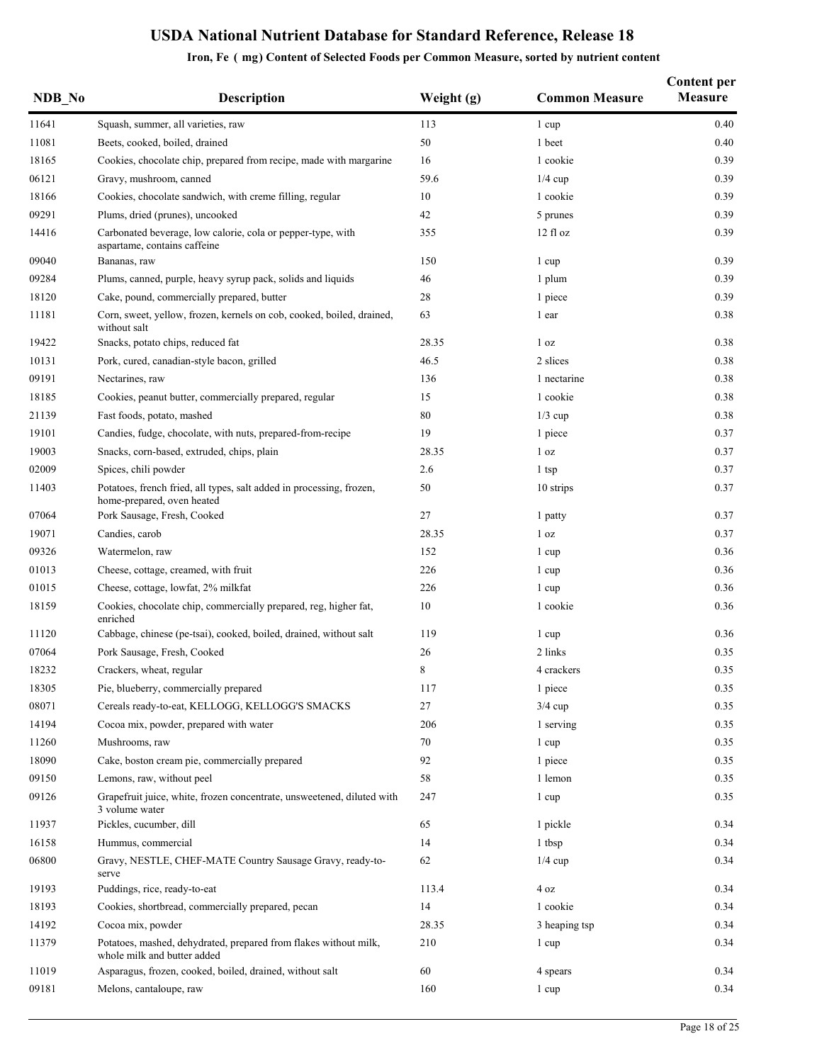| NDB No | <b>Description</b>                                                                                 | Weight (g) | <b>Common Measure</b> | <b>Content per</b><br><b>Measure</b> |
|--------|----------------------------------------------------------------------------------------------------|------------|-----------------------|--------------------------------------|
| 11641  | Squash, summer, all varieties, raw                                                                 | 113        | 1 cup                 | 0.40                                 |
| 11081  | Beets, cooked, boiled, drained                                                                     | 50         | 1 beet                | 0.40                                 |
| 18165  | Cookies, chocolate chip, prepared from recipe, made with margarine                                 | 16         | 1 cookie              | 0.39                                 |
| 06121  | Gravy, mushroom, canned                                                                            | 59.6       | $1/4$ cup             | 0.39                                 |
| 18166  | Cookies, chocolate sandwich, with creme filling, regular                                           | 10         | 1 cookie              | 0.39                                 |
| 09291  | Plums, dried (prunes), uncooked                                                                    | 42         | 5 prunes              | 0.39                                 |
| 14416  | Carbonated beverage, low calorie, cola or pepper-type, with<br>aspartame, contains caffeine        | 355        | $12$ fl $oz$          | 0.39                                 |
| 09040  | Bananas, raw                                                                                       | 150        | 1 cup                 | 0.39                                 |
| 09284  | Plums, canned, purple, heavy syrup pack, solids and liquids                                        | 46         | 1 plum                | 0.39                                 |
| 18120  | Cake, pound, commercially prepared, butter                                                         | 28         | 1 piece               | 0.39                                 |
| 11181  | Corn, sweet, yellow, frozen, kernels on cob, cooked, boiled, drained,<br>without salt              | 63         | 1 ear                 | 0.38                                 |
| 19422  | Snacks, potato chips, reduced fat                                                                  | 28.35      | 1 <sub>oz</sub>       | 0.38                                 |
| 10131  | Pork, cured, canadian-style bacon, grilled                                                         | 46.5       | 2 slices              | 0.38                                 |
| 09191  | Nectarines, raw                                                                                    | 136        | 1 nectarine           | 0.38                                 |
| 18185  | Cookies, peanut butter, commercially prepared, regular                                             | 15         | 1 cookie              | 0.38                                 |
| 21139  | Fast foods, potato, mashed                                                                         | 80         | $1/3$ cup             | 0.38                                 |
| 19101  | Candies, fudge, chocolate, with nuts, prepared-from-recipe                                         | 19         | 1 piece               | 0.37                                 |
| 19003  | Snacks, corn-based, extruded, chips, plain                                                         | 28.35      | 1 <sub>oz</sub>       | 0.37                                 |
| 02009  | Spices, chili powder                                                                               | 2.6        | 1 tsp                 | 0.37                                 |
| 11403  | Potatoes, french fried, all types, salt added in processing, frozen,<br>home-prepared, oven heated | 50         | 10 strips             | 0.37                                 |
| 07064  | Pork Sausage, Fresh, Cooked                                                                        | 27         | 1 patty               | 0.37                                 |
| 19071  | Candies, carob                                                                                     | 28.35      | 1 <sub>oz</sub>       | 0.37                                 |
| 09326  | Watermelon, raw                                                                                    | 152        | 1 cup                 | 0.36                                 |
| 01013  | Cheese, cottage, creamed, with fruit                                                               | 226        | 1 cup                 | 0.36                                 |
| 01015  | Cheese, cottage, lowfat, 2% milkfat                                                                | 226        | 1 cup                 | 0.36                                 |
| 18159  | Cookies, chocolate chip, commercially prepared, reg, higher fat,<br>enriched                       | 10         | 1 cookie              | 0.36                                 |
| 11120  | Cabbage, chinese (pe-tsai), cooked, boiled, drained, without salt                                  | 119        | 1 cup                 | 0.36                                 |
| 07064  | Pork Sausage, Fresh, Cooked                                                                        | 26         | 2 links               | 0.35                                 |
| 18232  | Crackers, wheat, regular                                                                           | 8          | 4 crackers            | 0.35                                 |
| 18305  | Pie, blueberry, commercially prepared                                                              | 117        | 1 piece               | 0.35                                 |
| 08071  | Cereals ready-to-eat, KELLOGG, KELLOGG'S SMACKS                                                    | 27         | $3/4$ cup             | 0.35                                 |
| 14194  | Cocoa mix, powder, prepared with water                                                             | 206        | 1 serving             | 0.35                                 |
| 11260  | Mushrooms, raw                                                                                     | 70         | 1 cup                 | 0.35                                 |
| 18090  | Cake, boston cream pie, commercially prepared                                                      | 92         | 1 piece               | 0.35                                 |
| 09150  | Lemons, raw, without peel                                                                          | 58         | 1 lemon               | 0.35                                 |
| 09126  | Grapefruit juice, white, frozen concentrate, unsweetened, diluted with<br>3 volume water           | 247        | 1 cup                 | 0.35                                 |
| 11937  | Pickles, cucumber, dill                                                                            | 65         | 1 pickle              | 0.34                                 |
| 16158  | Hummus, commercial                                                                                 | 14         | 1 tbsp                | 0.34                                 |
| 06800  | Gravy, NESTLE, CHEF-MATE Country Sausage Gravy, ready-to-<br>serve                                 | 62         | $1/4$ cup             | 0.34                                 |
| 19193  | Puddings, rice, ready-to-eat                                                                       | 113.4      | 4 oz                  | 0.34                                 |
| 18193  | Cookies, shortbread, commercially prepared, pecan                                                  | 14         | 1 cookie              | 0.34                                 |
| 14192  | Cocoa mix, powder                                                                                  | 28.35      | 3 heaping tsp         | 0.34                                 |
| 11379  | Potatoes, mashed, dehydrated, prepared from flakes without milk,<br>whole milk and butter added    | 210        | 1 cup                 | 0.34                                 |
| 11019  | Asparagus, frozen, cooked, boiled, drained, without salt                                           | 60         | 4 spears              | 0.34                                 |
| 09181  | Melons, cantaloupe, raw                                                                            | 160        | 1 cup                 | 0.34                                 |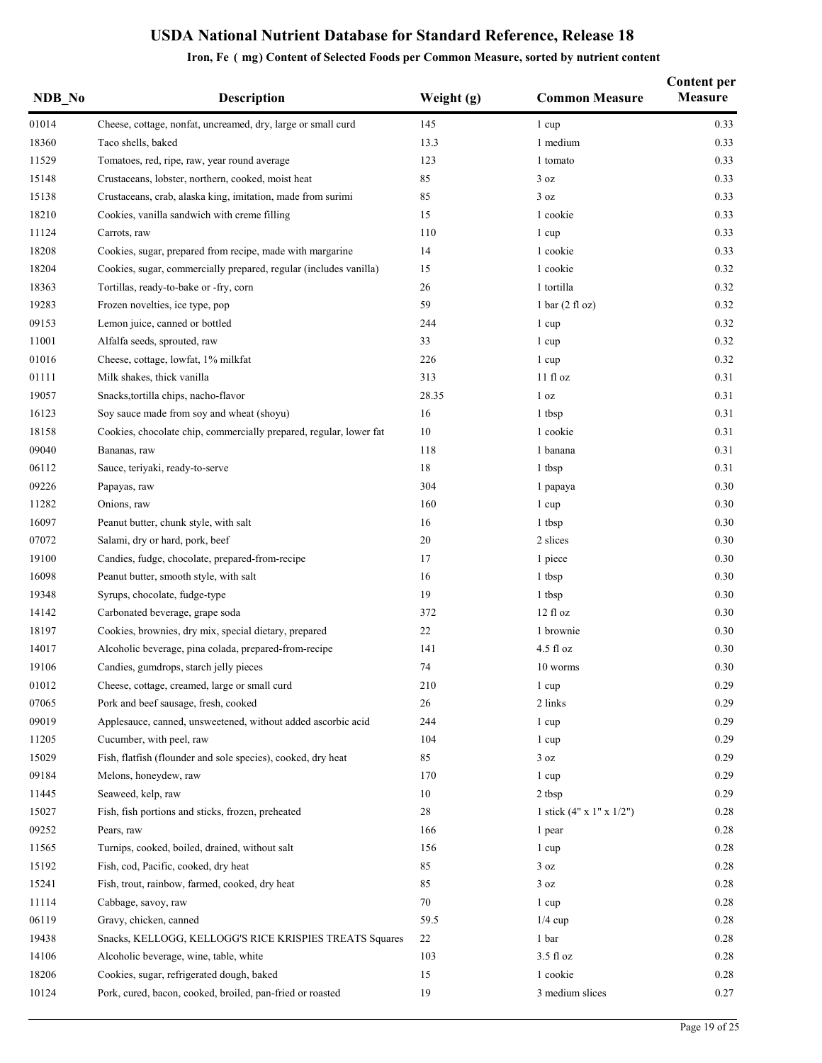| NDB No | <b>Description</b>                                                 | Weight (g) | <b>Common Measure</b>                | <b>Content per</b><br><b>Measure</b> |
|--------|--------------------------------------------------------------------|------------|--------------------------------------|--------------------------------------|
| 01014  | Cheese, cottage, nonfat, uncreamed, dry, large or small curd       | 145        | 1 cup                                | 0.33                                 |
| 18360  | Taco shells, baked                                                 | 13.3       | 1 medium                             | 0.33                                 |
| 11529  | Tomatoes, red, ripe, raw, year round average                       | 123        | 1 tomato                             | 0.33                                 |
| 15148  | Crustaceans, lobster, northern, cooked, moist heat                 | 85         | 3 oz                                 | 0.33                                 |
| 15138  | Crustaceans, crab, alaska king, imitation, made from surimi        | 85         | 3 oz                                 | 0.33                                 |
| 18210  | Cookies, vanilla sandwich with creme filling                       | 15         | 1 cookie                             | 0.33                                 |
| 11124  | Carrots, raw                                                       | 110        | 1 cup                                | 0.33                                 |
| 18208  | Cookies, sugar, prepared from recipe, made with margarine          | 14         | 1 cookie                             | 0.33                                 |
| 18204  | Cookies, sugar, commercially prepared, regular (includes vanilla)  | 15         | 1 cookie                             | 0.32                                 |
| 18363  | Tortillas, ready-to-bake or -fry, corn                             | 26         | 1 tortilla                           | 0.32                                 |
| 19283  | Frozen novelties, ice type, pop                                    | 59         | $1 \text{ bar} (2 \text{ fl oz})$    | 0.32                                 |
| 09153  | Lemon juice, canned or bottled                                     | 244        | 1 cup                                | 0.32                                 |
| 11001  | Alfalfa seeds, sprouted, raw                                       | 33         | 1 cup                                | 0.32                                 |
| 01016  | Cheese, cottage, lowfat, 1% milkfat                                | 226        | 1 cup                                | 0.32                                 |
| 01111  | Milk shakes, thick vanilla                                         | 313        | 11f1oz                               | 0.31                                 |
| 19057  | Snacks, tortilla chips, nacho-flavor                               | 28.35      | 1 <sub>oz</sub>                      | 0.31                                 |
| 16123  | Soy sauce made from soy and wheat (shoyu)                          | 16         | 1 tbsp                               | 0.31                                 |
| 18158  | Cookies, chocolate chip, commercially prepared, regular, lower fat | 10         | 1 cookie                             | 0.31                                 |
| 09040  | Bananas, raw                                                       | 118        | 1 banana                             | 0.31                                 |
| 06112  | Sauce, teriyaki, ready-to-serve                                    | 18         | 1 tbsp                               | 0.31                                 |
| 09226  | Papayas, raw                                                       | 304        | 1 papaya                             | 0.30                                 |
| 11282  | Onions, raw                                                        | 160        | 1 cup                                | 0.30                                 |
| 16097  | Peanut butter, chunk style, with salt                              | 16         | 1 tbsp                               | 0.30                                 |
| 07072  | Salami, dry or hard, pork, beef                                    | 20         | 2 slices                             | 0.30                                 |
| 19100  | Candies, fudge, chocolate, prepared-from-recipe                    | 17         | 1 piece                              | 0.30                                 |
| 16098  | Peanut butter, smooth style, with salt                             | 16         | 1 tbsp                               | 0.30                                 |
| 19348  | Syrups, chocolate, fudge-type                                      | 19         | 1 tbsp                               | 0.30                                 |
| 14142  | Carbonated beverage, grape soda                                    | 372        | $12$ fl $oz$                         | 0.30                                 |
| 18197  | Cookies, brownies, dry mix, special dietary, prepared              | 22         | 1 brownie                            | 0.30                                 |
| 14017  | Alcoholic beverage, pina colada, prepared-from-recipe              | 141        | $4.5$ fl $oz$                        | 0.30                                 |
| 19106  | Candies, gumdrops, starch jelly pieces                             | 74         | 10 worms                             | 0.30                                 |
| 01012  | Cheese, cottage, creamed, large or small curd                      | 210        | 1 cup                                | 0.29                                 |
| 07065  | Pork and beef sausage, fresh, cooked                               | 26         | 2 links                              | 0.29                                 |
| 09019  | Applesauce, canned, unsweetened, without added ascorbic acid       | 244        | 1 cup                                | 0.29                                 |
| 11205  | Cucumber, with peel, raw                                           | 104        | 1 cup                                | 0.29                                 |
| 15029  | Fish, flatfish (flounder and sole species), cooked, dry heat       | 85         | 3 oz                                 | 0.29                                 |
| 09184  | Melons, honeydew, raw                                              | 170        | 1 cup                                | 0.29                                 |
| 11445  | Seaweed, kelp, raw                                                 | 10         | 2 tbsp                               | 0.29                                 |
| 15027  | Fish, fish portions and sticks, frozen, preheated                  | 28         | 1 stick $(4" \times 1" \times 1/2")$ | 0.28                                 |
| 09252  | Pears, raw                                                         | 166        |                                      | 0.28                                 |
| 11565  | Turnips, cooked, boiled, drained, without salt                     | 156        | 1 pear                               | 0.28                                 |
|        |                                                                    | 85         | 1 cup                                |                                      |
| 15192  | Fish, cod, Pacific, cooked, dry heat                               |            | 3 oz                                 | 0.28                                 |
| 15241  | Fish, trout, rainbow, farmed, cooked, dry heat                     | 85         | 3 oz                                 | 0.28                                 |
| 11114  | Cabbage, savoy, raw                                                | 70         | 1 cup                                | 0.28                                 |
| 06119  | Gravy, chicken, canned                                             | 59.5       | $1/4$ cup                            | 0.28                                 |
| 19438  | Snacks, KELLOGG, KELLOGG'S RICE KRISPIES TREATS Squares            | 22         | 1 bar                                | 0.28                                 |
| 14106  | Alcoholic beverage, wine, table, white                             | 103        | 3.5 fl oz                            | 0.28                                 |
| 18206  | Cookies, sugar, refrigerated dough, baked                          | 15         | 1 cookie                             | 0.28                                 |
| 10124  | Pork, cured, bacon, cooked, broiled, pan-fried or roasted          | 19         | 3 medium slices                      | 0.27                                 |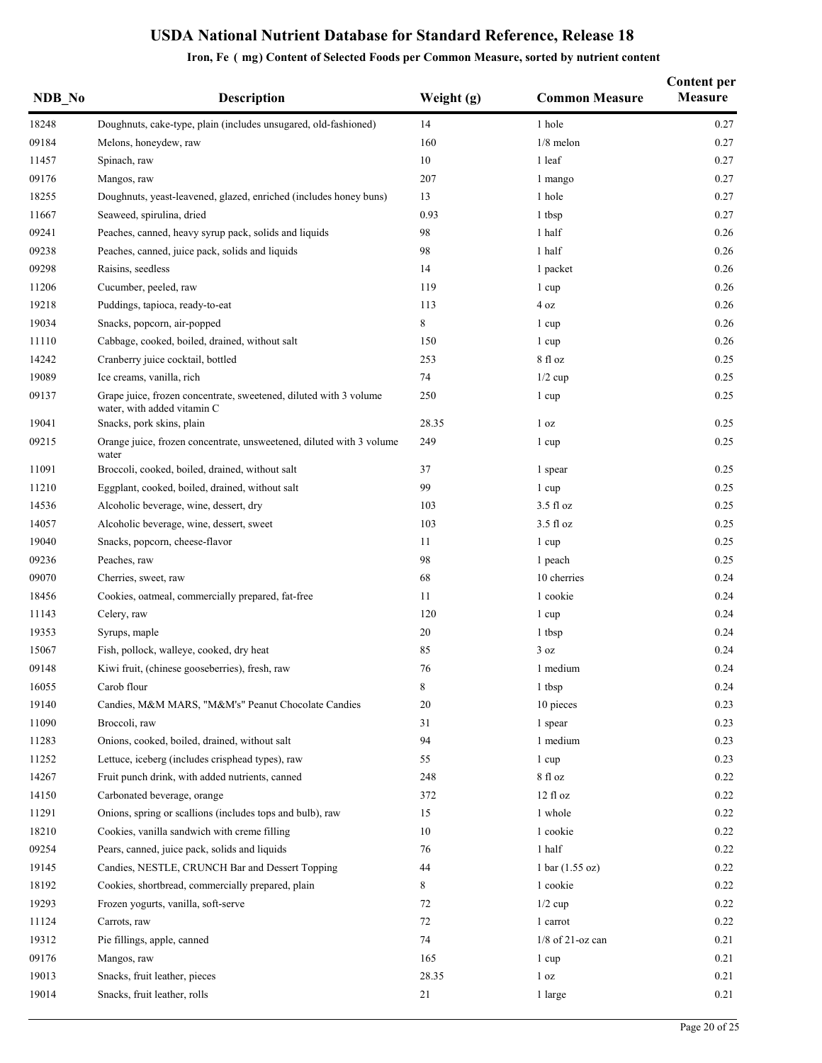| NDB No | <b>Description</b>                                                                               | Weight (g) | <b>Common Measure</b> | <b>Content per</b><br><b>Measure</b> |
|--------|--------------------------------------------------------------------------------------------------|------------|-----------------------|--------------------------------------|
| 18248  | Doughnuts, cake-type, plain (includes unsugared, old-fashioned)                                  | 14         | 1 hole                | 0.27                                 |
| 09184  | Melons, honeydew, raw                                                                            | 160        | $1/8$ melon           | 0.27                                 |
| 11457  | Spinach, raw                                                                                     | 10         | 1 leaf                | 0.27                                 |
| 09176  | Mangos, raw                                                                                      | 207        | 1 mango               | 0.27                                 |
| 18255  | Doughnuts, yeast-leavened, glazed, enriched (includes honey buns)                                | 13         | 1 hole                | 0.27                                 |
| 11667  | Seaweed, spirulina, dried                                                                        | 0.93       | 1 tbsp                | 0.27                                 |
| 09241  | Peaches, canned, heavy syrup pack, solids and liquids                                            | 98         | 1 half                | 0.26                                 |
| 09238  | Peaches, canned, juice pack, solids and liquids                                                  | 98         | 1 half                | 0.26                                 |
| 09298  | Raisins, seedless                                                                                | 14         | 1 packet              | 0.26                                 |
| 11206  | Cucumber, peeled, raw                                                                            | 119        | 1 cup                 | 0.26                                 |
| 19218  | Puddings, tapioca, ready-to-eat                                                                  | 113        | 4 oz                  | 0.26                                 |
| 19034  | Snacks, popcorn, air-popped                                                                      | 8          | 1 cup                 | 0.26                                 |
| 11110  | Cabbage, cooked, boiled, drained, without salt                                                   | 150        | 1 cup                 | 0.26                                 |
| 14242  | Cranberry juice cocktail, bottled                                                                | 253        | 8 fl oz               | 0.25                                 |
| 19089  | Ice creams, vanilla, rich                                                                        | 74         | $1/2$ cup             | 0.25                                 |
| 09137  | Grape juice, frozen concentrate, sweetened, diluted with 3 volume<br>water, with added vitamin C | 250        | 1 cup                 | 0.25                                 |
| 19041  | Snacks, pork skins, plain                                                                        | 28.35      | 1 <sub>oz</sub>       | 0.25                                 |
| 09215  | Orange juice, frozen concentrate, unsweetened, diluted with 3 volume<br>water                    | 249        | 1 cup                 | 0.25                                 |
| 11091  | Broccoli, cooked, boiled, drained, without salt                                                  | 37         | 1 spear               | 0.25                                 |
| 11210  | Eggplant, cooked, boiled, drained, without salt                                                  | 99         | 1 cup                 | 0.25                                 |
| 14536  | Alcoholic beverage, wine, dessert, dry                                                           | 103        | $3.5$ fl oz           | 0.25                                 |
| 14057  | Alcoholic beverage, wine, dessert, sweet                                                         | 103        | $3.5$ fl oz           | 0.25                                 |
| 19040  | Snacks, popcorn, cheese-flavor                                                                   | 11         | 1 cup                 | 0.25                                 |
| 09236  | Peaches, raw                                                                                     | 98         | 1 peach               | 0.25                                 |
| 09070  | Cherries, sweet, raw                                                                             | 68         | 10 cherries           | 0.24                                 |
| 18456  | Cookies, oatmeal, commercially prepared, fat-free                                                | 11         | 1 cookie              | 0.24                                 |
| 11143  | Celery, raw                                                                                      | 120        | 1 cup                 | 0.24                                 |
| 19353  | Syrups, maple                                                                                    | 20         | 1 tbsp                | 0.24                                 |
| 15067  | Fish, pollock, walleye, cooked, dry heat                                                         | 85         | 3 oz                  | 0.24                                 |
| 09148  | Kiwi fruit, (chinese gooseberries), fresh, raw                                                   | 76         | 1 medium              | 0.24                                 |
| 16055  | Carob flour                                                                                      | $\,8\,$    | 1 tbsp                | 0.24                                 |
| 19140  | Candies, M&M MARS, "M&M's" Peanut Chocolate Candies                                              | 20         | 10 pieces             | 0.23                                 |
| 11090  | Broccoli, raw                                                                                    | 31         | 1 spear               | 0.23                                 |
| 11283  | Onions, cooked, boiled, drained, without salt                                                    | 94         | 1 medium              | 0.23                                 |
| 11252  | Lettuce, iceberg (includes crisphead types), raw                                                 | 55         | 1 cup                 | 0.23                                 |
| 14267  | Fruit punch drink, with added nutrients, canned                                                  | 248        | 8 fl oz               | 0.22                                 |
| 14150  | Carbonated beverage, orange                                                                      | 372        | 12 fl oz              | 0.22                                 |
| 11291  | Onions, spring or scallions (includes tops and bulb), raw                                        | 15         | 1 whole               | 0.22                                 |
| 18210  | Cookies, vanilla sandwich with creme filling                                                     | 10         | 1 cookie              | 0.22                                 |
| 09254  | Pears, canned, juice pack, solids and liquids                                                    | 76         | 1 half                | 0.22                                 |
| 19145  | Candies, NESTLE, CRUNCH Bar and Dessert Topping                                                  | 44         | 1 bar (1.55 oz)       | 0.22                                 |
| 18192  | Cookies, shortbread, commercially prepared, plain                                                | 8          | 1 cookie              | 0.22                                 |
| 19293  | Frozen yogurts, vanilla, soft-serve                                                              | 72         | $1/2$ cup             | 0.22                                 |
| 11124  | Carrots, raw                                                                                     | 72         | 1 carrot              | 0.22                                 |
| 19312  | Pie fillings, apple, canned                                                                      | 74         | $1/8$ of 21-oz can    | 0.21                                 |
| 09176  | Mangos, raw                                                                                      | 165        | 1 cup                 | 0.21                                 |
| 19013  | Snacks, fruit leather, pieces                                                                    | 28.35      | 1 <sub>oz</sub>       | 0.21                                 |
| 19014  | Snacks, fruit leather, rolls                                                                     | 21         | 1 large               | 0.21                                 |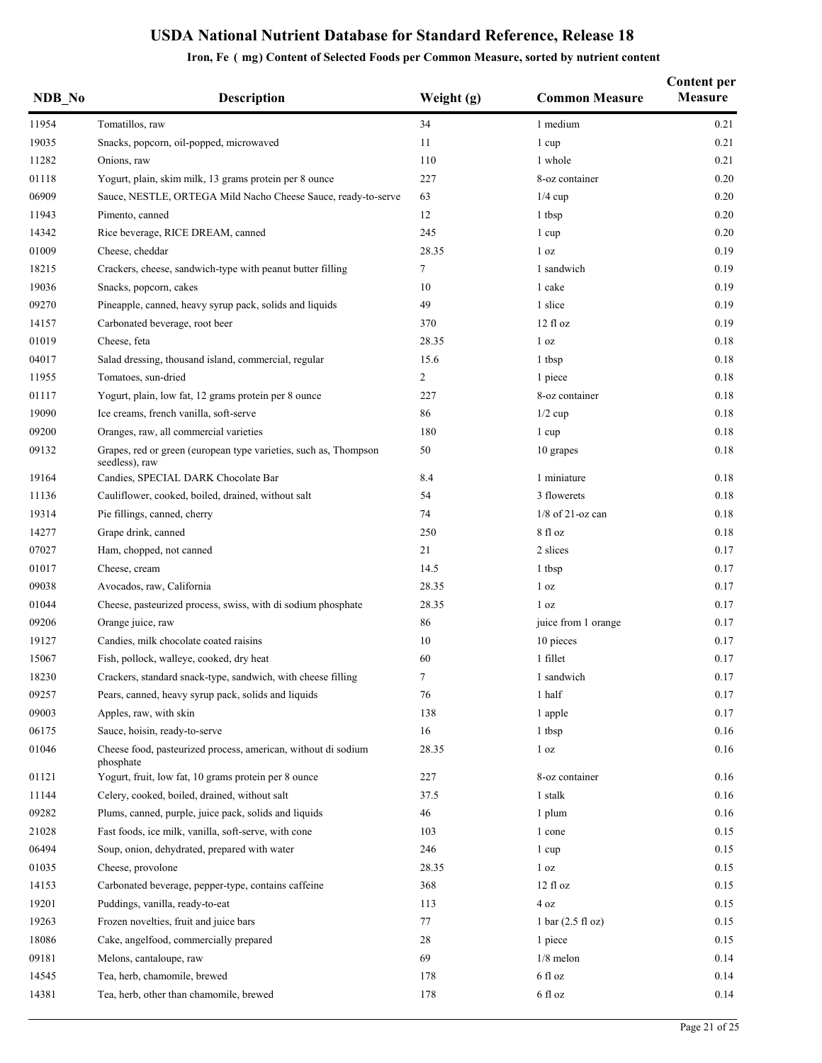| NDB No | <b>Description</b>                                                                 | Weight (g) | <b>Common Measure</b>               | <b>Content per</b><br><b>Measure</b> |
|--------|------------------------------------------------------------------------------------|------------|-------------------------------------|--------------------------------------|
| 11954  | Tomatillos, raw                                                                    | 34         | 1 medium                            | 0.21                                 |
| 19035  | Snacks, popcorn, oil-popped, microwaved                                            | 11         | 1 cup                               | 0.21                                 |
| 11282  | Onions, raw                                                                        | 110        | 1 whole                             | 0.21                                 |
| 01118  | Yogurt, plain, skim milk, 13 grams protein per 8 ounce                             | 227        | 8-oz container                      | 0.20                                 |
| 06909  | Sauce, NESTLE, ORTEGA Mild Nacho Cheese Sauce, ready-to-serve                      | 63         | $1/4$ cup                           | 0.20                                 |
| 11943  | Pimento, canned                                                                    | 12         | 1 tbsp                              | 0.20                                 |
| 14342  | Rice beverage, RICE DREAM, canned                                                  | 245        | 1 cup                               | 0.20                                 |
| 01009  | Cheese, cheddar                                                                    | 28.35      | 1 <sub>oz</sub>                     | 0.19                                 |
| 18215  | Crackers, cheese, sandwich-type with peanut butter filling                         | 7          | 1 sandwich                          | 0.19                                 |
| 19036  | Snacks, popcorn, cakes                                                             | 10         | 1 cake                              | 0.19                                 |
| 09270  | Pineapple, canned, heavy syrup pack, solids and liquids                            | 49         | 1 slice                             | 0.19                                 |
| 14157  | Carbonated beverage, root beer                                                     | 370        | $12 \text{ fl oz}$                  | 0.19                                 |
| 01019  | Cheese, feta                                                                       | 28.35      | 1 <sub>oz</sub>                     | 0.18                                 |
| 04017  | Salad dressing, thousand island, commercial, regular                               | 15.6       | 1 tbsp                              | 0.18                                 |
| 11955  | Tomatoes, sun-dried                                                                | 2          | 1 piece                             | 0.18                                 |
| 01117  | Yogurt, plain, low fat, 12 grams protein per 8 ounce                               | 227        | 8-oz container                      | 0.18                                 |
| 19090  | Ice creams, french vanilla, soft-serve                                             | 86         | $1/2$ cup                           | 0.18                                 |
| 09200  | Oranges, raw, all commercial varieties                                             | 180        | 1 cup                               | 0.18                                 |
| 09132  | Grapes, red or green (european type varieties, such as, Thompson<br>seedless), raw | 50         | 10 grapes                           | 0.18                                 |
| 19164  | Candies, SPECIAL DARK Chocolate Bar                                                | 8.4        | 1 miniature                         | 0.18                                 |
| 11136  | Cauliflower, cooked, boiled, drained, without salt                                 | 54         | 3 flowerets                         | 0.18                                 |
| 19314  | Pie fillings, canned, cherry                                                       | 74         | $1/8$ of 21-oz can                  | 0.18                                 |
| 14277  | Grape drink, canned                                                                | 250        | 8 fl oz                             | 0.18                                 |
| 07027  | Ham, chopped, not canned                                                           | 21         | 2 slices                            | 0.17                                 |
| 01017  | Cheese, cream                                                                      | 14.5       | 1 tbsp                              | 0.17                                 |
| 09038  | Avocados, raw, California                                                          | 28.35      | 1 <sub>oz</sub>                     | 0.17                                 |
| 01044  | Cheese, pasteurized process, swiss, with di sodium phosphate                       | 28.35      | 1 <sub>oz</sub>                     | 0.17                                 |
| 09206  | Orange juice, raw                                                                  | 86         | juice from 1 orange                 | 0.17                                 |
| 19127  | Candies, milk chocolate coated raisins                                             | 10         | 10 pieces                           | 0.17                                 |
| 15067  | Fish, pollock, walleye, cooked, dry heat                                           | 60         | 1 fillet                            | 0.17                                 |
| 18230  | Crackers, standard snack-type, sandwich, with cheese filling                       | 7          | 1 sandwich                          | 0.17                                 |
| 09257  | Pears, canned, heavy syrup pack, solids and liquids                                | 76         | 1 half                              | 0.17                                 |
| 09003  | Apples, raw, with skin                                                             | 138        | 1 apple                             | 0.17                                 |
| 06175  | Sauce, hoisin, ready-to-serve                                                      | 16         | 1 tbsp                              | 0.16                                 |
| 01046  | Cheese food, pasteurized process, american, without di sodium<br>phosphate         | 28.35      | 1 <sub>oz</sub>                     | 0.16                                 |
| 01121  | Yogurt, fruit, low fat, 10 grams protein per 8 ounce                               | 227        | 8-oz container                      | 0.16                                 |
| 11144  | Celery, cooked, boiled, drained, without salt                                      | 37.5       | 1 stalk                             | 0.16                                 |
| 09282  | Plums, canned, purple, juice pack, solids and liquids                              | 46         | 1 plum                              | 0.16                                 |
| 21028  | Fast foods, ice milk, vanilla, soft-serve, with cone                               | 103        | 1 cone                              | 0.15                                 |
| 06494  | Soup, onion, dehydrated, prepared with water                                       | 246        | 1 cup                               | 0.15                                 |
| 01035  | Cheese, provolone                                                                  | 28.35      | 1 <sub>oz</sub>                     | 0.15                                 |
| 14153  | Carbonated beverage, pepper-type, contains caffeine                                | 368        | $12$ fl $oz$                        | 0.15                                 |
| 19201  | Puddings, vanilla, ready-to-eat                                                    | 113        | 4 oz                                | 0.15                                 |
| 19263  | Frozen novelties, fruit and juice bars                                             | 77         | $1 \text{ bar} (2.5 \text{ fl oz})$ | 0.15                                 |
| 18086  | Cake, angelfood, commercially prepared                                             | 28         | 1 piece                             | 0.15                                 |
| 09181  | Melons, cantaloupe, raw                                                            | 69         | $1/8$ melon                         | 0.14                                 |
| 14545  | Tea, herb, chamomile, brewed                                                       | 178        | 6 fl oz                             | 0.14                                 |
| 14381  | Tea, herb, other than chamomile, brewed                                            | 178        | 6 fl oz                             | 0.14                                 |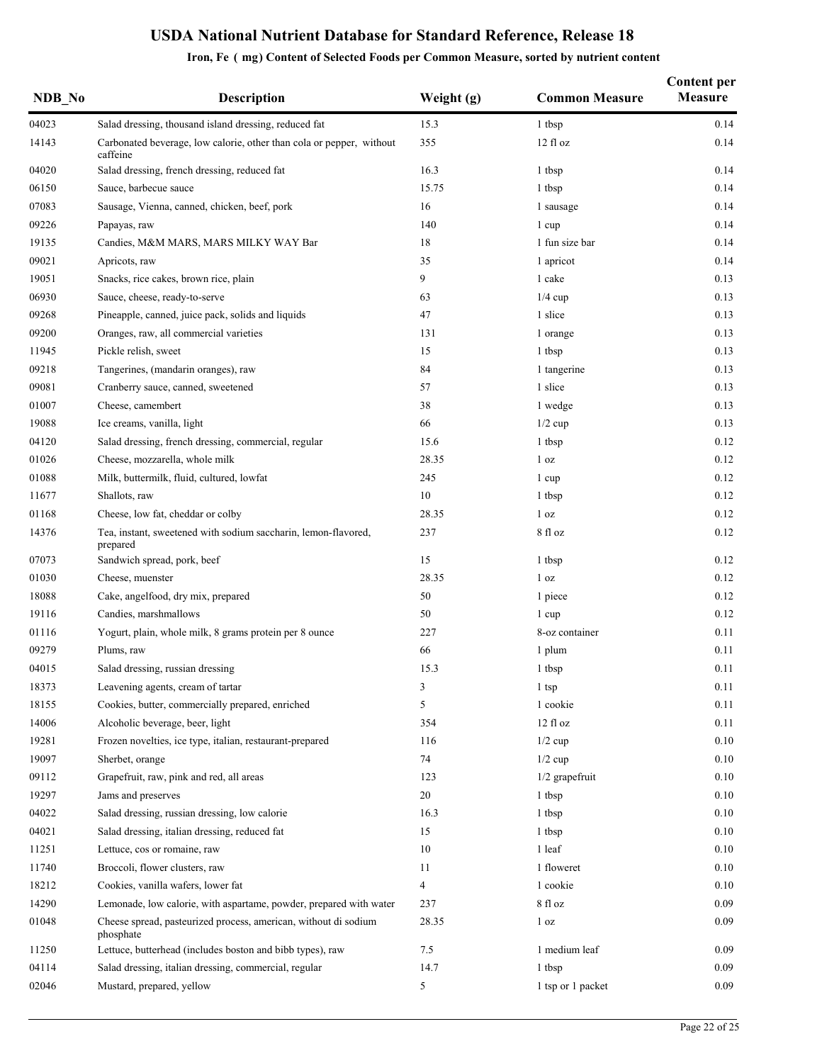| NDB No | <b>Description</b>                                                               | Weight (g)     | <b>Common Measure</b> | <b>Content per</b><br><b>Measure</b> |
|--------|----------------------------------------------------------------------------------|----------------|-----------------------|--------------------------------------|
| 04023  | Salad dressing, thousand island dressing, reduced fat                            | 15.3           | 1 tbsp                | 0.14                                 |
| 14143  | Carbonated beverage, low calorie, other than cola or pepper, without<br>caffeine | 355            | 12 fl oz              | 0.14                                 |
| 04020  | Salad dressing, french dressing, reduced fat                                     | 16.3           | 1 tbsp                | 0.14                                 |
| 06150  | Sauce, barbecue sauce                                                            | 15.75          | 1 tbsp                | 0.14                                 |
| 07083  | Sausage, Vienna, canned, chicken, beef, pork                                     | 16             | 1 sausage             | 0.14                                 |
| 09226  | Papayas, raw                                                                     | 140            | 1 cup                 | 0.14                                 |
| 19135  | Candies, M&M MARS, MARS MILKY WAY Bar                                            | 18             | 1 fun size bar        | 0.14                                 |
| 09021  | Apricots, raw                                                                    | 35             | 1 apricot             | 0.14                                 |
| 19051  | Snacks, rice cakes, brown rice, plain                                            | 9              | 1 cake                | 0.13                                 |
| 06930  | Sauce, cheese, ready-to-serve                                                    | 63             | $1/4$ cup             | 0.13                                 |
| 09268  | Pineapple, canned, juice pack, solids and liquids                                | 47             | 1 slice               | 0.13                                 |
| 09200  | Oranges, raw, all commercial varieties                                           | 131            | 1 orange              | 0.13                                 |
| 11945  | Pickle relish, sweet                                                             | 15             | 1 tbsp                | 0.13                                 |
| 09218  | Tangerines, (mandarin oranges), raw                                              | 84             | 1 tangerine           | 0.13                                 |
| 09081  | Cranberry sauce, canned, sweetened                                               | 57             | 1 slice               | 0.13                                 |
| 01007  | Cheese, camembert                                                                | 38             | 1 wedge               | 0.13                                 |
| 19088  | Ice creams, vanilla, light                                                       | 66             | $1/2$ cup             | 0.13                                 |
| 04120  | Salad dressing, french dressing, commercial, regular                             | 15.6           | 1 tbsp                | 0.12                                 |
| 01026  | Cheese, mozzarella, whole milk                                                   | 28.35          | 1 <sub>oz</sub>       | 0.12                                 |
| 01088  | Milk, buttermilk, fluid, cultured, lowfat                                        | 245            | 1 cup                 | 0.12                                 |
| 11677  | Shallots, raw                                                                    | 10             | 1 tbsp                | 0.12                                 |
| 01168  | Cheese, low fat, cheddar or colby                                                | 28.35          | 1 <sub>oz</sub>       | 0.12                                 |
| 14376  | Tea, instant, sweetened with sodium saccharin, lemon-flavored,<br>prepared       | 237            | 8 fl oz               | 0.12                                 |
| 07073  | Sandwich spread, pork, beef                                                      | 15             | 1 tbsp                | 0.12                                 |
| 01030  | Cheese, muenster                                                                 | 28.35          | 1 <sub>oz</sub>       | 0.12                                 |
| 18088  | Cake, angelfood, dry mix, prepared                                               | 50             | 1 piece               | 0.12                                 |
| 19116  | Candies, marshmallows                                                            | 50             | 1 cup                 | 0.12                                 |
| 01116  | Yogurt, plain, whole milk, 8 grams protein per 8 ounce                           | 227            | 8-oz container        | 0.11                                 |
| 09279  | Plums, raw                                                                       | 66             | 1 plum                | 0.11                                 |
| 04015  | Salad dressing, russian dressing                                                 | 15.3           | 1 tbsp                | 0.11                                 |
| 18373  | Leavening agents, cream of tartar                                                | 3              | $1$ tsp               | 0.11                                 |
| 18155  | Cookies, butter, commercially prepared, enriched                                 | 5              | 1 cookie              | 0.11                                 |
| 14006  | Alcoholic beverage, beer, light                                                  | 354            | 12 fl oz              | 0.11                                 |
| 19281  | Frozen novelties, ice type, italian, restaurant-prepared                         | 116            | $1/2$ cup             | 0.10                                 |
| 19097  | Sherbet, orange                                                                  | 74             | $1/2$ cup             | 0.10                                 |
| 09112  | Grapefruit, raw, pink and red, all areas                                         | 123            | $1/2$ grapefruit      | 0.10                                 |
| 19297  | Jams and preserves                                                               | 20             | 1 tbsp                | 0.10                                 |
| 04022  | Salad dressing, russian dressing, low calorie                                    | 16.3           | 1 tbsp                | 0.10                                 |
| 04021  | Salad dressing, italian dressing, reduced fat                                    | 15             | 1 tbsp                | 0.10                                 |
| 11251  | Lettuce, cos or romaine, raw                                                     | 10             | 1 leaf                | 0.10                                 |
| 11740  | Broccoli, flower clusters, raw                                                   | 11             | 1 floweret            | 0.10                                 |
| 18212  | Cookies, vanilla wafers, lower fat                                               | $\overline{4}$ | 1 cookie              | 0.10                                 |
| 14290  | Lemonade, low calorie, with aspartame, powder, prepared with water               | 237            | 8 fl oz               | 0.09                                 |
| 01048  | Cheese spread, pasteurized process, american, without di sodium<br>phosphate     | 28.35          | 1 <sub>oz</sub>       | 0.09                                 |
| 11250  | Lettuce, butterhead (includes boston and bibb types), raw                        | 7.5            | 1 medium leaf         | 0.09                                 |
| 04114  | Salad dressing, italian dressing, commercial, regular                            | 14.7           | 1 tbsp                | 0.09                                 |
| 02046  | Mustard, prepared, yellow                                                        | 5              | 1 tsp or 1 packet     | 0.09                                 |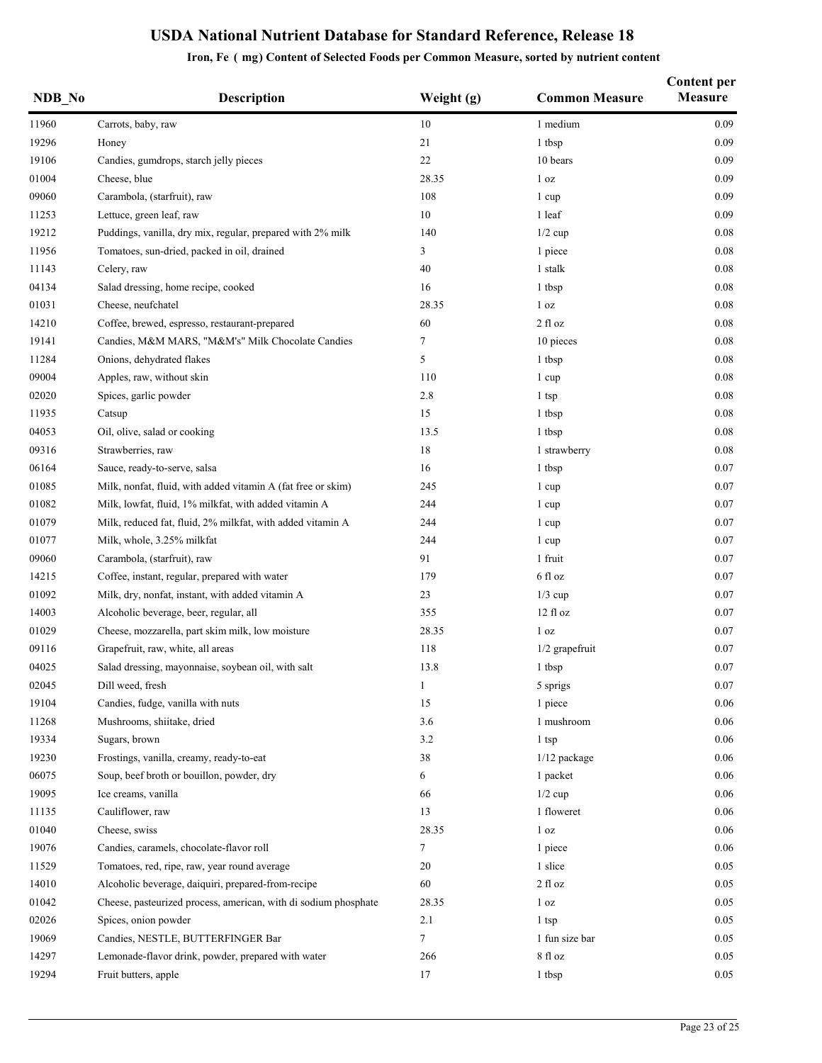| NDB No | <b>Description</b>                                              | Weight (g)   | <b>Common Measure</b> | <b>Content per</b><br><b>Measure</b> |
|--------|-----------------------------------------------------------------|--------------|-----------------------|--------------------------------------|
| 11960  | Carrots, baby, raw                                              | 10           | 1 medium              | 0.09                                 |
| 19296  | Honey                                                           | 21           | 1 tbsp                | 0.09                                 |
| 19106  | Candies, gumdrops, starch jelly pieces                          | $22\,$       | 10 bears              | 0.09                                 |
| 01004  | Cheese, blue                                                    | 28.35        | 1 <sub>oz</sub>       | 0.09                                 |
| 09060  | Carambola, (starfruit), raw                                     | 108          | 1 cup                 | 0.09                                 |
| 11253  | Lettuce, green leaf, raw                                        | 10           | 1 leaf                | 0.09                                 |
| 19212  | Puddings, vanilla, dry mix, regular, prepared with 2% milk      | 140          | $1/2$ cup             | 0.08                                 |
| 11956  | Tomatoes, sun-dried, packed in oil, drained                     | 3            | 1 piece               | 0.08                                 |
| 11143  | Celery, raw                                                     | $40\,$       | 1 stalk               | 0.08                                 |
| 04134  | Salad dressing, home recipe, cooked                             | 16           | 1 tbsp                | 0.08                                 |
| 01031  | Cheese, neufchatel                                              | 28.35        | 1 <sub>oz</sub>       | 0.08                                 |
| 14210  | Coffee, brewed, espresso, restaurant-prepared                   | 60           | 2 fl oz               | $0.08\,$                             |
| 19141  | Candies, M&M MARS, "M&M's" Milk Chocolate Candies               | 7            | 10 pieces             | 0.08                                 |
| 11284  | Onions, dehydrated flakes                                       | 5            | 1 tbsp                | 0.08                                 |
| 09004  | Apples, raw, without skin                                       | 110          | 1 cup                 | 0.08                                 |
| 02020  | Spices, garlic powder                                           | 2.8          | 1 tsp                 | $0.08\,$                             |
| 11935  | Catsup                                                          | 15           | 1 tbsp                | 0.08                                 |
| 04053  | Oil, olive, salad or cooking                                    | 13.5         | 1 tbsp                | 0.08                                 |
| 09316  | Strawberries, raw                                               | 18           | 1 strawberry          | 0.08                                 |
| 06164  | Sauce, ready-to-serve, salsa                                    | 16           | 1 tbsp                | 0.07                                 |
| 01085  | Milk, nonfat, fluid, with added vitamin A (fat free or skim)    | 245          | 1 cup                 | 0.07                                 |
| 01082  | Milk, lowfat, fluid, 1% milkfat, with added vitamin A           | 244          | 1 cup                 | 0.07                                 |
| 01079  | Milk, reduced fat, fluid, 2% milkfat, with added vitamin A      | 244          | 1 cup                 | 0.07                                 |
| 01077  | Milk, whole, 3.25% milkfat                                      | 244          | 1 cup                 | 0.07                                 |
| 09060  | Carambola, (starfruit), raw                                     | 91           | 1 fruit               | 0.07                                 |
| 14215  | Coffee, instant, regular, prepared with water                   | 179          | 6 fl oz               | 0.07                                 |
| 01092  | Milk, dry, nonfat, instant, with added vitamin A                | 23           | $1/3$ cup             | 0.07                                 |
| 14003  | Alcoholic beverage, beer, regular, all                          | 355          | 12 fl oz              | 0.07                                 |
| 01029  | Cheese, mozzarella, part skim milk, low moisture                | 28.35        | 1 <sub>oz</sub>       | 0.07                                 |
| 09116  | Grapefruit, raw, white, all areas                               | 118          | 1/2 grapefruit        | 0.07                                 |
| 04025  | Salad dressing, mayonnaise, soybean oil, with salt              | 13.8         | 1 tbsp                | $0.07\,$                             |
| 02045  | Dill weed, fresh                                                | $\mathbf{1}$ | 5 sprigs              | $0.07\,$                             |
| 19104  | Candies, fudge, vanilla with nuts                               | 15           | 1 piece               | 0.06                                 |
| 11268  | Mushrooms, shiitake, dried                                      | 3.6          | 1 mushroom            | 0.06                                 |
| 19334  | Sugars, brown                                                   | 3.2          | 1 tsp                 | 0.06                                 |
| 19230  | Frostings, vanilla, creamy, ready-to-eat                        | 38           | 1/12 package          | 0.06                                 |
| 06075  | Soup, beef broth or bouillon, powder, dry                       | 6            | 1 packet              | 0.06                                 |
| 19095  | Ice creams, vanilla                                             | 66           | $1/2$ cup             | 0.06                                 |
| 11135  | Cauliflower, raw                                                | 13           | 1 floweret            | 0.06                                 |
| 01040  | Cheese, swiss                                                   | 28.35        | 1 <sub>oz</sub>       | 0.06                                 |
| 19076  | Candies, caramels, chocolate-flavor roll                        | 7            | 1 piece               | 0.06                                 |
| 11529  | Tomatoes, red, ripe, raw, year round average                    | 20           | 1 slice               | 0.05                                 |
| 14010  | Alcoholic beverage, daiquiri, prepared-from-recipe              | 60           | $2$ fl oz             | 0.05                                 |
| 01042  | Cheese, pasteurized process, american, with di sodium phosphate | 28.35        | 1 <sub>oz</sub>       | 0.05                                 |
| 02026  | Spices, onion powder                                            | 2.1          | 1 tsp                 | 0.05                                 |
| 19069  | Candies, NESTLE, BUTTERFINGER Bar                               | 7            | 1 fun size bar        | 0.05                                 |
| 14297  | Lemonade-flavor drink, powder, prepared with water              | 266          | 8 fl oz               | 0.05                                 |
| 19294  | Fruit butters, apple                                            | 17           | 1 tbsp                | 0.05                                 |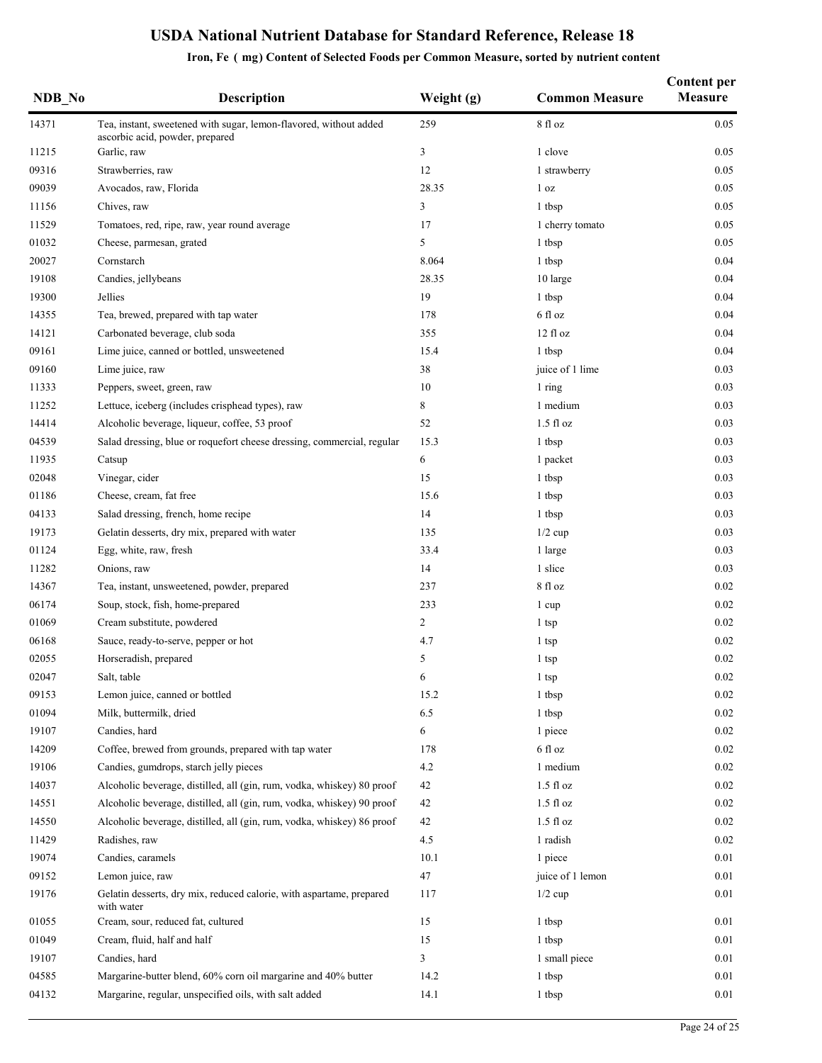| NDB No | <b>Description</b>                                                                                   | Weight (g)     | <b>Common Measure</b> | <b>Content per</b><br><b>Measure</b> |
|--------|------------------------------------------------------------------------------------------------------|----------------|-----------------------|--------------------------------------|
| 14371  | Tea, instant, sweetened with sugar, lemon-flavored, without added<br>ascorbic acid, powder, prepared | 259            | $8$ fl oz             | 0.05                                 |
| 11215  | Garlic, raw                                                                                          | 3              | 1 clove               | 0.05                                 |
| 09316  | Strawberries, raw                                                                                    | 12             | 1 strawberry          | 0.05                                 |
| 09039  | Avocados, raw, Florida                                                                               | 28.35          | 1 <sub>oz</sub>       | 0.05                                 |
| 11156  | Chives, raw                                                                                          | 3              | 1 tbsp                | 0.05                                 |
| 11529  | Tomatoes, red, ripe, raw, year round average                                                         | 17             | 1 cherry tomato       | 0.05                                 |
| 01032  | Cheese, parmesan, grated                                                                             | 5              | 1 tbsp                | 0.05                                 |
| 20027  | Cornstarch                                                                                           | 8.064          | 1 tbsp                | 0.04                                 |
| 19108  | Candies, jellybeans                                                                                  | 28.35          | 10 large              | 0.04                                 |
| 19300  | Jellies                                                                                              | 19             | 1 tbsp                | 0.04                                 |
| 14355  | Tea, brewed, prepared with tap water                                                                 | 178            | 6 fl oz               | 0.04                                 |
| 14121  | Carbonated beverage, club soda                                                                       | 355            | $12$ fl $oz$          | 0.04                                 |
| 09161  | Lime juice, canned or bottled, unsweetened                                                           | 15.4           | 1 tbsp                | 0.04                                 |
| 09160  | Lime juice, raw                                                                                      | 38             | juice of 1 lime       | 0.03                                 |
| 11333  | Peppers, sweet, green, raw                                                                           | 10             | 1 ring                | 0.03                                 |
| 11252  | Lettuce, iceberg (includes crisphead types), raw                                                     | 8              | 1 medium              | 0.03                                 |
| 14414  | Alcoholic beverage, liqueur, coffee, 53 proof                                                        | 52             | $1.5$ fl oz           | 0.03                                 |
| 04539  | Salad dressing, blue or roquefort cheese dressing, commercial, regular                               | 15.3           | 1 tbsp                | 0.03                                 |
| 11935  | Catsup                                                                                               | 6              | 1 packet              | 0.03                                 |
| 02048  | Vinegar, cider                                                                                       | 15             | 1 tbsp                | 0.03                                 |
| 01186  | Cheese, cream, fat free                                                                              | 15.6           | 1 tbsp                | 0.03                                 |
| 04133  | Salad dressing, french, home recipe                                                                  | 14             | 1 tbsp                | 0.03                                 |
| 19173  | Gelatin desserts, dry mix, prepared with water                                                       | 135            | $1/2$ cup             | 0.03                                 |
| 01124  | Egg, white, raw, fresh                                                                               | 33.4           | 1 large               | 0.03                                 |
| 11282  | Onions, raw                                                                                          | 14             | 1 slice               | 0.03                                 |
| 14367  | Tea, instant, unsweetened, powder, prepared                                                          | 237            | 8 fl oz               | 0.02                                 |
| 06174  | Soup, stock, fish, home-prepared                                                                     | 233            | 1 cup                 | 0.02                                 |
| 01069  | Cream substitute, powdered                                                                           | $\overline{c}$ | 1 tsp                 | 0.02                                 |
| 06168  | Sauce, ready-to-serve, pepper or hot                                                                 | 4.7            | 1 tsp                 | 0.02                                 |
| 02055  | Horseradish, prepared                                                                                | 5              | 1 tsp                 | 0.02                                 |
| 02047  | Salt table                                                                                           | 6              | 1 tsp                 | 0.02                                 |
| 09153  | Lemon juice, canned or bottled                                                                       | 15.2           |                       | 0.02                                 |
| 01094  | Milk, buttermilk, dried                                                                              | 6.5            | 1 tbsp<br>1 tbsp      | 0.02                                 |
| 19107  | Candies, hard                                                                                        | 6              |                       | 0.02                                 |
| 14209  |                                                                                                      |                | 1 piece<br>6 fl oz    | 0.02                                 |
|        | Coffee, brewed from grounds, prepared with tap water                                                 | 178            |                       |                                      |
| 19106  | Candies, gumdrops, starch jelly pieces                                                               | 4.2            | 1 medium              | 0.02                                 |
| 14037  | Alcoholic beverage, distilled, all (gin, rum, vodka, whiskey) 80 proof                               | 42             | $1.5$ fl $oz$         | $0.02\,$                             |
| 14551  | Alcoholic beverage, distilled, all (gin, rum, vodka, whiskey) 90 proof                               | 42             | $1.5$ fl $oz$         | 0.02                                 |
| 14550  | Alcoholic beverage, distilled, all (gin, rum, vodka, whiskey) 86 proof                               | 42             | $1.5$ fl $oz$         | 0.02                                 |
| 11429  | Radishes, raw                                                                                        | 4.5            | 1 radish              | 0.02                                 |
| 19074  | Candies, caramels                                                                                    | 10.1           | 1 piece               | 0.01                                 |
| 09152  | Lemon juice, raw                                                                                     | 47             | juice of 1 lemon      | 0.01                                 |
| 19176  | Gelatin desserts, dry mix, reduced calorie, with aspartame, prepared<br>with water                   | 117            | $1/2$ cup             | 0.01                                 |
| 01055  | Cream, sour, reduced fat, cultured                                                                   | 15             | 1 tbsp                | 0.01                                 |
| 01049  | Cream, fluid, half and half                                                                          | 15             | 1 tbsp                | 0.01                                 |
| 19107  | Candies, hard                                                                                        | 3              | 1 small piece         | 0.01                                 |
| 04585  | Margarine-butter blend, 60% corn oil margarine and 40% butter                                        | 14.2           | 1 tbsp                | 0.01                                 |
| 04132  | Margarine, regular, unspecified oils, with salt added                                                | 14.1           | 1 tbsp                | 0.01                                 |